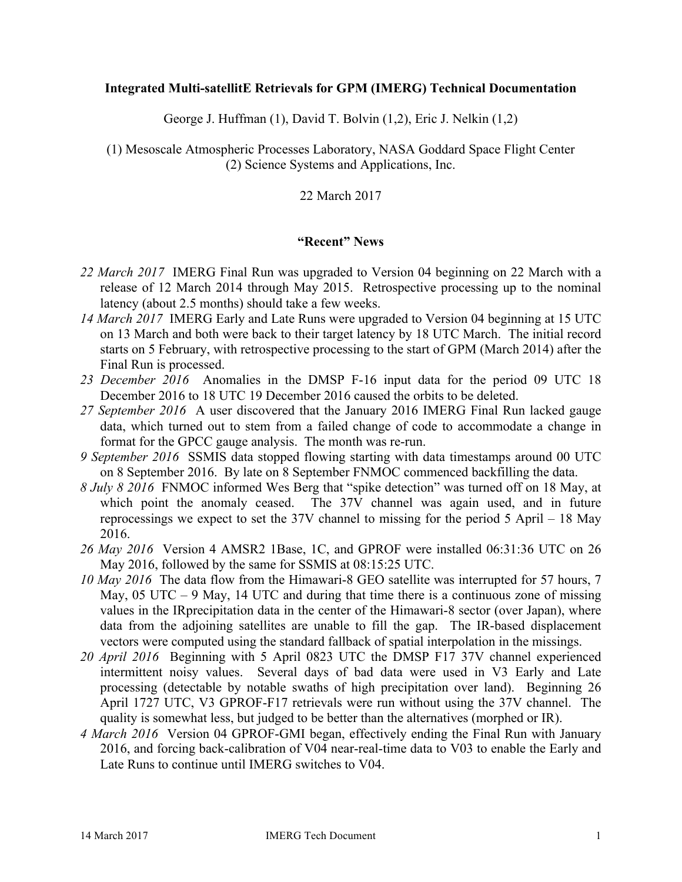### **Integrated Multi-satellitE Retrievals for GPM (IMERG) Technical Documentation**

George J. Huffman (1), David T. Bolvin (1,2), Eric J. Nelkin (1,2)

(1) Mesoscale Atmospheric Processes Laboratory, NASA Goddard Space Flight Center (2) Science Systems and Applications, Inc.

## 22 March 2017

### **"Recent" News**

- *22 March 2017* IMERG Final Run was upgraded to Version 04 beginning on 22 March with a release of 12 March 2014 through May 2015. Retrospective processing up to the nominal latency (about 2.5 months) should take a few weeks.
- *14 March 2017* IMERG Early and Late Runs were upgraded to Version 04 beginning at 15 UTC on 13 March and both were back to their target latency by 18 UTC March. The initial record starts on 5 February, with retrospective processing to the start of GPM (March 2014) after the Final Run is processed.
- *23 December 2016* Anomalies in the DMSP F-16 input data for the period 09 UTC 18 December 2016 to 18 UTC 19 December 2016 caused the orbits to be deleted.
- *27 September 2016* A user discovered that the January 2016 IMERG Final Run lacked gauge data, which turned out to stem from a failed change of code to accommodate a change in format for the GPCC gauge analysis. The month was re-run.
- *9 September 2016* SSMIS data stopped flowing starting with data timestamps around 00 UTC on 8 September 2016. By late on 8 September FNMOC commenced backfilling the data.
- *8 July 8 2016* FNMOC informed Wes Berg that "spike detection" was turned off on 18 May, at which point the anomaly ceased. The  $37\overline{V}$  channel was again used, and in future reprocessings we expect to set the 37V channel to missing for the period 5 April – 18 May 2016.
- *26 May 2016* Version 4 AMSR2 1Base, 1C, and GPROF were installed 06:31:36 UTC on 26 May 2016, followed by the same for SSMIS at 08:15:25 UTC.
- *10 May 2016* The data flow from the Himawari-8 GEO satellite was interrupted for 57 hours, 7 May, 05 UTC – 9 May, 14 UTC and during that time there is a continuous zone of missing values in the IRprecipitation data in the center of the Himawari-8 sector (over Japan), where data from the adjoining satellites are unable to fill the gap. The IR-based displacement vectors were computed using the standard fallback of spatial interpolation in the missings.
- *20 April 2016* Beginning with 5 April 0823 UTC the DMSP F17 37V channel experienced intermittent noisy values. Several days of bad data were used in V3 Early and Late processing (detectable by notable swaths of high precipitation over land). Beginning 26 April 1727 UTC, V3 GPROF-F17 retrievals were run without using the 37V channel. The quality is somewhat less, but judged to be better than the alternatives (morphed or IR).
- *4 March 2016* Version 04 GPROF-GMI began, effectively ending the Final Run with January 2016, and forcing back-calibration of V04 near-real-time data to V03 to enable the Early and Late Runs to continue until IMERG switches to V04.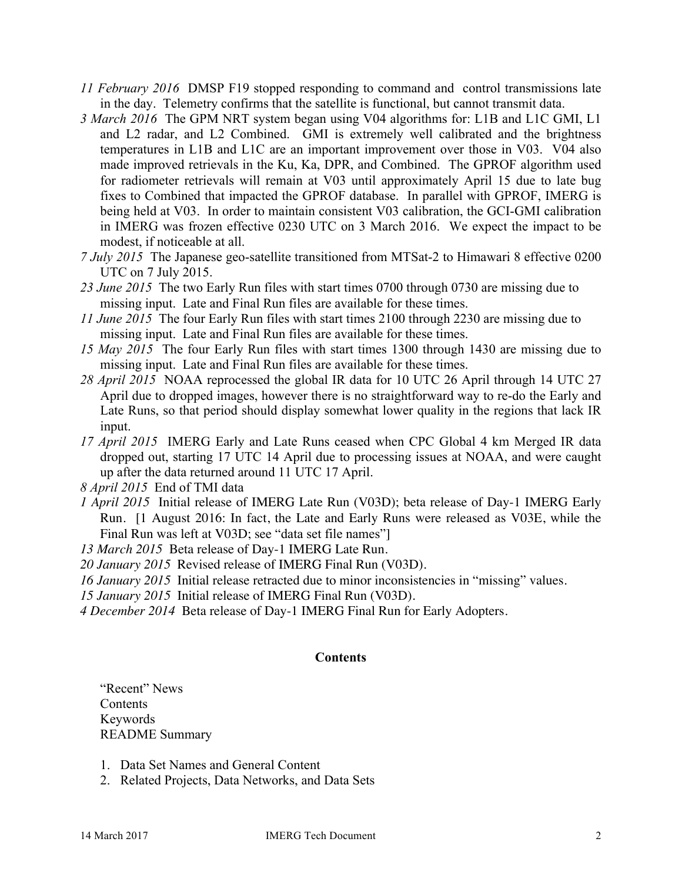- *11 February 2016* DMSP F19 stopped responding to command and control transmissions late in the day. Telemetry confirms that the satellite is functional, but cannot transmit data.
- *3 March 2016* The GPM NRT system began using V04 algorithms for: L1B and L1C GMI, L1 and L2 radar, and L2 Combined. GMI is extremely well calibrated and the brightness temperatures in L1B and L1C are an important improvement over those in V03. V04 also made improved retrievals in the Ku, Ka, DPR, and Combined. The GPROF algorithm used for radiometer retrievals will remain at V03 until approximately April 15 due to late bug fixes to Combined that impacted the GPROF database. In parallel with GPROF, IMERG is being held at V03. In order to maintain consistent V03 calibration, the GCI-GMI calibration in IMERG was frozen effective 0230 UTC on 3 March 2016. We expect the impact to be modest, if noticeable at all.
- *7 July 2015* The Japanese geo-satellite transitioned from MTSat-2 to Himawari 8 effective 0200 UTC on 7 July 2015.
- *23 June 2015* The two Early Run files with start times 0700 through 0730 are missing due to missing input. Late and Final Run files are available for these times.
- *11 June 2015* The four Early Run files with start times 2100 through 2230 are missing due to missing input. Late and Final Run files are available for these times.
- *15 May 2015* The four Early Run files with start times 1300 through 1430 are missing due to missing input. Late and Final Run files are available for these times.
- *28 April 2015* NOAA reprocessed the global IR data for 10 UTC 26 April through 14 UTC 27 April due to dropped images, however there is no straightforward way to re-do the Early and Late Runs, so that period should display somewhat lower quality in the regions that lack IR input.
- *17 April 2015* IMERG Early and Late Runs ceased when CPC Global 4 km Merged IR data dropped out, starting 17 UTC 14 April due to processing issues at NOAA, and were caught up after the data returned around 11 UTC 17 April.
- *8 April 2015* End of TMI data
- *1 April 2015* Initial release of IMERG Late Run (V03D); beta release of Day-1 IMERG Early Run. [1 August 2016: In fact, the Late and Early Runs were released as V03E, while the Final Run was left at V03D; see "data set file names"

*13 March 2015* Beta release of Day-1 IMERG Late Run.

- *20 January 2015* Revised release of IMERG Final Run (V03D).
- *16 January 2015* Initial release retracted due to minor inconsistencies in "missing" values.
- *15 January 2015* Initial release of IMERG Final Run (V03D).
- *4 December 2014* Beta release of Day-1 IMERG Final Run for Early Adopters.

### **Contents**

"Recent" News Contents Keywords README Summary

- 1. Data Set Names and General Content
- 2. Related Projects, Data Networks, and Data Sets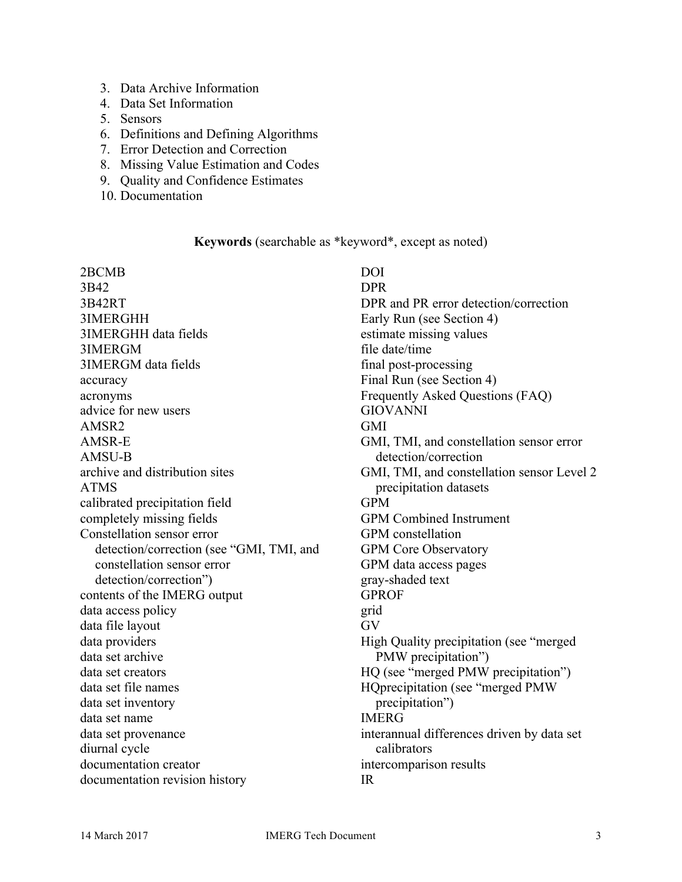- 3. Data Archive Information
- 4. Data Set Information
- 5. Sensors
- 6. Definitions and Defining Algorithms
- 7. Error Detection and Correction
- 8. Missing Value Estimation and Codes
- 9. Quality and Confidence Estimates
- 10. Documentation

#### **Keywords** (searchable as \*keyword\*, except as noted)

2BCMB 3B42 3B42RT 3IMERGHH 3IMERGHH data fields 3IMERGM 3IMERGM data fields accuracy acronyms advice for new users AMSR2 AMSR-E AMSU-B archive and distribution sites ATMS calibrated precipitation field completely missing fields Constellation sensor error detection/correction (see "GMI, TMI, and constellation sensor error detection/correction") contents of the IMERG output data access policy data file layout data providers data set archive data set creators data set file names data set inventory data set name data set provenance diurnal cycle documentation creator documentation revision history

DOI DPR DPR and PR error detection/correction Early Run (see Section 4) estimate missing values file date/time final post-processing Final Run (see Section 4) Frequently Asked Questions (FAQ) GIOVANNI GMI GMI, TMI, and constellation sensor error detection/correction GMI, TMI, and constellation sensor Level 2 precipitation datasets GPM GPM Combined Instrument GPM constellation GPM Core Observatory GPM data access pages gray-shaded text GPROF grid GV High Quality precipitation (see "merged PMW precipitation") HQ (see "merged PMW precipitation") HQprecipitation (see "merged PMW precipitation") IMERG interannual differences driven by data set calibrators intercomparison results IR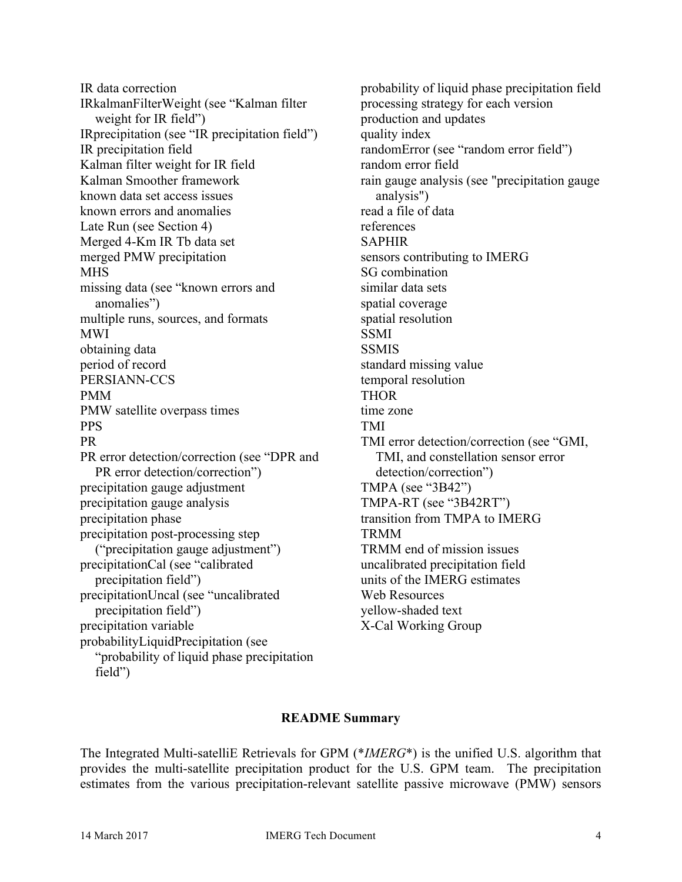IR data correction IRkalmanFilterWeight (see "Kalman filter weight for IR field") IRprecipitation (see "IR precipitation field") IR precipitation field Kalman filter weight for IR field Kalman Smoother framework known data set access issues known errors and anomalies Late Run (see Section 4) Merged 4-Km IR Tb data set merged PMW precipitation **MHS** missing data (see "known errors and anomalies") multiple runs, sources, and formats MWI obtaining data period of record PERSIANN-CCS PMM PMW satellite overpass times PPS PR PR error detection/correction (see "DPR and PR error detection/correction") precipitation gauge adjustment precipitation gauge analysis precipitation phase precipitation post-processing step ("precipitation gauge adjustment") precipitationCal (see "calibrated precipitation field") precipitationUncal (see "uncalibrated precipitation field") precipitation variable probabilityLiquidPrecipitation (see "probability of liquid phase precipitation field")

probability of liquid phase precipitation field processing strategy for each version production and updates quality index randomError (see "random error field") random error field rain gauge analysis (see "precipitation gauge analysis") read a file of data references SAPHIR sensors contributing to IMERG SG combination similar data sets spatial coverage spatial resolution **SSMI SSMIS** standard missing value temporal resolution **THOR** time zone TMI TMI error detection/correction (see "GMI, TMI, and constellation sensor error detection/correction") TMPA (see "3B42") TMPA-RT (see "3B42RT") transition from TMPA to IMERG TRMM TRMM end of mission issues uncalibrated precipitation field units of the IMERG estimates Web Resources yellow-shaded text X-Cal Working Group

#### **README Summary**

The Integrated Multi-satelliE Retrievals for GPM (\**IMERG*\*) is the unified U.S. algorithm that provides the multi-satellite precipitation product for the U.S. GPM team. The precipitation estimates from the various precipitation-relevant satellite passive microwave (PMW) sensors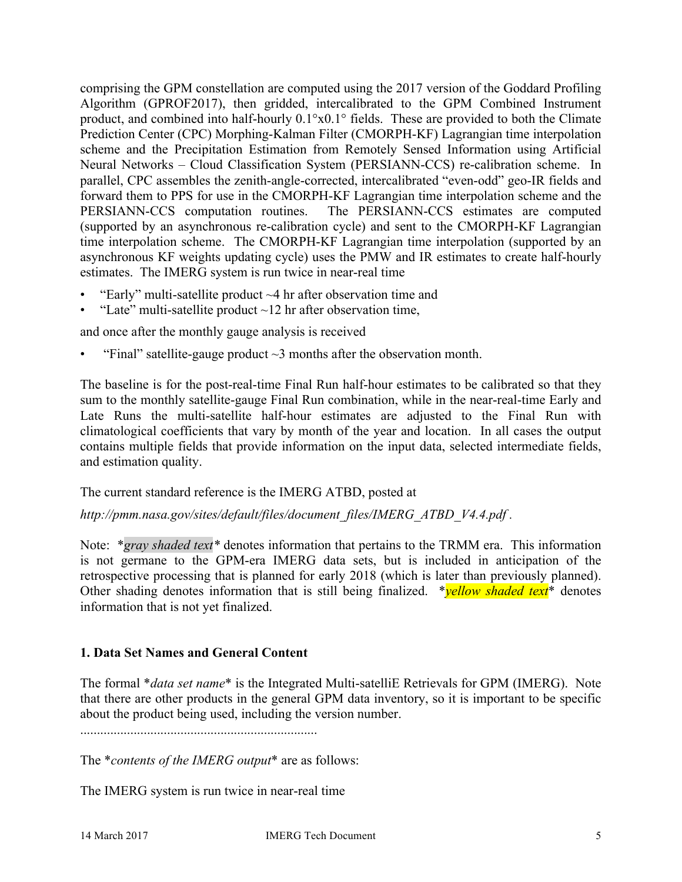comprising the GPM constellation are computed using the 2017 version of the Goddard Profiling Algorithm (GPROF2017), then gridded, intercalibrated to the GPM Combined Instrument product, and combined into half-hourly 0.1°x0.1° fields. These are provided to both the Climate Prediction Center (CPC) Morphing-Kalman Filter (CMORPH-KF) Lagrangian time interpolation scheme and the Precipitation Estimation from Remotely Sensed Information using Artificial Neural Networks – Cloud Classification System (PERSIANN-CCS) re-calibration scheme. In parallel, CPC assembles the zenith-angle-corrected, intercalibrated "even-odd" geo-IR fields and forward them to PPS for use in the CMORPH-KF Lagrangian time interpolation scheme and the PERSIANN-CCS computation routines. The PERSIANN-CCS estimates are computed (supported by an asynchronous re-calibration cycle) and sent to the CMORPH-KF Lagrangian time interpolation scheme. The CMORPH-KF Lagrangian time interpolation (supported by an asynchronous KF weights updating cycle) uses the PMW and IR estimates to create half-hourly estimates. The IMERG system is run twice in near-real time

- "Early" multi-satellite product  $\sim$ 4 hr after observation time and
- "Late" multi-satellite product  $\sim$  12 hr after observation time,

and once after the monthly gauge analysis is received

"Final" satellite-gauge product  $\sim$ 3 months after the observation month.

The baseline is for the post-real-time Final Run half-hour estimates to be calibrated so that they sum to the monthly satellite-gauge Final Run combination, while in the near-real-time Early and Late Runs the multi-satellite half-hour estimates are adjusted to the Final Run with climatological coefficients that vary by month of the year and location. In all cases the output contains multiple fields that provide information on the input data, selected intermediate fields, and estimation quality.

### The current standard reference is the IMERG ATBD, posted at

*http://pmm.nasa.gov/sites/default/files/document\_files/IMERG\_ATBD\_V4.4.pdf .*

Note: \**gray shaded text\** denotes information that pertains to the TRMM era. This information is not germane to the GPM-era IMERG data sets, but is included in anticipation of the retrospective processing that is planned for early 2018 (which is later than previously planned). Other shading denotes information that is still being finalized. \**yellow shaded text*\* denotes information that is not yet finalized.

### **1. Data Set Names and General Content**

The formal \**data set name*\* is the Integrated Multi-satelliE Retrievals for GPM (IMERG). Note that there are other products in the general GPM data inventory, so it is important to be specific about the product being used, including the version number.

The \**contents of the IMERG output*\* are as follows:

The IMERG system is run twice in near-real time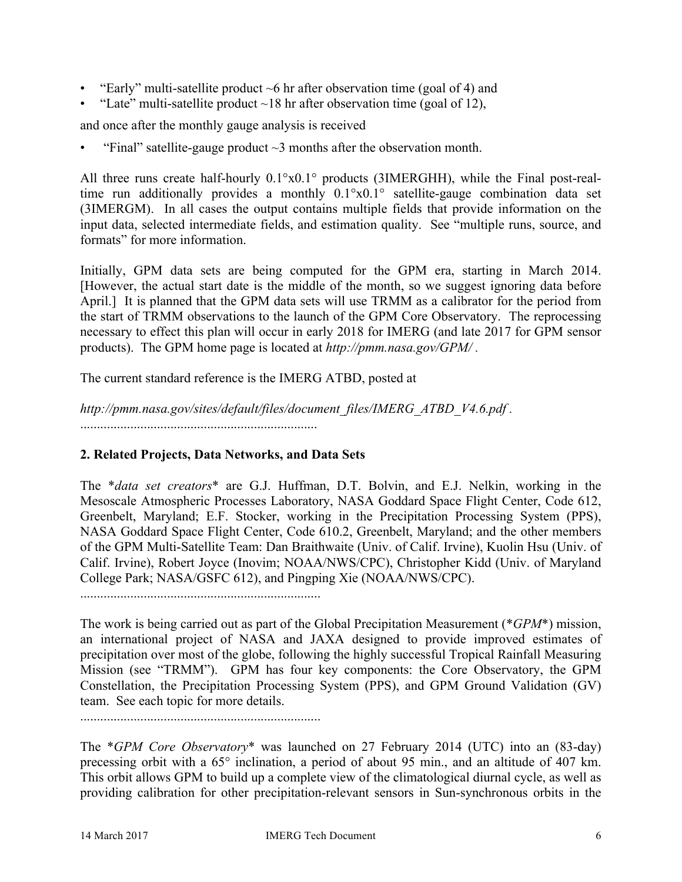- "Early" multi-satellite product  $\sim$ 6 hr after observation time (goal of 4) and
- "Late" multi-satellite product  $\sim$  18 hr after observation time (goal of 12),

and once after the monthly gauge analysis is received

"Final" satellite-gauge product  $\sim$ 3 months after the observation month.

All three runs create half-hourly 0.1°x0.1° products (3IMERGHH), while the Final post-realtime run additionally provides a monthly 0.1°x0.1° satellite-gauge combination data set (3IMERGM). In all cases the output contains multiple fields that provide information on the input data, selected intermediate fields, and estimation quality. See "multiple runs, source, and formats" for more information.

Initially, GPM data sets are being computed for the GPM era, starting in March 2014. [However, the actual start date is the middle of the month, so we suggest ignoring data before April.] It is planned that the GPM data sets will use TRMM as a calibrator for the period from the start of TRMM observations to the launch of the GPM Core Observatory. The reprocessing necessary to effect this plan will occur in early 2018 for IMERG (and late 2017 for GPM sensor products). The GPM home page is located at *http://pmm.nasa.gov/GPM/ .*

The current standard reference is the IMERG ATBD, posted at

*http://pmm.nasa.gov/sites/default/files/document\_files/IMERG\_ATBD\_V4.6.pdf .* .......................................................................

### **2. Related Projects, Data Networks, and Data Sets**

The \**data set creators*\* are G.J. Huffman, D.T. Bolvin, and E.J. Nelkin, working in the Mesoscale Atmospheric Processes Laboratory, NASA Goddard Space Flight Center, Code 612, Greenbelt, Maryland; E.F. Stocker, working in the Precipitation Processing System (PPS), NASA Goddard Space Flight Center, Code 610.2, Greenbelt, Maryland; and the other members of the GPM Multi-Satellite Team: Dan Braithwaite (Univ. of Calif. Irvine), Kuolin Hsu (Univ. of Calif. Irvine), Robert Joyce (Inovim; NOAA/NWS/CPC), Christopher Kidd (Univ. of Maryland College Park; NASA/GSFC 612), and Pingping Xie (NOAA/NWS/CPC).

........................................................................

The work is being carried out as part of the Global Precipitation Measurement (\**GPM*\*) mission, an international project of NASA and JAXA designed to provide improved estimates of precipitation over most of the globe, following the highly successful Tropical Rainfall Measuring Mission (see "TRMM"). GPM has four key components: the Core Observatory, the GPM Constellation, the Precipitation Processing System (PPS), and GPM Ground Validation (GV) team. See each topic for more details.

........................................................................

The \**GPM Core Observatory*\* was launched on 27 February 2014 (UTC) into an (83-day) precessing orbit with a 65° inclination, a period of about 95 min., and an altitude of 407 km. This orbit allows GPM to build up a complete view of the climatological diurnal cycle, as well as providing calibration for other precipitation-relevant sensors in Sun-synchronous orbits in the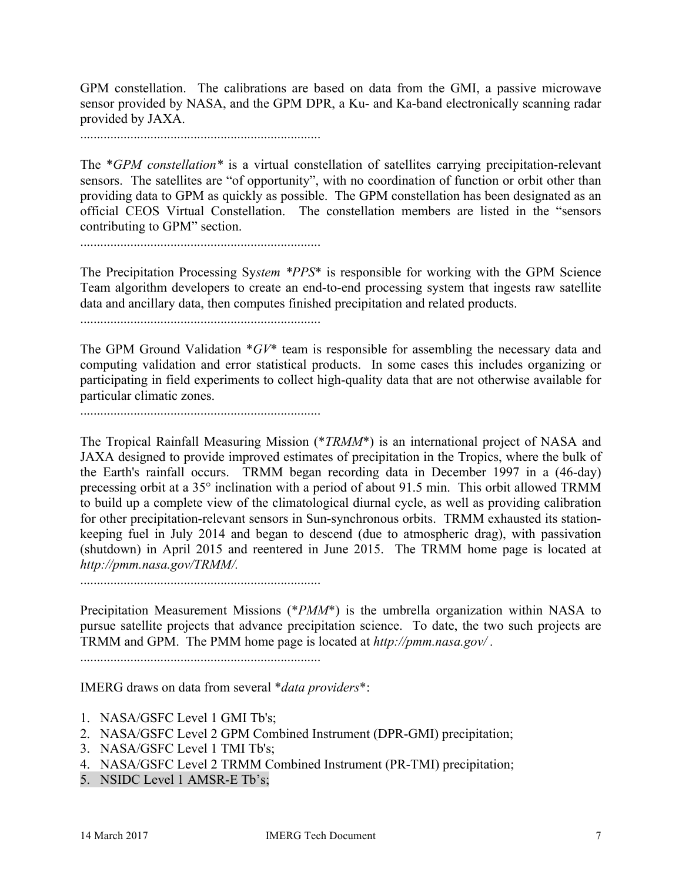GPM constellation. The calibrations are based on data from the GMI, a passive microwave sensor provided by NASA, and the GPM DPR, a Ku- and Ka-band electronically scanning radar provided by JAXA.

........................................................................

The \**GPM constellation\** is a virtual constellation of satellites carrying precipitation-relevant sensors. The satellites are "of opportunity", with no coordination of function or orbit other than providing data to GPM as quickly as possible. The GPM constellation has been designated as an official CEOS Virtual Constellation. The constellation members are listed in the "sensors contributing to GPM" section.

........................................................................

The Precipitation Processing Sy*stem \*PPS*\* is responsible for working with the GPM Science Team algorithm developers to create an end-to-end processing system that ingests raw satellite data and ancillary data, then computes finished precipitation and related products.

........................................................................

The GPM Ground Validation \**GV*\* team is responsible for assembling the necessary data and computing validation and error statistical products. In some cases this includes organizing or participating in field experiments to collect high-quality data that are not otherwise available for particular climatic zones.

........................................................................

The Tropical Rainfall Measuring Mission (\**TRMM*\*) is an international project of NASA and JAXA designed to provide improved estimates of precipitation in the Tropics, where the bulk of the Earth's rainfall occurs. TRMM began recording data in December 1997 in a (46-day) precessing orbit at a 35° inclination with a period of about 91.5 min. This orbit allowed TRMM to build up a complete view of the climatological diurnal cycle, as well as providing calibration for other precipitation-relevant sensors in Sun-synchronous orbits. TRMM exhausted its stationkeeping fuel in July 2014 and began to descend (due to atmospheric drag), with passivation (shutdown) in April 2015 and reentered in June 2015. The TRMM home page is located at *http://pmm.nasa.gov/TRMM/.*

........................................................................

Precipitation Measurement Missions (\**PMM*\*) is the umbrella organization within NASA to pursue satellite projects that advance precipitation science. To date, the two such projects are TRMM and GPM. The PMM home page is located at *http://pmm.nasa.gov/ .*

........................................................................

IMERG draws on data from several \**data providers*\*:

- 1. NASA/GSFC Level 1 GMI Tb's;
- 2. NASA/GSFC Level 2 GPM Combined Instrument (DPR-GMI) precipitation;
- 3. NASA/GSFC Level 1 TMI Tb's;
- 4. NASA/GSFC Level 2 TRMM Combined Instrument (PR-TMI) precipitation;
- 5. NSIDC Level 1 AMSR-E Tb's;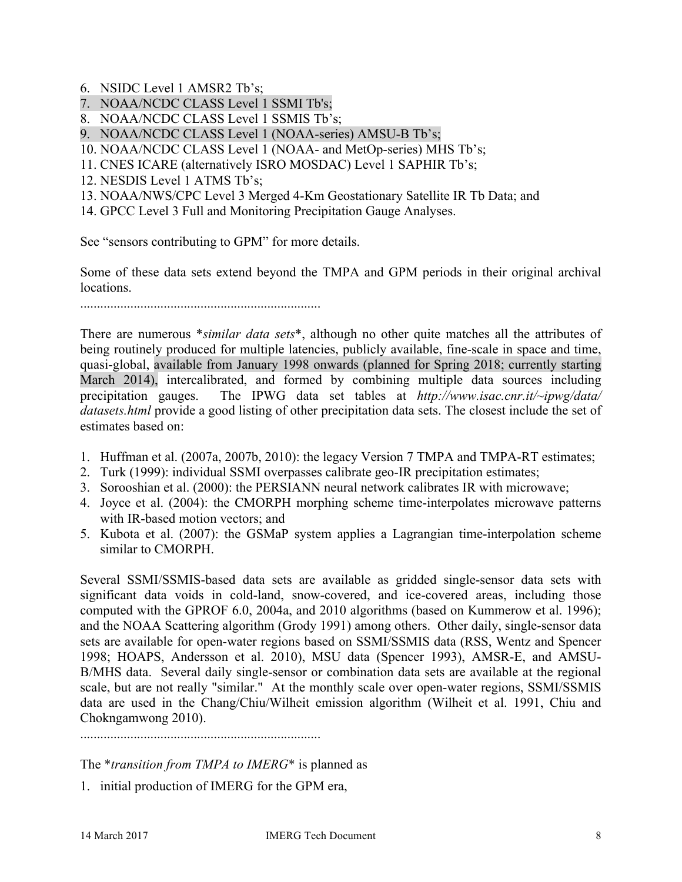- 6. NSIDC Level 1 AMSR2 Tb's;
- 7. NOAA/NCDC CLASS Level 1 SSMI Tb's;
- 8. NOAA/NCDC CLASS Level 1 SSMIS Tb's;
- 9. NOAA/NCDC CLASS Level 1 (NOAA-series) AMSU-B Tb's;
- 10. NOAA/NCDC CLASS Level 1 (NOAA- and MetOp-series) MHS Tb's;
- 11. CNES ICARE (alternatively ISRO MOSDAC) Level 1 SAPHIR Tb's;
- 12. NESDIS Level 1 ATMS Tb's;
- 13. NOAA/NWS/CPC Level 3 Merged 4-Km Geostationary Satellite IR Tb Data; and
- 14. GPCC Level 3 Full and Monitoring Precipitation Gauge Analyses.

See "sensors contributing to GPM" for more details.

Some of these data sets extend beyond the TMPA and GPM periods in their original archival locations.

........................................................................

There are numerous \**similar data sets*\*, although no other quite matches all the attributes of being routinely produced for multiple latencies, publicly available, fine-scale in space and time, quasi-global, available from January 1998 onwards (planned for Spring 2018; currently starting March 2014), intercalibrated, and formed by combining multiple data sources including precipitation gauges. The IPWG data set tables at *http://www.isac.cnr.it/~ipwg/data/ datasets.html* provide a good listing of other precipitation data sets. The closest include the set of estimates based on:

- 1. Huffman et al. (2007a, 2007b, 2010): the legacy Version 7 TMPA and TMPA-RT estimates;
- 2. Turk (1999): individual SSMI overpasses calibrate geo-IR precipitation estimates;
- 3. Sorooshian et al. (2000): the PERSIANN neural network calibrates IR with microwave;
- 4. Joyce et al. (2004): the CMORPH morphing scheme time-interpolates microwave patterns with IR-based motion vectors; and
- 5. Kubota et al. (2007): the GSMaP system applies a Lagrangian time-interpolation scheme similar to CMORPH.

Several SSMI/SSMIS-based data sets are available as gridded single-sensor data sets with significant data voids in cold-land, snow-covered, and ice-covered areas, including those computed with the GPROF 6.0, 2004a, and 2010 algorithms (based on Kummerow et al. 1996); and the NOAA Scattering algorithm (Grody 1991) among others. Other daily, single-sensor data sets are available for open-water regions based on SSMI/SSMIS data (RSS, Wentz and Spencer 1998; HOAPS, Andersson et al. 2010), MSU data (Spencer 1993), AMSR-E, and AMSU-B/MHS data. Several daily single-sensor or combination data sets are available at the regional scale, but are not really "similar." At the monthly scale over open-water regions, SSMI/SSMIS data are used in the Chang/Chiu/Wilheit emission algorithm (Wilheit et al. 1991, Chiu and Chokngamwong 2010).

........................................................................

The \**transition from TMPA to IMERG*\* is planned as

1. initial production of IMERG for the GPM era,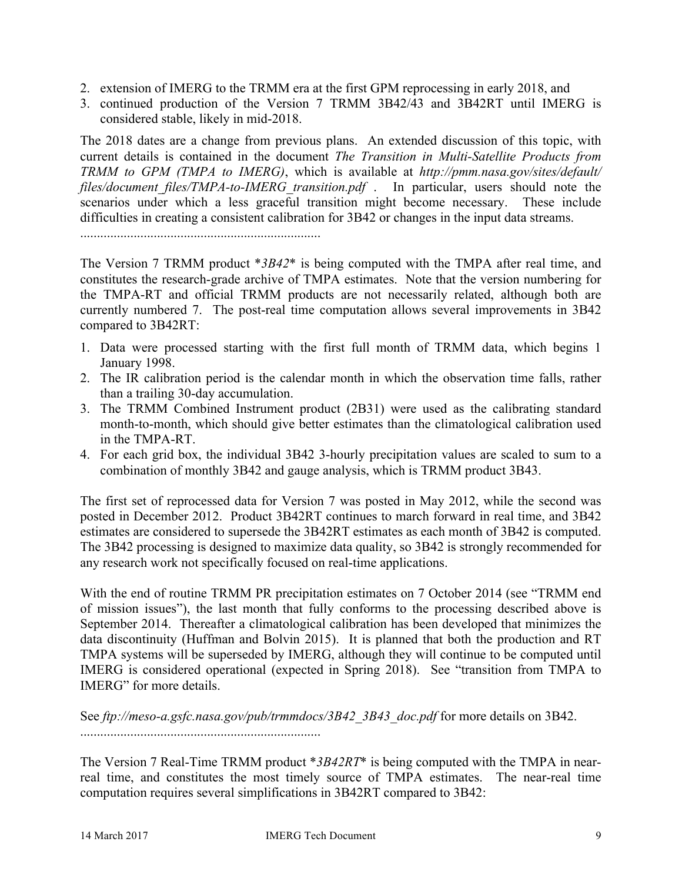- 2. extension of IMERG to the TRMM era at the first GPM reprocessing in early 2018, and
- 3. continued production of the Version 7 TRMM 3B42/43 and 3B42RT until IMERG is considered stable, likely in mid-2018.

The 2018 dates are a change from previous plans. An extended discussion of this topic, with current details is contained in the document *The Transition in Multi-Satellite Products from TRMM to GPM (TMPA to IMERG)*, which is available at *http://pmm.nasa.gov/sites/default/ files/document\_files/TMPA-to-IMERG\_transition.pdf* . In particular, users should note the scenarios under which a less graceful transition might become necessary. These include difficulties in creating a consistent calibration for 3B42 or changes in the input data streams.

........................................................................

The Version 7 TRMM product \**3B42*\* is being computed with the TMPA after real time, and constitutes the research-grade archive of TMPA estimates. Note that the version numbering for the TMPA-RT and official TRMM products are not necessarily related, although both are currently numbered 7. The post-real time computation allows several improvements in 3B42 compared to 3B42RT:

- 1. Data were processed starting with the first full month of TRMM data, which begins 1 January 1998.
- 2. The IR calibration period is the calendar month in which the observation time falls, rather than a trailing 30-day accumulation.
- 3. The TRMM Combined Instrument product (2B31) were used as the calibrating standard month-to-month, which should give better estimates than the climatological calibration used in the TMPA-RT.
- 4. For each grid box, the individual 3B42 3-hourly precipitation values are scaled to sum to a combination of monthly 3B42 and gauge analysis, which is TRMM product 3B43.

The first set of reprocessed data for Version 7 was posted in May 2012, while the second was posted in December 2012. Product 3B42RT continues to march forward in real time, and 3B42 estimates are considered to supersede the 3B42RT estimates as each month of 3B42 is computed. The 3B42 processing is designed to maximize data quality, so 3B42 is strongly recommended for any research work not specifically focused on real-time applications.

With the end of routine TRMM PR precipitation estimates on 7 October 2014 (see "TRMM end of mission issues"), the last month that fully conforms to the processing described above is September 2014. Thereafter a climatological calibration has been developed that minimizes the data discontinuity (Huffman and Bolvin 2015). It is planned that both the production and RT TMPA systems will be superseded by IMERG, although they will continue to be computed until IMERG is considered operational (expected in Spring 2018). See "transition from TMPA to IMERG" for more details.

See *ftp://meso-a.gsfc.nasa.gov/pub/trmmdocs/3B42\_3B43\_doc.pdf* for more details on 3B42.

........................................................................

The Version 7 Real-Time TRMM product \**3B42RT*\* is being computed with the TMPA in nearreal time, and constitutes the most timely source of TMPA estimates. The near-real time computation requires several simplifications in 3B42RT compared to 3B42: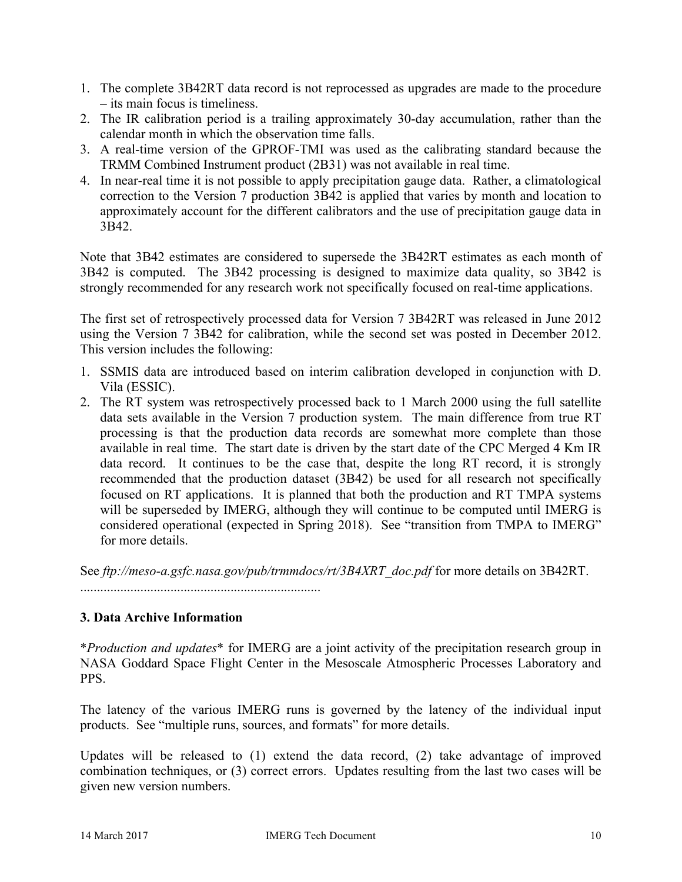- 1. The complete 3B42RT data record is not reprocessed as upgrades are made to the procedure – its main focus is timeliness.
- 2. The IR calibration period is a trailing approximately 30-day accumulation, rather than the calendar month in which the observation time falls.
- 3. A real-time version of the GPROF-TMI was used as the calibrating standard because the TRMM Combined Instrument product (2B31) was not available in real time.
- 4. In near-real time it is not possible to apply precipitation gauge data. Rather, a climatological correction to the Version 7 production 3B42 is applied that varies by month and location to approximately account for the different calibrators and the use of precipitation gauge data in 3B42.

Note that 3B42 estimates are considered to supersede the 3B42RT estimates as each month of 3B42 is computed. The 3B42 processing is designed to maximize data quality, so 3B42 is strongly recommended for any research work not specifically focused on real-time applications.

The first set of retrospectively processed data for Version 7 3B42RT was released in June 2012 using the Version 7 3B42 for calibration, while the second set was posted in December 2012. This version includes the following:

- 1. SSMIS data are introduced based on interim calibration developed in conjunction with D. Vila (ESSIC).
- 2. The RT system was retrospectively processed back to 1 March 2000 using the full satellite data sets available in the Version 7 production system. The main difference from true RT processing is that the production data records are somewhat more complete than those available in real time. The start date is driven by the start date of the CPC Merged 4 Km IR data record. It continues to be the case that, despite the long RT record, it is strongly recommended that the production dataset (3B42) be used for all research not specifically focused on RT applications. It is planned that both the production and RT TMPA systems will be superseded by IMERG, although they will continue to be computed until IMERG is considered operational (expected in Spring 2018). See "transition from TMPA to IMERG" for more details.

See *ftp://meso-a.gsfc.nasa.gov/pub/trmmdocs/rt/3B4XRT\_doc.pdf* for more details on 3B42RT.

........................................................................

# **3. Data Archive Information**

\**Production and updates*\* for IMERG are a joint activity of the precipitation research group in NASA Goddard Space Flight Center in the Mesoscale Atmospheric Processes Laboratory and **PPS** 

The latency of the various IMERG runs is governed by the latency of the individual input products. See "multiple runs, sources, and formats" for more details.

Updates will be released to (1) extend the data record, (2) take advantage of improved combination techniques, or (3) correct errors. Updates resulting from the last two cases will be given new version numbers.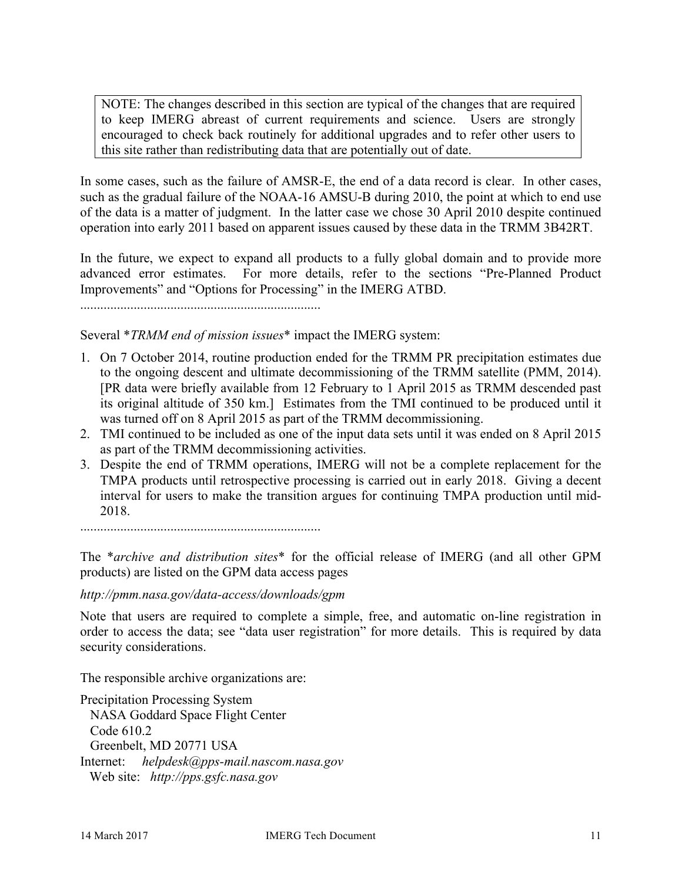NOTE: The changes described in this section are typical of the changes that are required to keep IMERG abreast of current requirements and science. Users are strongly encouraged to check back routinely for additional upgrades and to refer other users to this site rather than redistributing data that are potentially out of date.

In some cases, such as the failure of AMSR-E, the end of a data record is clear. In other cases, such as the gradual failure of the NOAA-16 AMSU-B during 2010, the point at which to end use of the data is a matter of judgment. In the latter case we chose 30 April 2010 despite continued operation into early 2011 based on apparent issues caused by these data in the TRMM 3B42RT.

In the future, we expect to expand all products to a fully global domain and to provide more advanced error estimates. For more details, refer to the sections "Pre-Planned Product Improvements" and "Options for Processing" in the IMERG ATBD.

........................................................................

Several \**TRMM end of mission issues*\* impact the IMERG system:

- 1. On 7 October 2014, routine production ended for the TRMM PR precipitation estimates due to the ongoing descent and ultimate decommissioning of the TRMM satellite (PMM, 2014). [PR data were briefly available from 12 February to 1 April 2015 as TRMM descended past its original altitude of 350 km.] Estimates from the TMI continued to be produced until it was turned off on 8 April 2015 as part of the TRMM decommissioning.
- 2. TMI continued to be included as one of the input data sets until it was ended on 8 April 2015 as part of the TRMM decommissioning activities.
- 3. Despite the end of TRMM operations, IMERG will not be a complete replacement for the TMPA products until retrospective processing is carried out in early 2018. Giving a decent interval for users to make the transition argues for continuing TMPA production until mid-2018.

The \**archive and distribution sites*\* for the official release of IMERG (and all other GPM products) are listed on the GPM data access pages

*http://pmm.nasa.gov/data-access/downloads/gpm*

Note that users are required to complete a simple, free, and automatic on-line registration in order to access the data; see "data user registration" for more details. This is required by data security considerations.

The responsible archive organizations are:

Precipitation Processing System NASA Goddard Space Flight Center Code 610.2 Greenbelt, MD 20771 USA Internet: *helpdesk@pps-mail.nascom.nasa.gov* Web site: *http://pps.gsfc.nasa.gov*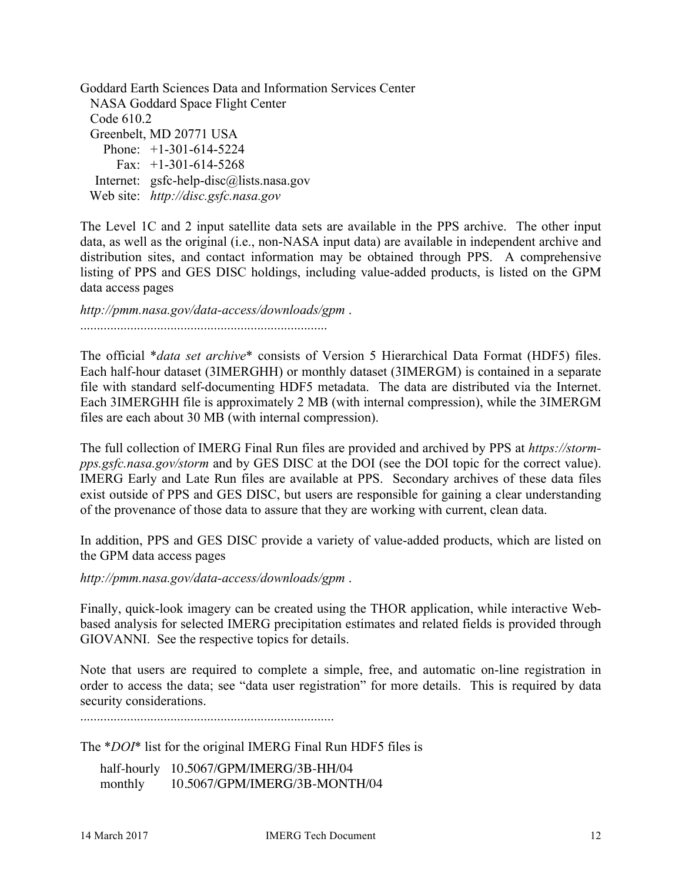Goddard Earth Sciences Data and Information Services Center NASA Goddard Space Flight Center Code 610.2 Greenbelt, MD 20771 USA Phone: +1-301-614-5224 Fax:  $+1-301-614-5268$ Internet: gsfc-help-disc@lists.nasa.gov Web site: *http://disc.gsfc.nasa.gov*

The Level 1C and 2 input satellite data sets are available in the PPS archive. The other input data, as well as the original (i.e., non-NASA input data) are available in independent archive and distribution sites, and contact information may be obtained through PPS. A comprehensive listing of PPS and GES DISC holdings, including value-added products, is listed on the GPM data access pages

*http://pmm.nasa.gov/data-access/downloads/gpm* . ..........................................................................

The official \**data set archive*\* consists of Version 5 Hierarchical Data Format (HDF5) files. Each half-hour dataset (3IMERGHH) or monthly dataset (3IMERGM) is contained in a separate file with standard self-documenting HDF5 metadata. The data are distributed via the Internet. Each 3IMERGHH file is approximately 2 MB (with internal compression), while the 3IMERGM files are each about 30 MB (with internal compression).

The full collection of IMERG Final Run files are provided and archived by PPS at *https://stormpps.gsfc.nasa.gov/storm* and by GES DISC at the DOI (see the DOI topic for the correct value). IMERG Early and Late Run files are available at PPS. Secondary archives of these data files exist outside of PPS and GES DISC, but users are responsible for gaining a clear understanding of the provenance of those data to assure that they are working with current, clean data.

In addition, PPS and GES DISC provide a variety of value-added products, which are listed on the GPM data access pages

*http://pmm.nasa.gov/data-access/downloads/gpm* .

Finally, quick-look imagery can be created using the THOR application, while interactive Webbased analysis for selected IMERG precipitation estimates and related fields is provided through GIOVANNI. See the respective topics for details.

Note that users are required to complete a simple, free, and automatic on-line registration in order to access the data; see "data user registration" for more details. This is required by data security considerations.

............................................................................

The \**DOI*\* list for the original IMERG Final Run HDF5 files is

half-hourly 10.5067/GPM/IMERG/3B-HH/04 monthly 10.5067/GPM/IMERG/3B-MONTH/04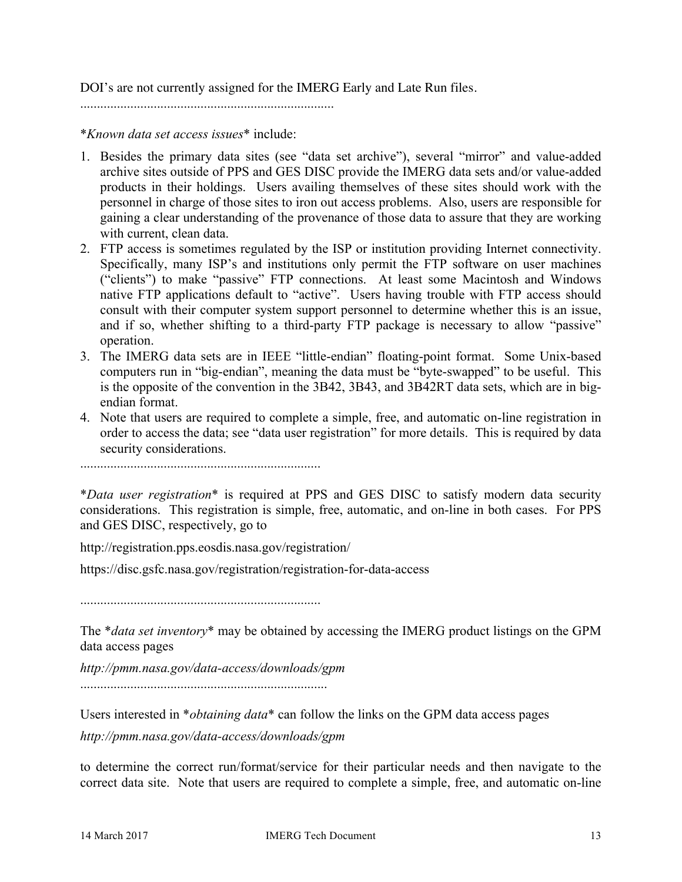DOI's are not currently assigned for the IMERG Early and Late Run files.

............................................................................

\**Known data set access issues*\* include:

- 1. Besides the primary data sites (see "data set archive"), several "mirror" and value-added archive sites outside of PPS and GES DISC provide the IMERG data sets and/or value-added products in their holdings. Users availing themselves of these sites should work with the personnel in charge of those sites to iron out access problems. Also, users are responsible for gaining a clear understanding of the provenance of those data to assure that they are working with current, clean data.
- 2. FTP access is sometimes regulated by the ISP or institution providing Internet connectivity. Specifically, many ISP's and institutions only permit the FTP software on user machines ("clients") to make "passive" FTP connections. At least some Macintosh and Windows native FTP applications default to "active". Users having trouble with FTP access should consult with their computer system support personnel to determine whether this is an issue, and if so, whether shifting to a third-party FTP package is necessary to allow "passive" operation.
- 3. The IMERG data sets are in IEEE "little-endian" floating-point format. Some Unix-based computers run in "big-endian", meaning the data must be "byte-swapped" to be useful. This is the opposite of the convention in the 3B42, 3B43, and 3B42RT data sets, which are in bigendian format.
- 4. Note that users are required to complete a simple, free, and automatic on-line registration in order to access the data; see "data user registration" for more details. This is required by data security considerations.

........................................................................

\**Data user registration*\* is required at PPS and GES DISC to satisfy modern data security considerations. This registration is simple, free, automatic, and on-line in both cases. For PPS and GES DISC, respectively, go to

http://registration.pps.eosdis.nasa.gov/registration/

https://disc.gsfc.nasa.gov/registration/registration-for-data-access

........................................................................

The \**data set inventory*\* may be obtained by accessing the IMERG product listings on the GPM data access pages

*http://pmm.nasa.gov/data-access/downloads/gpm*

..........................................................................

Users interested in \**obtaining data*\* can follow the links on the GPM data access pages

*http://pmm.nasa.gov/data-access/downloads/gpm*

to determine the correct run/format/service for their particular needs and then navigate to the correct data site. Note that users are required to complete a simple, free, and automatic on-line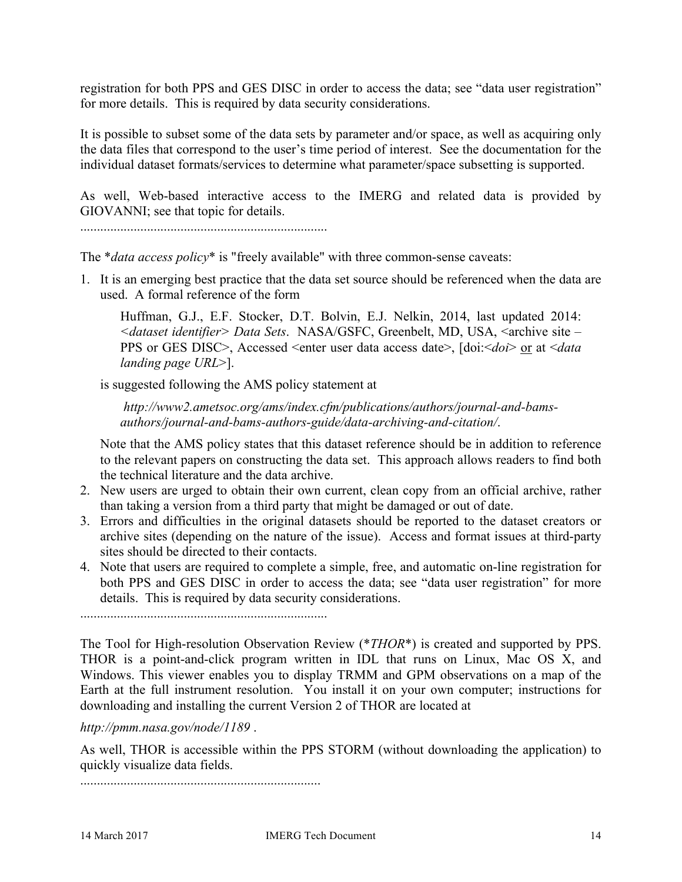registration for both PPS and GES DISC in order to access the data; see "data user registration" for more details. This is required by data security considerations.

It is possible to subset some of the data sets by parameter and/or space, as well as acquiring only the data files that correspond to the user's time period of interest. See the documentation for the individual dataset formats/services to determine what parameter/space subsetting is supported.

As well, Web-based interactive access to the IMERG and related data is provided by GIOVANNI; see that topic for details.

..........................................................................

The \**data access policy*\* is "freely available" with three common-sense caveats:

1. It is an emerging best practice that the data set source should be referenced when the data are used. A formal reference of the form

Huffman, G.J., E.F. Stocker, D.T. Bolvin, E.J. Nelkin, 2014, last updated 2014: *<dataset identifier> Data Sets*. NASA/GSFC, Greenbelt, MD, USA, <archive site – PPS or GES DISC>, Accessed <enter user data access date>, [doi:<*doi*> or at <*data landing page URL*>].

is suggested following the AMS policy statement at

*http://www2.ametsoc.org/ams/index.cfm/publications/authors/journal-and-bamsauthors/journal-and-bams-authors-guide/data-archiving-and-citation/*.

Note that the AMS policy states that this dataset reference should be in addition to reference to the relevant papers on constructing the data set. This approach allows readers to find both the technical literature and the data archive.

- 2. New users are urged to obtain their own current, clean copy from an official archive, rather than taking a version from a third party that might be damaged or out of date.
- 3. Errors and difficulties in the original datasets should be reported to the dataset creators or archive sites (depending on the nature of the issue). Access and format issues at third-party sites should be directed to their contacts.
- 4. Note that users are required to complete a simple, free, and automatic on-line registration for both PPS and GES DISC in order to access the data; see "data user registration" for more details. This is required by data security considerations.

..........................................................................

The Tool for High-resolution Observation Review (\**THOR*\*) is created and supported by PPS. THOR is a point-and-click program written in IDL that runs on Linux, Mac OS X, and Windows. This viewer enables you to display TRMM and GPM observations on a map of the Earth at the full instrument resolution. You install it on your own computer; instructions for downloading and installing the current Version 2 of THOR are located at

*http://pmm.nasa.gov/node/1189* .

As well, THOR is accessible within the PPS STORM (without downloading the application) to quickly visualize data fields.

........................................................................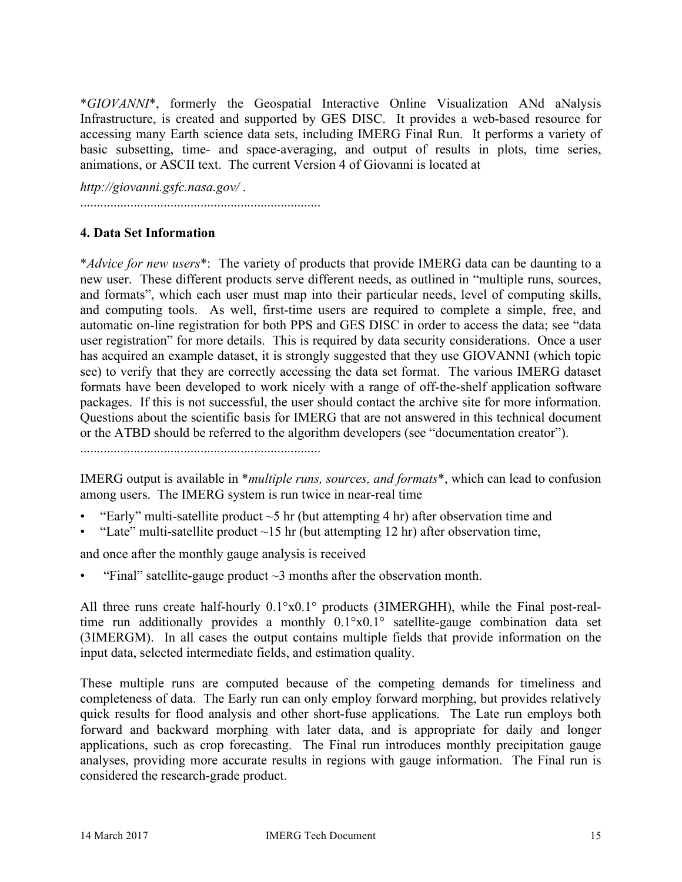\**GIOVANNI*\*, formerly the Geospatial Interactive Online Visualization ANd aNalysis Infrastructure, is created and supported by GES DISC. It provides a web-based resource for accessing many Earth science data sets, including IMERG Final Run. It performs a variety of basic subsetting, time- and space-averaging, and output of results in plots, time series, animations, or ASCII text. The current Version 4 of Giovanni is located at

*http://giovanni.gsfc.nasa.gov/* .

........................................................................

## **4. Data Set Information**

\**Advice for new users*\*: The variety of products that provide IMERG data can be daunting to a new user. These different products serve different needs, as outlined in "multiple runs, sources, and formats", which each user must map into their particular needs, level of computing skills, and computing tools. As well, first-time users are required to complete a simple, free, and automatic on-line registration for both PPS and GES DISC in order to access the data; see "data user registration" for more details. This is required by data security considerations. Once a user has acquired an example dataset, it is strongly suggested that they use GIOVANNI (which topic see) to verify that they are correctly accessing the data set format. The various IMERG dataset formats have been developed to work nicely with a range of off-the-shelf application software packages. If this is not successful, the user should contact the archive site for more information. Questions about the scientific basis for IMERG that are not answered in this technical document or the ATBD should be referred to the algorithm developers (see "documentation creator").

........................................................................

IMERG output is available in \**multiple runs, sources, and formats*\*, which can lead to confusion among users. The IMERG system is run twice in near-real time

- "Early" multi-satellite product  $\sim$  5 hr (but attempting 4 hr) after observation time and
- "Late" multi-satellite product  $\sim$ 15 hr (but attempting 12 hr) after observation time,

and once after the monthly gauge analysis is received

"Final" satellite-gauge product  $\sim$ 3 months after the observation month.

All three runs create half-hourly 0.1°x0.1° products (3IMERGHH), while the Final post-realtime run additionally provides a monthly 0.1°x0.1° satellite-gauge combination data set (3IMERGM). In all cases the output contains multiple fields that provide information on the input data, selected intermediate fields, and estimation quality.

These multiple runs are computed because of the competing demands for timeliness and completeness of data. The Early run can only employ forward morphing, but provides relatively quick results for flood analysis and other short-fuse applications. The Late run employs both forward and backward morphing with later data, and is appropriate for daily and longer applications, such as crop forecasting. The Final run introduces monthly precipitation gauge analyses, providing more accurate results in regions with gauge information. The Final run is considered the research-grade product.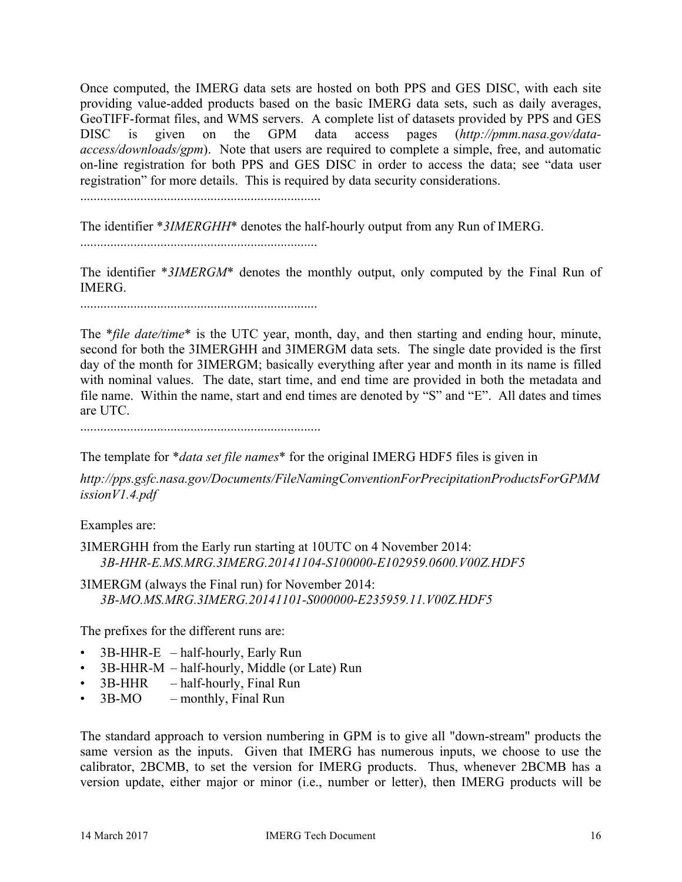Once computed, the IMERG data sets are hosted on both PPS and GES DISC, with each site providing value-added products based on the basic IMERG data sets, such as daily averages, GeoTIFF-format files, and WMS servers. A complete list of datasets provided by PPS and GES DISC is given on the GPM data access pages (*http://pmm.nasa.gov/dataaccess/downloads/gpm*). Note that users are required to complete a simple, free, and automatic on-line registration for both PPS and GES DISC in order to access the data; see "data user registration" for more details. This is required by data security considerations.

........................................................................

The identifier \**3IMERGHH*\* denotes the half-hourly output from any Run of IMERG.

.......................................................................

The identifier \**3IMERGM*\* denotes the monthly output, only computed by the Final Run of IMERG.

.......................................................................

The \**file date/time*\* is the UTC year, month, day, and then starting and ending hour, minute, second for both the 3IMERGHH and 3IMERGM data sets. The single date provided is the first day of the month for 3IMERGM; basically everything after year and month in its name is filled with nominal values. The date, start time, and end time are provided in both the metadata and file name. Within the name, start and end times are denoted by "S" and "E". All dates and times are UTC.

........................................................................

The template for \**data set file names*\* for the original IMERG HDF5 files is given in

*http://pps.gsfc.nasa.gov/Documents/FileNamingConventionForPrecipitationProductsForGPMM issionV1.4.pdf*

Examples are:

3IMERGHH from the Early run starting at 10UTC on 4 November 2014: *3B-HHR-E.MS.MRG.3IMERG.20141104-S100000-E102959.0600.V00Z.HDF5*

3IMERGM (always the Final run) for November 2014: *3B-MO.MS.MRG.3IMERG.20141101-S000000-E235959.11.V00Z.HDF5*

The prefixes for the different runs are:

- 3B-HHR-E half-hourly, Early Run
- 3B-HHR-M half-hourly, Middle (or Late) Run
- 3B-HHR half-hourly, Final Run
- $3B-MO$  monthly, Final Run

The standard approach to version numbering in GPM is to give all "down-stream" products the same version as the inputs. Given that IMERG has numerous inputs, we choose to use the calibrator, 2BCMB, to set the version for IMERG products. Thus, whenever 2BCMB has a version update, either major or minor (i.e., number or letter), then IMERG products will be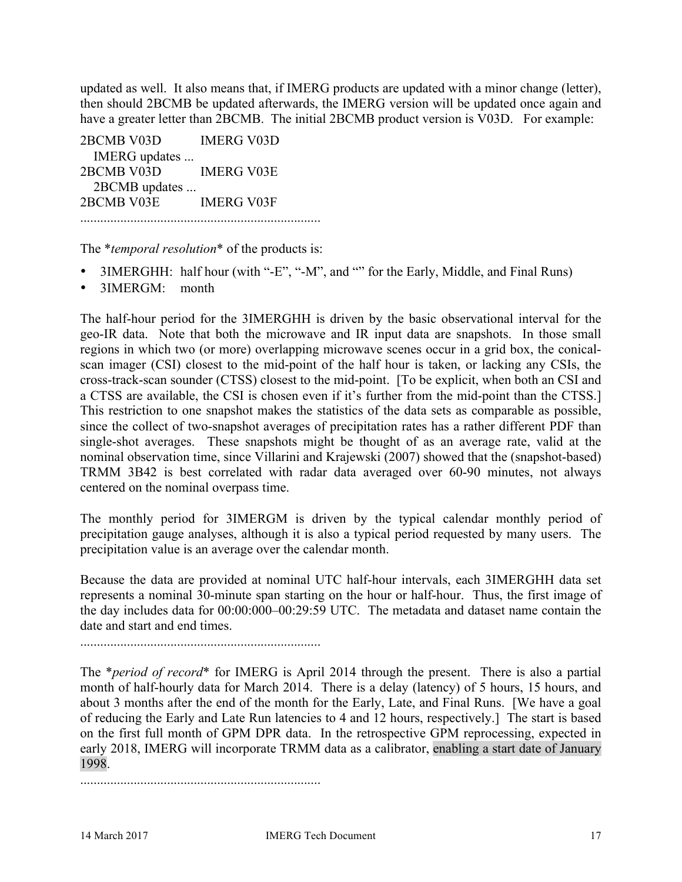updated as well. It also means that, if IMERG products are updated with a minor change (letter), then should 2BCMB be updated afterwards, the IMERG version will be updated once again and have a greater letter than 2BCMB. The initial 2BCMB product version is V03D. For example:

2BCMB V03D IMERG V03D IMERG updates ... 2BCMB V03D IMERG V03E 2BCMB updates ... 2BCMB V03E IMERG V03F ........................................................................

The \**temporal resolution*\* of the products is:

- 3IMERGHH: half hour (with "-E", "-M", and "" for the Early, Middle, and Final Runs)
- 3IMERGM: month

The half-hour period for the 3IMERGHH is driven by the basic observational interval for the geo-IR data. Note that both the microwave and IR input data are snapshots. In those small regions in which two (or more) overlapping microwave scenes occur in a grid box, the conicalscan imager (CSI) closest to the mid-point of the half hour is taken, or lacking any CSIs, the cross-track-scan sounder (CTSS) closest to the mid-point. [To be explicit, when both an CSI and a CTSS are available, the CSI is chosen even if it's further from the mid-point than the CTSS.] This restriction to one snapshot makes the statistics of the data sets as comparable as possible, since the collect of two-snapshot averages of precipitation rates has a rather different PDF than single-shot averages. These snapshots might be thought of as an average rate, valid at the nominal observation time, since Villarini and Krajewski (2007) showed that the (snapshot-based) TRMM 3B42 is best correlated with radar data averaged over 60-90 minutes, not always centered on the nominal overpass time.

The monthly period for 3IMERGM is driven by the typical calendar monthly period of precipitation gauge analyses, although it is also a typical period requested by many users. The precipitation value is an average over the calendar month.

Because the data are provided at nominal UTC half-hour intervals, each 3IMERGHH data set represents a nominal 30-minute span starting on the hour or half-hour. Thus, the first image of the day includes data for 00:00:000–00:29:59 UTC. The metadata and dataset name contain the date and start and end times.

........................................................................

The \**period of record*\* for IMERG is April 2014 through the present. There is also a partial month of half-hourly data for March 2014. There is a delay (latency) of 5 hours, 15 hours, and about 3 months after the end of the month for the Early, Late, and Final Runs. [We have a goal of reducing the Early and Late Run latencies to 4 and 12 hours, respectively.] The start is based on the first full month of GPM DPR data. In the retrospective GPM reprocessing, expected in early 2018, IMERG will incorporate TRMM data as a calibrator, enabling a start date of January 1998.

........................................................................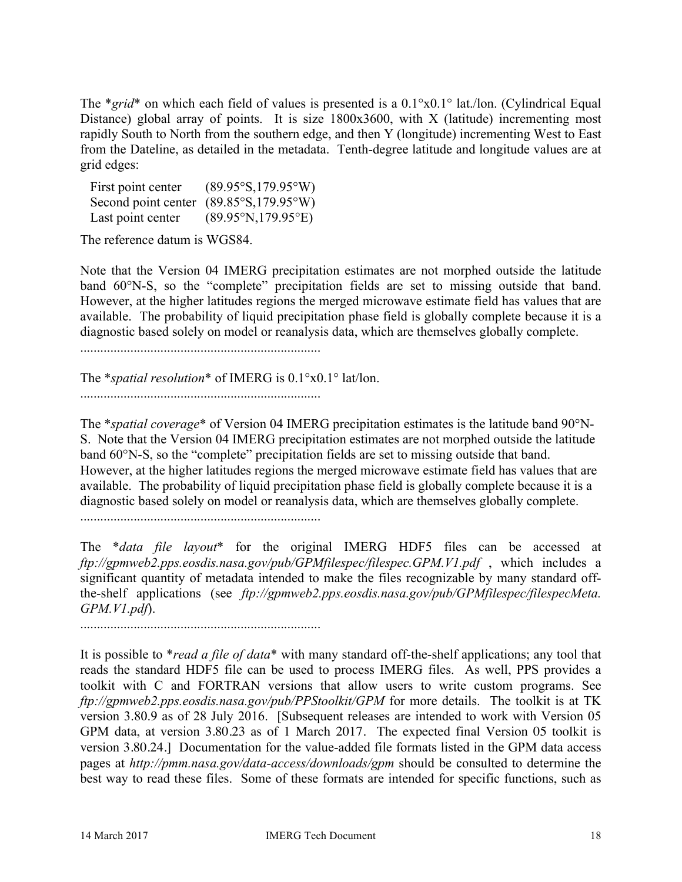The \**grid*\* on which each field of values is presented is a 0.1°x0.1° lat./lon. (Cylindrical Equal Distance) global array of points. It is size 1800x3600, with X (latitude) incrementing most rapidly South to North from the southern edge, and then Y (longitude) incrementing West to East from the Dateline, as detailed in the metadata. Tenth-degree latitude and longitude values are at grid edges:

| First point center | $(89.95\textdegree S, 179.95\textdegree W)$ |
|--------------------|---------------------------------------------|
|                    | Second point center (89.85°S,179.95°W)      |
| Last point center  | $(89.95\text{°N}, 179.95\text{°E})$         |

The reference datum is WGS84.

Note that the Version 04 IMERG precipitation estimates are not morphed outside the latitude band 60°N-S, so the "complete" precipitation fields are set to missing outside that band. However, at the higher latitudes regions the merged microwave estimate field has values that are available. The probability of liquid precipitation phase field is globally complete because it is a diagnostic based solely on model or reanalysis data, which are themselves globally complete.

........................................................................

The \**spatial resolution*\* of IMERG is 0.1°x0.1° lat/lon.

........................................................................

The \**spatial coverage*\* of Version 04 IMERG precipitation estimates is the latitude band 90°N-S. Note that the Version 04 IMERG precipitation estimates are not morphed outside the latitude band 60°N-S, so the "complete" precipitation fields are set to missing outside that band. However, at the higher latitudes regions the merged microwave estimate field has values that are available. The probability of liquid precipitation phase field is globally complete because it is a diagnostic based solely on model or reanalysis data, which are themselves globally complete.

........................................................................

The \**data file layout*\* for the original IMERG HDF5 files can be accessed at *ftp://gpmweb2.pps.eosdis.nasa.gov/pub/GPMfilespec/filespec.GPM.V1.pdf* , which includes a significant quantity of metadata intended to make the files recognizable by many standard offthe-shelf applications (see *ftp://gpmweb2.pps.eosdis.nasa.gov/pub/GPMfilespec/filespecMeta. GPM.V1.pdf*).

........................................................................

It is possible to \**read a file of data*\* with many standard off-the-shelf applications; any tool that reads the standard HDF5 file can be used to process IMERG files. As well, PPS provides a toolkit with C and FORTRAN versions that allow users to write custom programs. See *ftp://gpmweb2.pps.eosdis.nasa.gov/pub/PPStoolkit/GPM* for more details. The toolkit is at TK version 3.80.9 as of 28 July 2016. [Subsequent releases are intended to work with Version 05 GPM data, at version 3.80.23 as of 1 March 2017. The expected final Version 05 toolkit is version 3.80.24.] Documentation for the value-added file formats listed in the GPM data access pages at *http://pmm.nasa.gov/data-access/downloads/gpm* should be consulted to determine the best way to read these files. Some of these formats are intended for specific functions, such as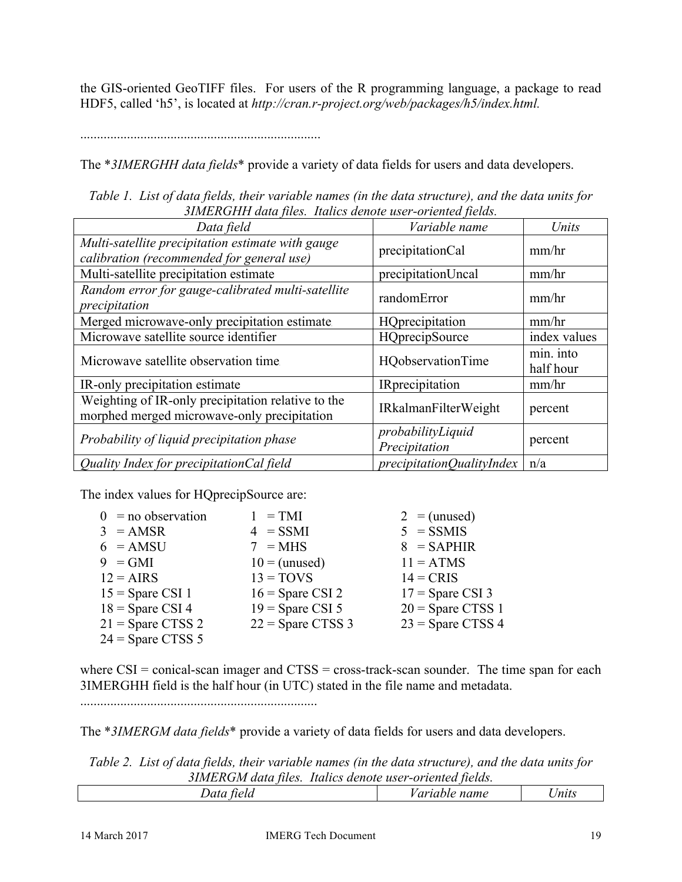the GIS-oriented GeoTIFF files. For users of the R programming language, a package to read HDF5, called 'h5', is located at *http://cran.r-project.org/web/packages/h5/index.html.*

........................................................................

The \**3IMERGHH data fields*\* provide a variety of data fields for users and data developers.

*Table 1. List of data fields, their variable names (in the data structure), and the data units for 3IMERGHH data files. Italics denote user-oriented fields.*

| Data field                                                                                        | Variable name                      | Units                  |
|---------------------------------------------------------------------------------------------------|------------------------------------|------------------------|
| Multi-satellite precipitation estimate with gauge<br>calibration (recommended for general use)    | precipitationCal                   | mm/hr                  |
| Multi-satellite precipitation estimate                                                            | precipitationUncal                 | mm/hr                  |
| Random error for gauge-calibrated multi-satellite<br>precipitation                                | randomError                        | mm/hr                  |
| Merged microwave-only precipitation estimate.                                                     | HQprecipitation                    | mm/hr                  |
| Microwave satellite source identifier                                                             | <b>HQprecipSource</b>              | index values           |
| Microwave satellite observation time                                                              | <b>HQobservationTime</b>           | min. into<br>half hour |
| IR-only precipitation estimate                                                                    | <b>IR</b> precipitation            | mm/hr                  |
| Weighting of IR-only precipitation relative to the<br>morphed merged microwave-only precipitation | <b>IRkalmanFilterWeight</b>        | percent                |
| Probability of liquid precipitation phase                                                         | probabilityLiquid<br>Precipitation | percent                |
| Quality Index for precipitation Cal field                                                         | precipitationQualityIndex          | n/a                    |

The index values for HQprecipSource are:

| $0 = no$ observation | $1 = TMI$           | $2 =$ (unused)      |
|----------------------|---------------------|---------------------|
| $3 = AMSR$           | $4 = SSMI$          | $5 = SSMIS$         |
| $6 = AMSU$           | $7 = MHz$           | $8 = SAPHIR$        |
| $9 = GMI$            | $10 =$ (unused)     | $11 = ATMS$         |
| $12 = AIRS$          | $13 = TOVS$         | $14 = CRIS$         |
| $15 =$ Spare CSI 1   | $16 =$ Spare CSI 2  | $17 =$ Spare CSI 3  |
| $18 =$ Spare CSI 4   | $19 =$ Spare CSI 5  | $20 =$ Spare CTSS 1 |
| $21 =$ Spare CTSS 2  | $22 =$ Spare CTSS 3 | $23$ = Spare CTSS 4 |
| $24 =$ Spare CTSS 5  |                     |                     |

where  $CSI = conical-scan$  *imager* and  $CTS = cross-track-scan$  *sounder*. The time span for each3IMERGHH field is the half hour (in UTC) stated in the file name and metadata.

.......................................................................

The \**3IMERGM data fields*\* provide a variety of data fields for users and data developers.

*Table 2. List of data fields, their variable names (in the data structure), and the data units for 3IMERGM data files. Italics denote user-oriented fields.*

| ٤ia.<br>$- \cdot \cdot \cdot$ | $ -$<br>name<br>w<br>$\boldsymbol{\mu}$<br>. | $-$<br>nuts |
|-------------------------------|----------------------------------------------|-------------|
|                               |                                              |             |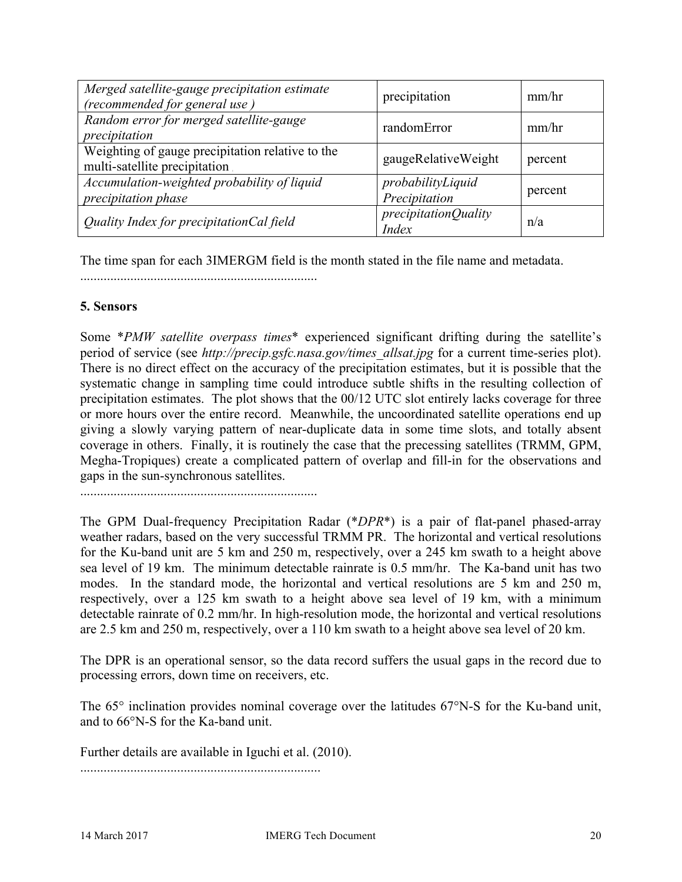| Merged satellite-gauge precipitation estimate<br>(recommended for general use)    | precipitation                      | mm/hr   |
|-----------------------------------------------------------------------------------|------------------------------------|---------|
| Random error for merged satellite-gauge<br>precipitation                          | randomError                        | mm/hr   |
| Weighting of gauge precipitation relative to the<br>multi-satellite precipitation | gaugeRelativeWeight                | percent |
| Accumulation-weighted probability of liquid<br><i>precipitation phase</i>         | probabilityLiquid<br>Precipitation | percent |
| Quality Index for precipitationCal field                                          | precipitationQuality<br>Index      | n/a     |

The time span for each 3IMERGM field is the month stated in the file name and metadata.

.......................................................................

## **5. Sensors**

Some \**PMW satellite overpass times*\* experienced significant drifting during the satellite's period of service (see *http://precip.gsfc.nasa.gov/times\_allsat.jpg* for a current time-series plot). There is no direct effect on the accuracy of the precipitation estimates, but it is possible that the systematic change in sampling time could introduce subtle shifts in the resulting collection of precipitation estimates. The plot shows that the 00/12 UTC slot entirely lacks coverage for three or more hours over the entire record. Meanwhile, the uncoordinated satellite operations end up giving a slowly varying pattern of near-duplicate data in some time slots, and totally absent coverage in others. Finally, it is routinely the case that the precessing satellites (TRMM, GPM, Megha-Tropiques) create a complicated pattern of overlap and fill-in for the observations and gaps in the sun-synchronous satellites.

.......................................................................

The GPM Dual-frequency Precipitation Radar (\**DPR*\*) is a pair of flat-panel phased-array weather radars, based on the very successful TRMM PR. The horizontal and vertical resolutions for the Ku-band unit are 5 km and 250 m, respectively, over a 245 km swath to a height above sea level of 19 km. The minimum detectable rainrate is 0.5 mm/hr. The Ka-band unit has two modes. In the standard mode, the horizontal and vertical resolutions are 5 km and 250 m, respectively, over a 125 km swath to a height above sea level of 19 km, with a minimum detectable rainrate of 0.2 mm/hr. In high-resolution mode, the horizontal and vertical resolutions are 2.5 km and 250 m, respectively, over a 110 km swath to a height above sea level of 20 km.

The DPR is an operational sensor, so the data record suffers the usual gaps in the record due to processing errors, down time on receivers, etc.

The 65° inclination provides nominal coverage over the latitudes 67°N-S for the Ku-band unit, and to 66°N-S for the Ka-band unit.

Further details are available in Iguchi et al. (2010).

........................................................................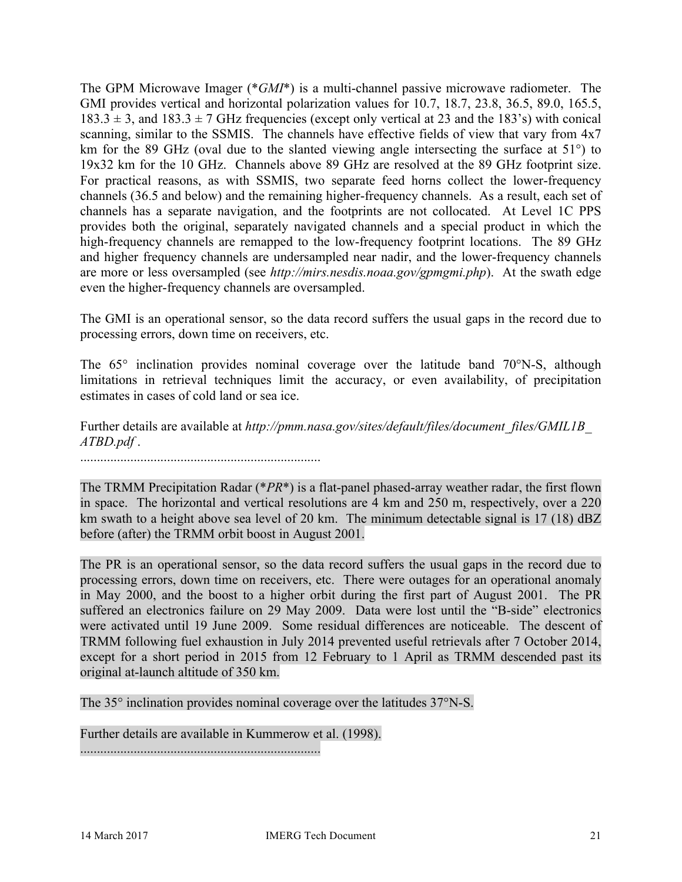The GPM Microwave Imager (\**GMI*\*) is a multi-channel passive microwave radiometer. The GMI provides vertical and horizontal polarization values for 10.7, 18.7, 23.8, 36.5, 89.0, 165.5,  $183.3 \pm 3$ , and  $183.3 \pm 7$  GHz frequencies (except only vertical at 23 and the 183's) with conical scanning, similar to the SSMIS. The channels have effective fields of view that vary from 4x7 km for the 89 GHz (oval due to the slanted viewing angle intersecting the surface at 51<sup>°</sup>) to 19x32 km for the 10 GHz. Channels above 89 GHz are resolved at the 89 GHz footprint size. For practical reasons, as with SSMIS, two separate feed horns collect the lower-frequency channels (36.5 and below) and the remaining higher-frequency channels. As a result, each set of channels has a separate navigation, and the footprints are not collocated. At Level 1C PPS provides both the original, separately navigated channels and a special product in which the high-frequency channels are remapped to the low-frequency footprint locations. The 89 GHz and higher frequency channels are undersampled near nadir, and the lower-frequency channels are more or less oversampled (see *http://mirs.nesdis.noaa.gov/gpmgmi.php*). At the swath edge even the higher-frequency channels are oversampled.

The GMI is an operational sensor, so the data record suffers the usual gaps in the record due to processing errors, down time on receivers, etc.

The 65° inclination provides nominal coverage over the latitude band 70°N-S, although limitations in retrieval techniques limit the accuracy, or even availability, of precipitation estimates in cases of cold land or sea ice.

Further details are available at *http://pmm.nasa.gov/sites/default/files/document\_files/GMIL1B\_ ATBD.pdf* .

........................................................................

The TRMM Precipitation Radar (\**PR*\*) is a flat-panel phased-array weather radar, the first flown in space. The horizontal and vertical resolutions are 4 km and 250 m, respectively, over a 220 km swath to a height above sea level of 20 km. The minimum detectable signal is 17 (18) dBZ before (after) the TRMM orbit boost in August 2001.

The PR is an operational sensor, so the data record suffers the usual gaps in the record due to processing errors, down time on receivers, etc. There were outages for an operational anomaly in May 2000, and the boost to a higher orbit during the first part of August 2001. The PR suffered an electronics failure on 29 May 2009. Data were lost until the "B-side" electronics were activated until 19 June 2009. Some residual differences are noticeable. The descent of TRMM following fuel exhaustion in July 2014 prevented useful retrievals after 7 October 2014, except for a short period in 2015 from 12 February to 1 April as TRMM descended past its original at-launch altitude of 350 km.

The 35° inclination provides nominal coverage over the latitudes 37°N-S.

Further details are available in Kummerow et al. (1998).

........................................................................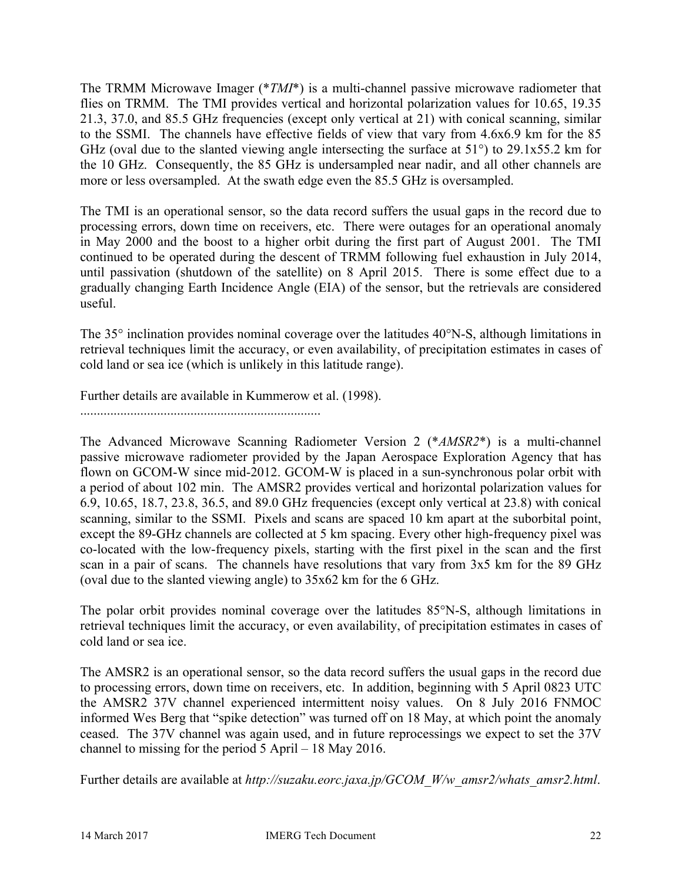The TRMM Microwave Imager (\**TMI*\*) is a multi-channel passive microwave radiometer that flies on TRMM. The TMI provides vertical and horizontal polarization values for 10.65, 19.35 21.3, 37.0, and 85.5 GHz frequencies (except only vertical at 21) with conical scanning, similar to the SSMI. The channels have effective fields of view that vary from 4.6x6.9 km for the 85 GHz (oval due to the slanted viewing angle intersecting the surface at 51°) to 29.1x55.2 km for the 10 GHz. Consequently, the 85 GHz is undersampled near nadir, and all other channels are more or less oversampled. At the swath edge even the 85.5 GHz is oversampled.

The TMI is an operational sensor, so the data record suffers the usual gaps in the record due to processing errors, down time on receivers, etc. There were outages for an operational anomaly in May 2000 and the boost to a higher orbit during the first part of August 2001. The TMI continued to be operated during the descent of TRMM following fuel exhaustion in July 2014, until passivation (shutdown of the satellite) on 8 April 2015. There is some effect due to a gradually changing Earth Incidence Angle (EIA) of the sensor, but the retrievals are considered useful.

The 35° inclination provides nominal coverage over the latitudes 40°N-S, although limitations in retrieval techniques limit the accuracy, or even availability, of precipitation estimates in cases of cold land or sea ice (which is unlikely in this latitude range).

Further details are available in Kummerow et al. (1998).

........................................................................

The Advanced Microwave Scanning Radiometer Version 2 (\**AMSR2*\*) is a multi-channel passive microwave radiometer provided by the Japan Aerospace Exploration Agency that has flown on GCOM-W since mid-2012. GCOM-W is placed in a sun-synchronous polar orbit with a period of about 102 min. The AMSR2 provides vertical and horizontal polarization values for 6.9, 10.65, 18.7, 23.8, 36.5, and 89.0 GHz frequencies (except only vertical at 23.8) with conical scanning, similar to the SSMI. Pixels and scans are spaced 10 km apart at the suborbital point, except the 89-GHz channels are collected at 5 km spacing. Every other high-frequency pixel was co-located with the low-frequency pixels, starting with the first pixel in the scan and the first scan in a pair of scans. The channels have resolutions that vary from 3x5 km for the 89 GHz (oval due to the slanted viewing angle) to 35x62 km for the 6 GHz.

The polar orbit provides nominal coverage over the latitudes 85°N-S, although limitations in retrieval techniques limit the accuracy, or even availability, of precipitation estimates in cases of cold land or sea ice.

The AMSR2 is an operational sensor, so the data record suffers the usual gaps in the record due to processing errors, down time on receivers, etc. In addition, beginning with 5 April 0823 UTC the AMSR2 37V channel experienced intermittent noisy values. On 8 July 2016 FNMOC informed Wes Berg that "spike detection" was turned off on 18 May, at which point the anomaly ceased. The 37V channel was again used, and in future reprocessings we expect to set the 37V channel to missing for the period 5 April – 18 May 2016.

Further details are available at *http://suzaku.eorc.jaxa.jp/GCOM\_W/w\_amsr2/whats\_amsr2.html*.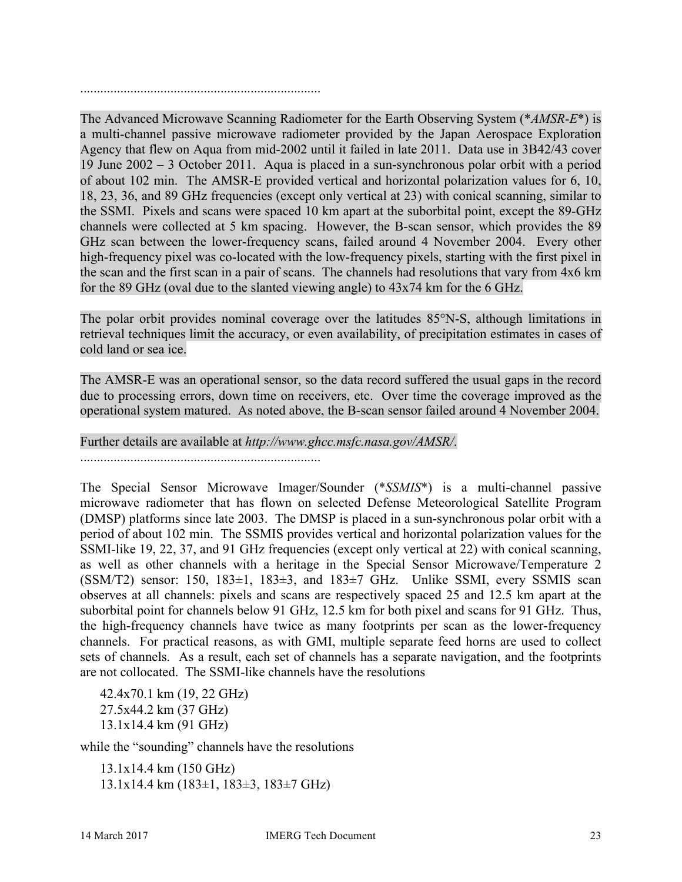........................................................................

The Advanced Microwave Scanning Radiometer for the Earth Observing System (\**AMSR-E*\*) is a multi-channel passive microwave radiometer provided by the Japan Aerospace Exploration Agency that flew on Aqua from mid-2002 until it failed in late 2011. Data use in 3B42/43 cover 19 June 2002 – 3 October 2011. Aqua is placed in a sun-synchronous polar orbit with a period of about 102 min. The AMSR-E provided vertical and horizontal polarization values for 6, 10, 18, 23, 36, and 89 GHz frequencies (except only vertical at 23) with conical scanning, similar to the SSMI. Pixels and scans were spaced 10 km apart at the suborbital point, except the 89-GHz channels were collected at 5 km spacing. However, the B-scan sensor, which provides the 89 GHz scan between the lower-frequency scans, failed around 4 November 2004. Every other high-frequency pixel was co-located with the low-frequency pixels, starting with the first pixel in the scan and the first scan in a pair of scans. The channels had resolutions that vary from 4x6 km for the 89 GHz (oval due to the slanted viewing angle) to 43x74 km for the 6 GHz.

The polar orbit provides nominal coverage over the latitudes 85°N-S, although limitations in retrieval techniques limit the accuracy, or even availability, of precipitation estimates in cases of cold land or sea ice.

The AMSR-E was an operational sensor, so the data record suffered the usual gaps in the record due to processing errors, down time on receivers, etc. Over time the coverage improved as the operational system matured. As noted above, the B-scan sensor failed around 4 November 2004.

Further details are available at *http://www.ghcc.msfc.nasa.gov/AMSR/*.

........................................................................

The Special Sensor Microwave Imager/Sounder (\**SSMIS*\*) is a multi-channel passive microwave radiometer that has flown on selected Defense Meteorological Satellite Program (DMSP) platforms since late 2003. The DMSP is placed in a sun-synchronous polar orbit with a period of about 102 min. The SSMIS provides vertical and horizontal polarization values for the SSMI-like 19, 22, 37, and 91 GHz frequencies (except only vertical at 22) with conical scanning, as well as other channels with a heritage in the Special Sensor Microwave/Temperature 2 (SSM/T2) sensor: 150, 183 $\pm$ 1, 183 $\pm$ 3, and 183 $\pm$ 7 GHz. Unlike SSMI, every SSMIS scan observes at all channels: pixels and scans are respectively spaced 25 and 12.5 km apart at the suborbital point for channels below 91 GHz, 12.5 km for both pixel and scans for 91 GHz. Thus, the high-frequency channels have twice as many footprints per scan as the lower-frequency channels. For practical reasons, as with GMI, multiple separate feed horns are used to collect sets of channels. As a result, each set of channels has a separate navigation, and the footprints are not collocated. The SSMI-like channels have the resolutions

42.4x70.1 km (19, 22 GHz) 27.5x44.2 km (37 GHz) 13.1x14.4 km (91 GHz)

while the "sounding" channels have the resolutions

13.1x14.4 km (150 GHz) 13.1x14.4 km (183±1, 183±3, 183±7 GHz)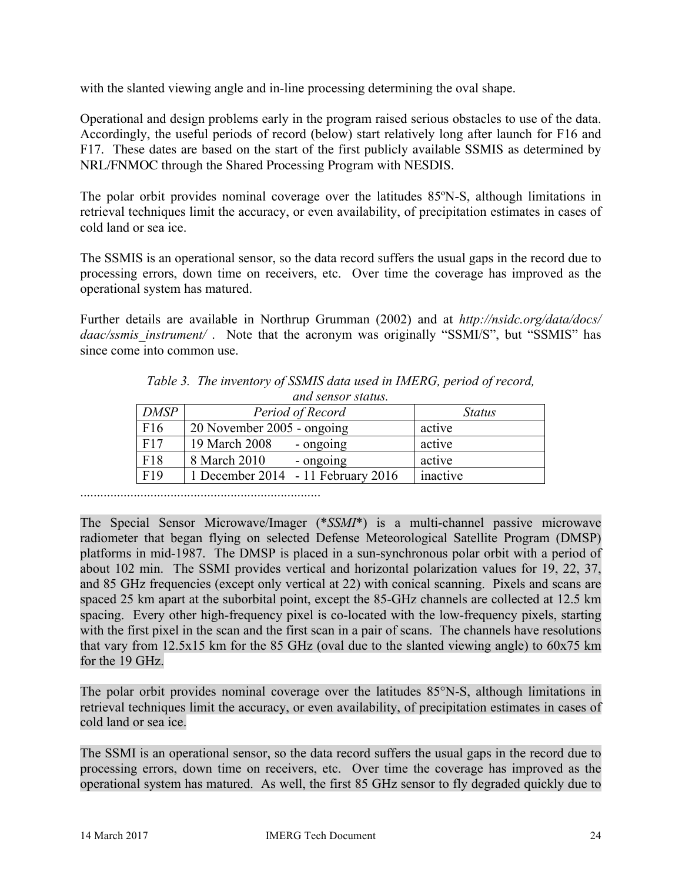with the slanted viewing angle and in-line processing determining the oval shape.

Operational and design problems early in the program raised serious obstacles to use of the data. Accordingly, the useful periods of record (below) start relatively long after launch for F16 and F17. These dates are based on the start of the first publicly available SSMIS as determined by NRL/FNMOC through the Shared Processing Program with NESDIS.

The polar orbit provides nominal coverage over the latitudes 85ºN-S, although limitations in retrieval techniques limit the accuracy, or even availability, of precipitation estimates in cases of cold land or sea ice.

The SSMIS is an operational sensor, so the data record suffers the usual gaps in the record due to processing errors, down time on receivers, etc. Over time the coverage has improved as the operational system has matured.

Further details are available in Northrup Grumman (2002) and at *http://nsidc.org/data/docs/ daac/ssmis\_instrument/* . Note that the acronym was originally "SSMI/S", but "SSMIS" has since come into common use.

| unu sensur suums. |                                  |          |  |
|-------------------|----------------------------------|----------|--|
| <b>DMSP</b>       | Period of Record                 | Status   |  |
| F <sub>16</sub>   | 20 November 2005 - ongoing       | active   |  |
| F17               | 19 March 2008<br>- ongoing       | active   |  |
| F18               | 8 March 2010<br>- ongoing        | active   |  |
| F <sub>19</sub>   | December 2014 - 11 February 2016 | inactive |  |

*Table 3. The inventory of SSMIS data used in IMERG, period of record, and sensor status.*

........................................................................

The Special Sensor Microwave/Imager (\**SSMI*\*) is a multi-channel passive microwave radiometer that began flying on selected Defense Meteorological Satellite Program (DMSP) platforms in mid-1987. The DMSP is placed in a sun-synchronous polar orbit with a period of about 102 min. The SSMI provides vertical and horizontal polarization values for 19, 22, 37, and 85 GHz frequencies (except only vertical at 22) with conical scanning. Pixels and scans are spaced 25 km apart at the suborbital point, except the 85-GHz channels are collected at 12.5 km spacing. Every other high-frequency pixel is co-located with the low-frequency pixels, starting with the first pixel in the scan and the first scan in a pair of scans. The channels have resolutions that vary from 12.5x15 km for the 85 GHz (oval due to the slanted viewing angle) to 60x75 km for the 19 GHz.

The polar orbit provides nominal coverage over the latitudes 85°N-S, although limitations in retrieval techniques limit the accuracy, or even availability, of precipitation estimates in cases of cold land or sea ice.

The SSMI is an operational sensor, so the data record suffers the usual gaps in the record due to processing errors, down time on receivers, etc. Over time the coverage has improved as the operational system has matured. As well, the first 85 GHz sensor to fly degraded quickly due to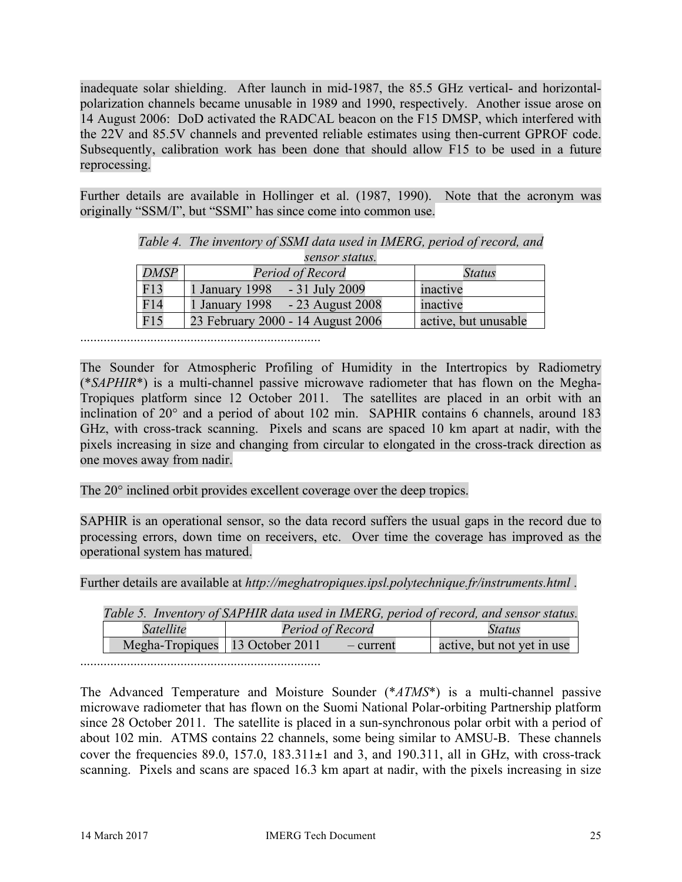inadequate solar shielding. After launch in mid-1987, the 85.5 GHz vertical- and horizontalpolarization channels became unusable in 1989 and 1990, respectively. Another issue arose on 14 August 2006: DoD activated the RADCAL beacon on the F15 DMSP, which interfered with the 22V and 85.5V channels and prevented reliable estimates using then-current GPROF code. Subsequently, calibration work has been done that should allow F15 to be used in a future reprocessing.

Further details are available in Hollinger et al. (1987, 1990). Note that the acronym was originally "SSM/I", but "SSMI" has since come into common use.

|             | sensor status.                     |                      |
|-------------|------------------------------------|----------------------|
| <b>DMSP</b> | Period of Record                   | <i><b>Status</b></i> |
| F13         | - 31 July 2009<br>1 January 1998   | inactive             |
| F14         | 1 January 1998<br>- 23 August 2008 | inactive             |
| F15         | 23 February 2000 - 14 August 2006  | active, but unusable |

*Table 4. The inventory of SSMI data used in IMERG, period of record, and* 

........................................................................

The Sounder for Atmospheric Profiling of Humidity in the Intertropics by Radiometry (\**SAPHIR*\*) is a multi-channel passive microwave radiometer that has flown on the Megha-Tropiques platform since 12 October 2011. The satellites are placed in an orbit with an inclination of 20° and a period of about 102 min. SAPHIR contains 6 channels, around 183 GHz, with cross-track scanning. Pixels and scans are spaced 10 km apart at nadir, with the pixels increasing in size and changing from circular to elongated in the cross-track direction as one moves away from nadir.

The 20° inclined orbit provides excellent coverage over the deep tropics.

SAPHIR is an operational sensor, so the data record suffers the usual gaps in the record due to processing errors, down time on receivers, etc. Over time the coverage has improved as the operational system has matured.

Further details are available at *http://meghatropiques.ipsl.polytechnique.fr/instruments.html* .

| Table 5. Inventory of SAPHIR data used in IMERG, period of record, and sensor status. |                                   |           |                            |
|---------------------------------------------------------------------------------------|-----------------------------------|-----------|----------------------------|
| Satellite                                                                             | Period of Record                  |           | Status                     |
|                                                                                       | Megha-Tropiques   13 October 2011 | - current | active, but not yet in use |

........................................................................

The Advanced Temperature and Moisture Sounder (\**ATMS*\*) is a multi-channel passive microwave radiometer that has flown on the Suomi National Polar-orbiting Partnership platform since 28 October 2011. The satellite is placed in a sun-synchronous polar orbit with a period of about 102 min. ATMS contains 22 channels, some being similar to AMSU-B. These channels cover the frequencies 89.0, 157.0, 183.311 $\pm$ 1 and 3, and 190.311, all in GHz, with cross-track scanning. Pixels and scans are spaced 16.3 km apart at nadir, with the pixels increasing in size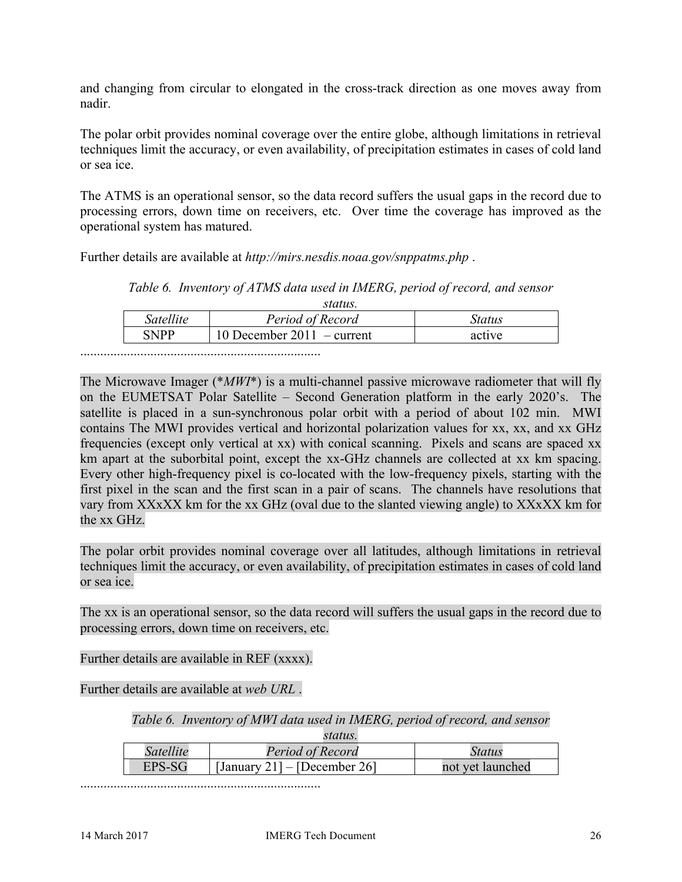and changing from circular to elongated in the cross-track direction as one moves away from nadir.

The polar orbit provides nominal coverage over the entire globe, although limitations in retrieval techniques limit the accuracy, or even availability, of precipitation estimates in cases of cold land or sea ice.

The ATMS is an operational sensor, so the data record suffers the usual gaps in the record due to processing errors, down time on receivers, etc. Over time the coverage has improved as the operational system has matured.

Further details are available at *http://mirs.nesdis.noaa.gov/snppatms.php* .

*Table 6. Inventory of ATMS data used in IMERG, period of record, and sensor* 

| Satellite   | Period of Record           | status |
|-------------|----------------------------|--------|
| <b>SNPP</b> | 10 December 2011 – current | active |

The Microwave Imager (\**MWI*\*) is a multi-channel passive microwave radiometer that will fly on the EUMETSAT Polar Satellite – Second Generation platform in the early 2020's. The satellite is placed in a sun-synchronous polar orbit with a period of about 102 min. MWI contains The MWI provides vertical and horizontal polarization values for xx, xx, and xx GHz frequencies (except only vertical at xx) with conical scanning. Pixels and scans are spaced xx km apart at the suborbital point, except the xx-GHz channels are collected at xx km spacing. Every other high-frequency pixel is co-located with the low-frequency pixels, starting with the first pixel in the scan and the first scan in a pair of scans. The channels have resolutions that vary from XXxXX km for the xx GHz (oval due to the slanted viewing angle) to XXxXX km for the xx GHz.

The polar orbit provides nominal coverage over all latitudes, although limitations in retrieval techniques limit the accuracy, or even availability, of precipitation estimates in cases of cold land or sea ice.

The xx is an operational sensor, so the data record will suffers the usual gaps in the record due to processing errors, down time on receivers, etc.

Further details are available in REF (xxxx).

Further details are available at *web URL* .

*Table 6. Inventory of MWI data used in IMERG, period of record, and sensor* 

*status.*

| Satellite | Period of Record             | Status           |
|-----------|------------------------------|------------------|
|           | [January 21] – [December 26] | not yet launched |

........................................................................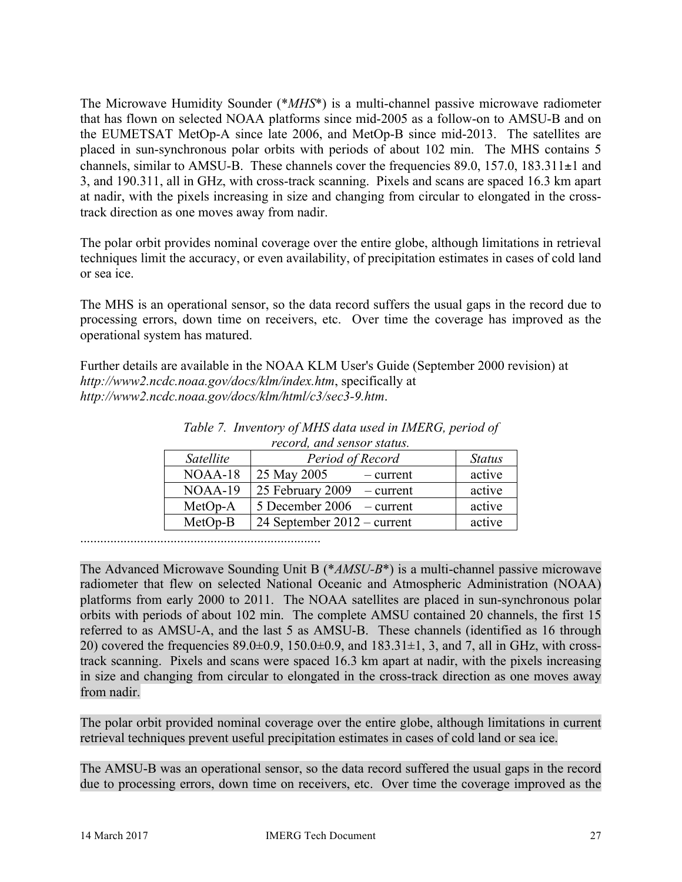The Microwave Humidity Sounder (\**MHS*\*) is a multi-channel passive microwave radiometer that has flown on selected NOAA platforms since mid-2005 as a follow-on to AMSU-B and on the EUMETSAT MetOp-A since late 2006, and MetOp-B since mid-2013. The satellites are placed in sun-synchronous polar orbits with periods of about 102 min. The MHS contains 5 channels, similar to AMSU-B. These channels cover the frequencies  $89.0$ ,  $157.0$ ,  $183.311\pm1$  and 3, and 190.311, all in GHz, with cross-track scanning. Pixels and scans are spaced 16.3 km apart at nadir, with the pixels increasing in size and changing from circular to elongated in the crosstrack direction as one moves away from nadir.

The polar orbit provides nominal coverage over the entire globe, although limitations in retrieval techniques limit the accuracy, or even availability, of precipitation estimates in cases of cold land or sea ice.

The MHS is an operational sensor, so the data record suffers the usual gaps in the record due to processing errors, down time on receivers, etc. Over time the coverage has improved as the operational system has matured.

Further details are available in the NOAA KLM User's Guide (September 2000 revision) at *http://www2.ncdc.noaa.gov/docs/klm/index.htm*, specifically at *http://www2.ncdc.noaa.gov/docs/klm/html/c3/sec3-9.htm*.

| r coor a, ana sonsor status. |                               |               |
|------------------------------|-------------------------------|---------------|
| Satellite                    | Period of Record              | <b>Status</b> |
| NOAA-18                      | 25 May 2005<br>$-$ current    | active        |
| NOAA-19                      | 25 February 2009<br>- current | active        |
| MetOp-A                      | $5$ December 2006 – current   | active        |
| MetOp-B                      | 24 September $2012$ – current | active        |

*Table 7. Inventory of MHS data used in IMERG, period of record, and sensor status.*

........................................................................

The Advanced Microwave Sounding Unit B (\**AMSU-B*\*) is a multi-channel passive microwave radiometer that flew on selected National Oceanic and Atmospheric Administration (NOAA) platforms from early 2000 to 2011. The NOAA satellites are placed in sun-synchronous polar orbits with periods of about 102 min. The complete AMSU contained 20 channels, the first 15 referred to as AMSU-A, and the last 5 as AMSU-B. These channels (identified as 16 through 20) covered the frequencies  $89.0\pm0.9$ ,  $150.0\pm0.9$ , and  $183.31\pm1$ , 3, and 7, all in GHz, with crosstrack scanning. Pixels and scans were spaced 16.3 km apart at nadir, with the pixels increasing in size and changing from circular to elongated in the cross-track direction as one moves away from nadir.

The polar orbit provided nominal coverage over the entire globe, although limitations in current retrieval techniques prevent useful precipitation estimates in cases of cold land or sea ice.

The AMSU-B was an operational sensor, so the data record suffered the usual gaps in the record due to processing errors, down time on receivers, etc. Over time the coverage improved as the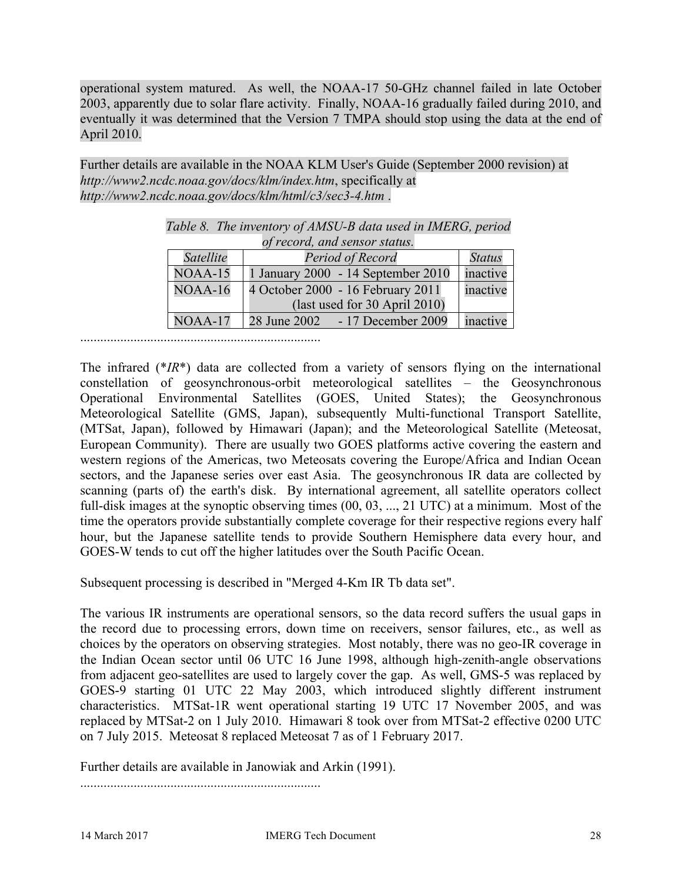operational system matured. As well, the NOAA-17 50-GHz channel failed in late October 2003, apparently due to solar flare activity. Finally, NOAA-16 gradually failed during 2010, and eventually it was determined that the Version 7 TMPA should stop using the data at the end of April 2010.

Further details are available in the NOAA KLM User's Guide (September 2000 revision) at *http://www2.ncdc.noaa.gov/docs/klm/index.htm*, specifically at *http://www2.ncdc.noaa.gov/docs/klm/html/c3/sec3-4.htm* .

|                  | of record, and sensor status.       |               |
|------------------|-------------------------------------|---------------|
| <b>Satellite</b> | Period of Record                    | <b>Status</b> |
| $NOAA-15$        | 1 January 2000 - 14 September 2010  | inactive      |
| NOAA-16          | 4 October 2000 - 16 February 2011   | inactive      |
|                  | (last used for 30 April 2010)       |               |
| $NOAA-17$        | 28 June 2002<br>$-17$ December 2009 | inactive      |

| Table 8. The inventory of AMSU-B data used in IMERG, period |  |
|-------------------------------------------------------------|--|
| of record, and sensor status.                               |  |

The infrared (\**IR*\*) data are collected from a variety of sensors flying on the international constellation of geosynchronous-orbit meteorological satellites – the Geosynchronous Operational Environmental Satellites (GOES, United States); the Geosynchronous Meteorological Satellite (GMS, Japan), subsequently Multi-functional Transport Satellite, (MTSat, Japan), followed by Himawari (Japan); and the Meteorological Satellite (Meteosat, European Community). There are usually two GOES platforms active covering the eastern and western regions of the Americas, two Meteosats covering the Europe/Africa and Indian Ocean sectors, and the Japanese series over east Asia. The geosynchronous IR data are collected by scanning (parts of) the earth's disk. By international agreement, all satellite operators collect full-disk images at the synoptic observing times (00, 03, ..., 21 UTC) at a minimum. Most of the time the operators provide substantially complete coverage for their respective regions every half hour, but the Japanese satellite tends to provide Southern Hemisphere data every hour, and GOES-W tends to cut off the higher latitudes over the South Pacific Ocean.

Subsequent processing is described in "Merged 4-Km IR Tb data set".

The various IR instruments are operational sensors, so the data record suffers the usual gaps in the record due to processing errors, down time on receivers, sensor failures, etc., as well as choices by the operators on observing strategies. Most notably, there was no geo-IR coverage in the Indian Ocean sector until 06 UTC 16 June 1998, although high-zenith-angle observations from adjacent geo-satellites are used to largely cover the gap. As well, GMS-5 was replaced by GOES-9 starting 01 UTC 22 May 2003, which introduced slightly different instrument characteristics. MTSat-1R went operational starting 19 UTC 17 November 2005, and was replaced by MTSat-2 on 1 July 2010. Himawari 8 took over from MTSat-2 effective 0200 UTC on 7 July 2015. Meteosat 8 replaced Meteosat 7 as of 1 February 2017.

Further details are available in Janowiak and Arkin (1991).

........................................................................

........................................................................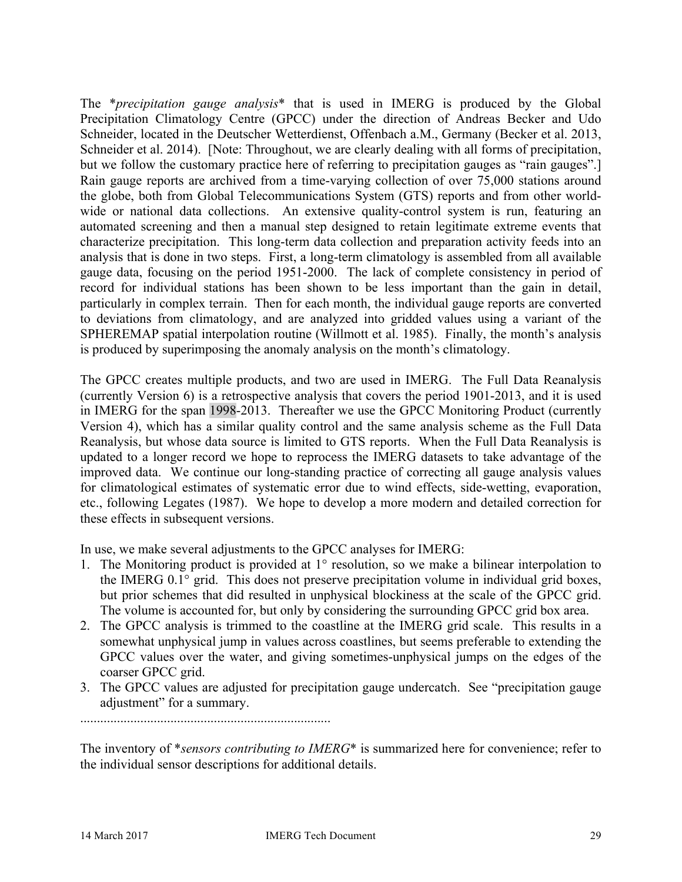The \**precipitation gauge analysis*\* that is used in IMERG is produced by the Global Precipitation Climatology Centre (GPCC) under the direction of Andreas Becker and Udo Schneider, located in the Deutscher Wetterdienst, Offenbach a.M., Germany (Becker et al. 2013, Schneider et al. 2014). [Note: Throughout, we are clearly dealing with all forms of precipitation, but we follow the customary practice here of referring to precipitation gauges as "rain gauges".] Rain gauge reports are archived from a time-varying collection of over 75,000 stations around the globe, both from Global Telecommunications System (GTS) reports and from other worldwide or national data collections. An extensive quality-control system is run, featuring an automated screening and then a manual step designed to retain legitimate extreme events that characterize precipitation. This long-term data collection and preparation activity feeds into an analysis that is done in two steps. First, a long-term climatology is assembled from all available gauge data, focusing on the period 1951-2000. The lack of complete consistency in period of record for individual stations has been shown to be less important than the gain in detail, particularly in complex terrain. Then for each month, the individual gauge reports are converted to deviations from climatology, and are analyzed into gridded values using a variant of the SPHEREMAP spatial interpolation routine (Willmott et al. 1985). Finally, the month's analysis is produced by superimposing the anomaly analysis on the month's climatology.

The GPCC creates multiple products, and two are used in IMERG. The Full Data Reanalysis (currently Version 6) is a retrospective analysis that covers the period 1901-2013, and it is used in IMERG for the span 1998-2013. Thereafter we use the GPCC Monitoring Product (currently Version 4), which has a similar quality control and the same analysis scheme as the Full Data Reanalysis, but whose data source is limited to GTS reports. When the Full Data Reanalysis is updated to a longer record we hope to reprocess the IMERG datasets to take advantage of the improved data. We continue our long-standing practice of correcting all gauge analysis values for climatological estimates of systematic error due to wind effects, side-wetting, evaporation, etc., following Legates (1987). We hope to develop a more modern and detailed correction for these effects in subsequent versions.

In use, we make several adjustments to the GPCC analyses for IMERG:

- 1. The Monitoring product is provided at 1° resolution, so we make a bilinear interpolation to the IMERG 0.1° grid. This does not preserve precipitation volume in individual grid boxes, but prior schemes that did resulted in unphysical blockiness at the scale of the GPCC grid. The volume is accounted for, but only by considering the surrounding GPCC grid box area.
- 2. The GPCC analysis is trimmed to the coastline at the IMERG grid scale. This results in a somewhat unphysical jump in values across coastlines, but seems preferable to extending the GPCC values over the water, and giving sometimes-unphysical jumps on the edges of the coarser GPCC grid.
- 3. The GPCC values are adjusted for precipitation gauge undercatch. See "precipitation gauge adjustment" for a summary.

...........................................................................

The inventory of \**sensors contributing to IMERG*\* is summarized here for convenience; refer to the individual sensor descriptions for additional details.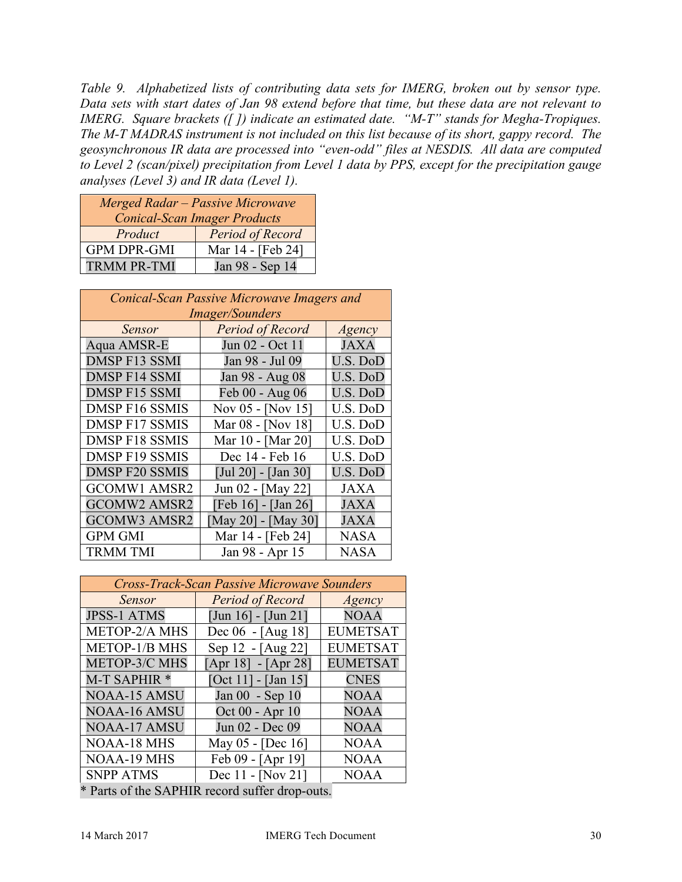*Table 9. Alphabetized lists of contributing data sets for IMERG, broken out by sensor type. Data sets with start dates of Jan 98 extend before that time, but these data are not relevant to IMERG. Square brackets ([ ]) indicate an estimated date. "M-T" stands for Megha-Tropiques. The M-T MADRAS instrument is not included on this list because of its short, gappy record. The geosynchronous IR data are processed into "even-odd" files at NESDIS. All data are computed to Level 2 (scan/pixel) precipitation from Level 1 data by PPS, except for the precipitation gauge analyses (Level 3) and IR data (Level 1).*

| Merged Radar - Passive Microwave<br><b>Conical-Scan Imager Products</b> |                   |
|-------------------------------------------------------------------------|-------------------|
| Product                                                                 | Period of Record  |
| <b>GPM DPR-GMI</b>                                                      | Mar 14 - [Feb 24] |
| <b>TRMM PR-TMI</b>                                                      | Jan 98 - Sep 14   |

| Conical-Scan Passive Microwave Imagers and |                        |             |
|--------------------------------------------|------------------------|-------------|
|                                            | <i>Imager/Sounders</i> |             |
| Sensor                                     | Period of Record       | Agency      |
| Aqua AMSR-E                                | Jun 02 - Oct 11        | JAXA        |
| <b>DMSP F13 SSMI</b>                       | Jan 98 - Jul 09        | U.S. DoD    |
| <b>DMSP F14 SSMI</b>                       | Jan 98 - Aug 08        | U.S. DoD    |
| <b>DMSP F15 SSMI</b>                       | Feb 00 - Aug 06        | U.S. DoD    |
| <b>DMSP F16 SSMIS</b>                      | Nov 05 - [Nov 15]      | U.S. DoD    |
| <b>DMSP F17 SSMIS</b>                      | Mar 08 - [Nov 18]      | U.S. DoD    |
| <b>DMSP F18 SSMIS</b>                      | Mar 10 - [Mar 20]      | U.S. DoD    |
| <b>DMSP F19 SSMIS</b>                      | Dec 14 - Feb 16        | U.S. DoD    |
| <b>DMSP F20 SSMIS</b>                      | [Jul 20] - [Jan 30]    | U.S. DoD    |
| <b>GCOMW1 AMSR2</b>                        | Jun 02 - [May 22]      | <b>JAXA</b> |
| <b>GCOMW2 AMSR2</b>                        | [Feb 16] - [Jan 26]    | <b>JAXA</b> |
| <b>GCOMW3 AMSR2</b>                        | [May 20] - [May 30]    | <b>JAXA</b> |
| <b>GPM GMI</b>                             | Mar 14 - [Feb 24]      | <b>NASA</b> |
| <b>TRMM TMI</b>                            | Jan 98 - Apr 15        | <b>NASA</b> |

| <b>Cross-Track-Scan Passive Microwave Sounders</b> |                       |                 |
|----------------------------------------------------|-----------------------|-----------------|
| Sensor                                             | Period of Record      | Agency          |
| <b>JPSS-1 ATMS</b>                                 | $[Jun 16] - [Jun 21]$ | <b>NOAA</b>     |
| METOP-2/A MHS                                      | Dec 06 - [Aug 18]     | <b>EUMETSAT</b> |
| <b>METOP-1/B MHS</b>                               | Sep 12 - [Aug 22]     | <b>EUMETSAT</b> |
| <b>METOP-3/C MHS</b>                               | $[Apr 18] - [Apr 28]$ | <b>EUMETSAT</b> |
| M-T SAPHIR <sup>*</sup>                            | [Oct 11] - [Jan 15]   | <b>CNES</b>     |
| <b>NOAA-15 AMSU</b>                                | Jan 00 - Sep 10       | <b>NOAA</b>     |
| <b>NOAA-16 AMSU</b>                                | Oct 00 - Apr 10       | <b>NOAA</b>     |
| NOAA-17 AMSU                                       | Jun 02 - Dec 09       | <b>NOAA</b>     |
| <b>NOAA-18 MHS</b>                                 | May 05 - [Dec 16]     | <b>NOAA</b>     |
| <b>NOAA-19 MHS</b>                                 | Feb 09 - [Apr 19]     | <b>NOAA</b>     |
| <b>SNPP ATMS</b>                                   | Dec 11 - [Nov 21]     | <b>NOAA</b>     |
| * Parts of the SAPHIR record suffer drop-outs.     |                       |                 |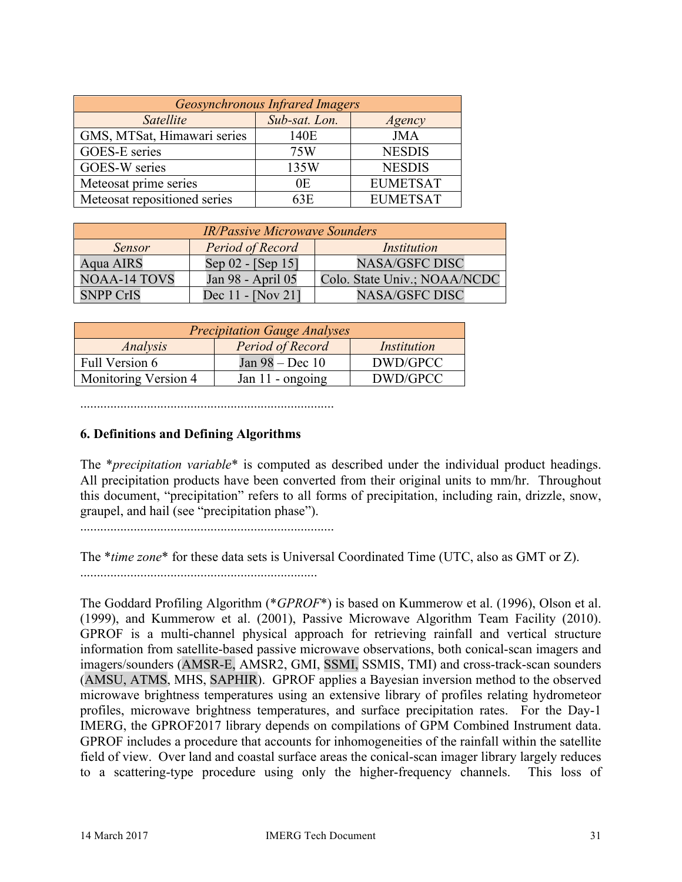| <b>Geosynchronous Infrared Imagers</b> |               |                 |
|----------------------------------------|---------------|-----------------|
| Satellite                              | Sub-sat. Lon. | Agency          |
| GMS, MTSat, Himawari series            | 140E          | <b>JMA</b>      |
| GOES-E series                          | 75W           | <b>NESDIS</b>   |
| GOES-W series                          | 135W          | <b>NESDIS</b>   |
| Meteosat prime series                  | 0E            | <b>EUMETSAT</b> |
| Meteosat repositioned series           | 63E           | <b>EUMETSAT</b> |

| <b>IR/Passive Microwave Sounders</b> |                     |                              |
|--------------------------------------|---------------------|------------------------------|
| <b>Sensor</b>                        | Period of Record    | <i>Institution</i>           |
| Aqua AIRS                            | Sep 02 - [Sep 15]   | <b>NASA/GSFC DISC</b>        |
| <b>NOAA-14 TOVS</b>                  | Jan 98 - April 05   | Colo. State Univ.; NOAA/NCDC |
| <b>SNPP CrIS</b>                     | Dec $11 - [Now 21]$ | <b>NASA/GSFC DISC</b>        |

| <b>Precipitation Gauge Analyses</b> |                  |                    |
|-------------------------------------|------------------|--------------------|
| Analysis                            | Period of Record | <i>Institution</i> |
| Full Version 6                      | Jan 98 – Dec 10  | DWD/GPCC           |
| Monitoring Version 4                | Jan 11 - ongoing | DWD/GPCC           |

............................................................................

### **6. Definitions and Defining Algorithms**

The \**precipitation variable*\* is computed as described under the individual product headings. All precipitation products have been converted from their original units to mm/hr. Throughout this document, "precipitation" refers to all forms of precipitation, including rain, drizzle, snow, graupel, and hail (see "precipitation phase").

............................................................................

The \**time zone*\* for these data sets is Universal Coordinated Time (UTC, also as GMT or Z).

.......................................................................

The Goddard Profiling Algorithm (\**GPROF*\*) is based on Kummerow et al. (1996), Olson et al. (1999), and Kummerow et al. (2001), Passive Microwave Algorithm Team Facility (2010). GPROF is a multi-channel physical approach for retrieving rainfall and vertical structure information from satellite-based passive microwave observations, both conical-scan imagers and imagers/sounders (AMSR-E, AMSR2, GMI, SSMI, SSMIS, TMI) and cross-track-scan sounders (AMSU, ATMS, MHS, SAPHIR). GPROF applies a Bayesian inversion method to the observed microwave brightness temperatures using an extensive library of profiles relating hydrometeor profiles, microwave brightness temperatures, and surface precipitation rates. For the Day-1 IMERG, the GPROF2017 library depends on compilations of GPM Combined Instrument data. GPROF includes a procedure that accounts for inhomogeneities of the rainfall within the satellite field of view. Over land and coastal surface areas the conical-scan imager library largely reduces to a scattering-type procedure using only the higher-frequency channels. This loss of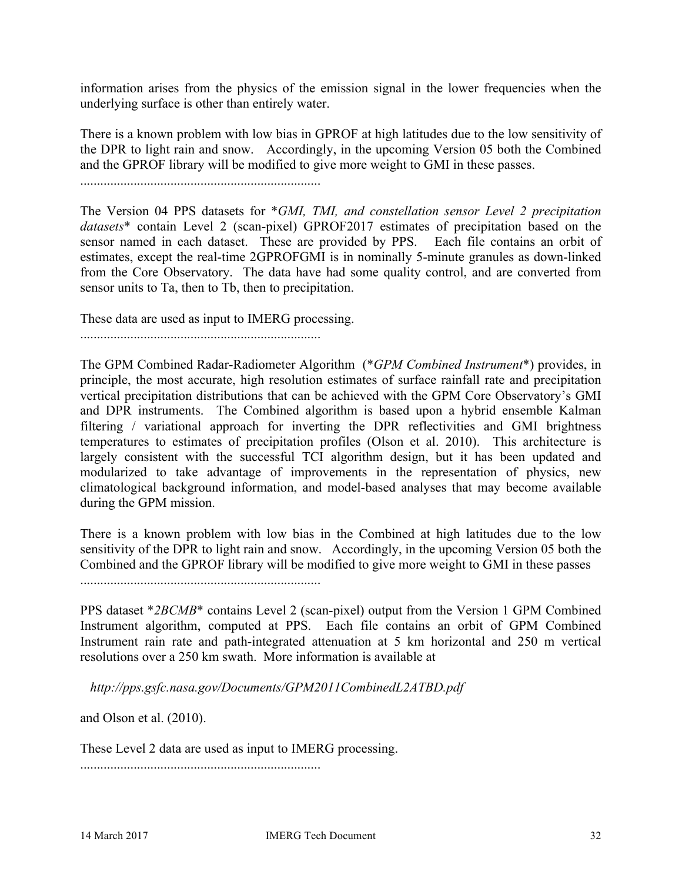information arises from the physics of the emission signal in the lower frequencies when the underlying surface is other than entirely water.

There is a known problem with low bias in GPROF at high latitudes due to the low sensitivity of the DPR to light rain and snow. Accordingly, in the upcoming Version 05 both the Combined and the GPROF library will be modified to give more weight to GMI in these passes.

........................................................................

The Version 04 PPS datasets for \**GMI, TMI, and constellation sensor Level 2 precipitation datasets*\* contain Level 2 (scan-pixel) GPROF2017 estimates of precipitation based on the sensor named in each dataset. These are provided by PPS. Each file contains an orbit of estimates, except the real-time 2GPROFGMI is in nominally 5-minute granules as down-linked from the Core Observatory. The data have had some quality control, and are converted from sensor units to Ta, then to Tb, then to precipitation.

These data are used as input to IMERG processing.

........................................................................

The GPM Combined Radar-Radiometer Algorithm (\**GPM Combined Instrument*\*) provides, in principle, the most accurate, high resolution estimates of surface rainfall rate and precipitation vertical precipitation distributions that can be achieved with the GPM Core Observatory's GMI and DPR instruments. The Combined algorithm is based upon a hybrid ensemble Kalman filtering / variational approach for inverting the DPR reflectivities and GMI brightness temperatures to estimates of precipitation profiles (Olson et al. 2010). This architecture is largely consistent with the successful TCI algorithm design, but it has been updated and modularized to take advantage of improvements in the representation of physics, new climatological background information, and model-based analyses that may become available during the GPM mission.

There is a known problem with low bias in the Combined at high latitudes due to the low sensitivity of the DPR to light rain and snow. Accordingly, in the upcoming Version 05 both the Combined and the GPROF library will be modified to give more weight to GMI in these passes

........................................................................

PPS dataset \**2BCMB*\* contains Level 2 (scan-pixel) output from the Version 1 GPM Combined Instrument algorithm, computed at PPS. Each file contains an orbit of GPM Combined Instrument rain rate and path-integrated attenuation at 5 km horizontal and 250 m vertical resolutions over a 250 km swath. More information is available at

*http://pps.gsfc.nasa.gov/Documents/GPM2011CombinedL2ATBD.pdf*

and Olson et al. (2010).

These Level 2 data are used as input to IMERG processing.

........................................................................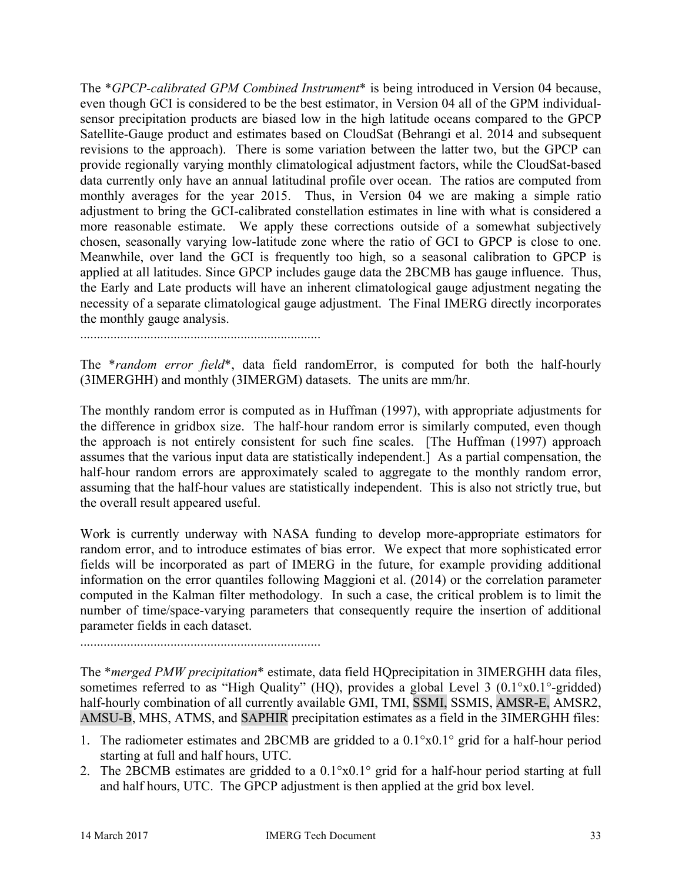The \**GPCP-calibrated GPM Combined Instrument*\* is being introduced in Version 04 because, even though GCI is considered to be the best estimator, in Version 04 all of the GPM individualsensor precipitation products are biased low in the high latitude oceans compared to the GPCP Satellite-Gauge product and estimates based on CloudSat (Behrangi et al. 2014 and subsequent revisions to the approach). There is some variation between the latter two, but the GPCP can provide regionally varying monthly climatological adjustment factors, while the CloudSat-based data currently only have an annual latitudinal profile over ocean. The ratios are computed from monthly averages for the year 2015. Thus, in Version 04 we are making a simple ratio adjustment to bring the GCI-calibrated constellation estimates in line with what is considered a more reasonable estimate. We apply these corrections outside of a somewhat subjectively chosen, seasonally varying low-latitude zone where the ratio of GCI to GPCP is close to one. Meanwhile, over land the GCI is frequently too high, so a seasonal calibration to GPCP is applied at all latitudes. Since GPCP includes gauge data the 2BCMB has gauge influence. Thus, the Early and Late products will have an inherent climatological gauge adjustment negating the necessity of a separate climatological gauge adjustment. The Final IMERG directly incorporates the monthly gauge analysis.

........................................................................

The \**random error field*\*, data field randomError, is computed for both the half-hourly (3IMERGHH) and monthly (3IMERGM) datasets. The units are mm/hr.

The monthly random error is computed as in Huffman (1997), with appropriate adjustments for the difference in gridbox size. The half-hour random error is similarly computed, even though the approach is not entirely consistent for such fine scales. [The Huffman (1997) approach assumes that the various input data are statistically independent.] As a partial compensation, the half-hour random errors are approximately scaled to aggregate to the monthly random error, assuming that the half-hour values are statistically independent. This is also not strictly true, but the overall result appeared useful.

Work is currently underway with NASA funding to develop more-appropriate estimators for random error, and to introduce estimates of bias error. We expect that more sophisticated error fields will be incorporated as part of IMERG in the future, for example providing additional information on the error quantiles following Maggioni et al. (2014) or the correlation parameter computed in the Kalman filter methodology. In such a case, the critical problem is to limit the number of time/space-varying parameters that consequently require the insertion of additional parameter fields in each dataset.

........................................................................

The \**merged PMW precipitation*\* estimate, data field HQprecipitation in 3IMERGHH data files, sometimes referred to as "High Quality" (HQ), provides a global Level 3 (0.1°x0.1°-gridded) half-hourly combination of all currently available GMI, TMI, SSMI, SSMIS, AMSR-E, AMSR2, AMSU-B, MHS, ATMS, and SAPHIR precipitation estimates as a field in the 3IMERGHH files:

- 1. The radiometer estimates and 2BCMB are gridded to a 0.1°x0.1° grid for a half-hour period starting at full and half hours, UTC.
- 2. The 2BCMB estimates are gridded to a 0.1°x0.1° grid for a half-hour period starting at full and half hours, UTC. The GPCP adjustment is then applied at the grid box level.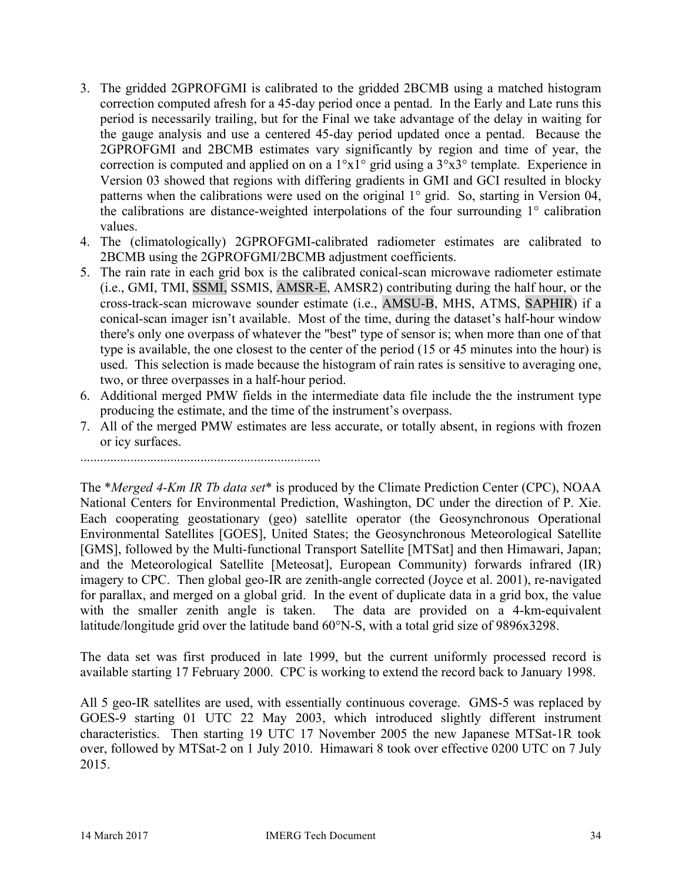- 3. The gridded 2GPROFGMI is calibrated to the gridded 2BCMB using a matched histogram correction computed afresh for a 45-day period once a pentad. In the Early and Late runs this period is necessarily trailing, but for the Final we take advantage of the delay in waiting for the gauge analysis and use a centered 45-day period updated once a pentad. Because the 2GPROFGMI and 2BCMB estimates vary significantly by region and time of year, the correction is computed and applied on on a  $1^{\circ}x1^{\circ}$  grid using a  $3^{\circ}x3^{\circ}$  template. Experience in Version 03 showed that regions with differing gradients in GMI and GCI resulted in blocky patterns when the calibrations were used on the original 1° grid. So, starting in Version 04, the calibrations are distance-weighted interpolations of the four surrounding 1° calibration values.
- 4. The (climatologically) 2GPROFGMI-calibrated radiometer estimates are calibrated to 2BCMB using the 2GPROFGMI/2BCMB adjustment coefficients.
- 5. The rain rate in each grid box is the calibrated conical-scan microwave radiometer estimate (i.e., GMI, TMI, SSMI, SSMIS, AMSR-E, AMSR2) contributing during the half hour, or the cross-track-scan microwave sounder estimate (i.e., AMSU-B, MHS, ATMS, SAPHIR) if a conical-scan imager isn't available. Most of the time, during the dataset's half-hour window there's only one overpass of whatever the "best" type of sensor is; when more than one of that type is available, the one closest to the center of the period (15 or 45 minutes into the hour) is used. This selection is made because the histogram of rain rates is sensitive to averaging one, two, or three overpasses in a half-hour period.
- 6. Additional merged PMW fields in the intermediate data file include the the instrument type producing the estimate, and the time of the instrument's overpass.
- 7. All of the merged PMW estimates are less accurate, or totally absent, in regions with frozen or icy surfaces.

........................................................................

The \**Merged 4-Km IR Tb data set*\* is produced by the Climate Prediction Center (CPC), NOAA National Centers for Environmental Prediction, Washington, DC under the direction of P. Xie. Each cooperating geostationary (geo) satellite operator (the Geosynchronous Operational Environmental Satellites [GOES], United States; the Geosynchronous Meteorological Satellite [GMS], followed by the Multi-functional Transport Satellite [MTSat] and then Himawari, Japan; and the Meteorological Satellite [Meteosat], European Community) forwards infrared (IR) imagery to CPC. Then global geo-IR are zenith-angle corrected (Joyce et al. 2001), re-navigated for parallax, and merged on a global grid. In the event of duplicate data in a grid box, the value with the smaller zenith angle is taken. The data are provided on a 4-km-equivalent latitude/longitude grid over the latitude band 60°N-S, with a total grid size of 9896x3298.

The data set was first produced in late 1999, but the current uniformly processed record is available starting 17 February 2000. CPC is working to extend the record back to January 1998.

All 5 geo-IR satellites are used, with essentially continuous coverage. GMS-5 was replaced by GOES-9 starting 01 UTC 22 May 2003, which introduced slightly different instrument characteristics. Then starting 19 UTC 17 November 2005 the new Japanese MTSat-1R took over, followed by MTSat-2 on 1 July 2010. Himawari 8 took over effective 0200 UTC on 7 July 2015.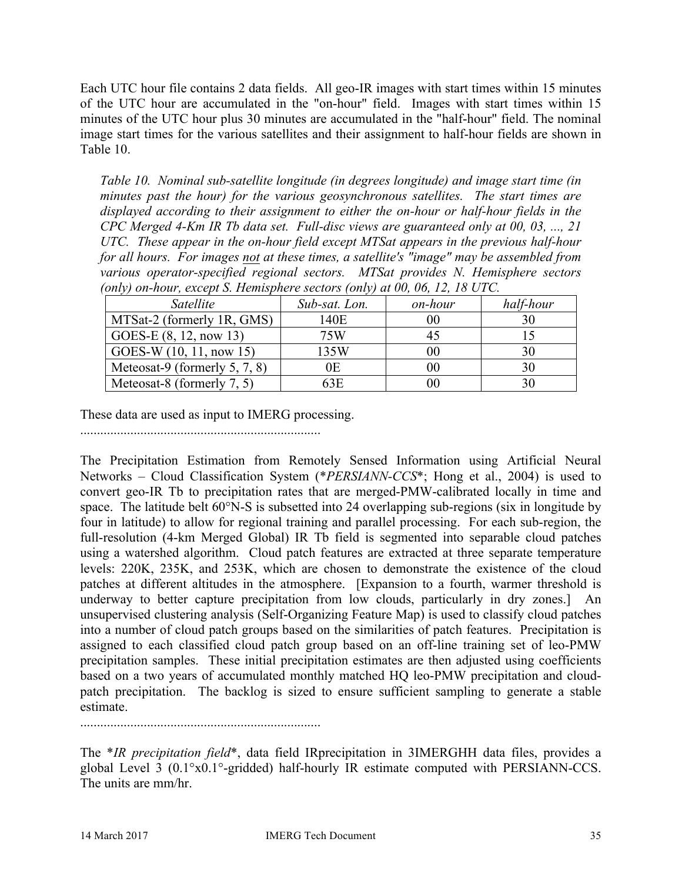Each UTC hour file contains 2 data fields. All geo-IR images with start times within 15 minutes of the UTC hour are accumulated in the "on-hour" field. Images with start times within 15 minutes of the UTC hour plus 30 minutes are accumulated in the "half-hour" field. The nominal image start times for the various satellites and their assignment to half-hour fields are shown in Table 10.

*Table 10. Nominal sub-satellite longitude (in degrees longitude) and image start time (in minutes past the hour) for the various geosynchronous satellites. The start times are displayed according to their assignment to either the on-hour or half-hour fields in the CPC Merged 4-Km IR Tb data set. Full-disc views are guaranteed only at 00, 03, ..., 21 UTC. These appear in the on-hour field except MTSat appears in the previous half-hour for all hours. For images not at these times, a satellite's "image" may be assembled from various operator-specified regional sectors. MTSat provides N. Hemisphere sectors (only) on-hour, except S. Hemisphere sectors (only) at 00, 06, 12, 18 UTC.*

| Satellite                     | Sub-sat. Lon. | on-hour | half-hour |
|-------------------------------|---------------|---------|-----------|
| MTSat-2 (formerly 1R, GMS)    | 140E          | $00\,$  |           |
| $GOES-E (8, 12, now 13)$      | 75W           |         |           |
| GOES-W $(10, 11, now 15)$     | 135W          | $00\,$  |           |
| Meteosat-9 (formerly 5, 7, 8) | 0Ε            | $00\,$  |           |
| Meteosat-8 (formerly 7, 5)    | 63E           | 00      |           |

These data are used as input to IMERG processing.

........................................................................

The Precipitation Estimation from Remotely Sensed Information using Artificial Neural Networks – Cloud Classification System (\**PERSIANN-CCS*\*; Hong et al., 2004) is used to convert geo-IR Tb to precipitation rates that are merged-PMW-calibrated locally in time and space. The latitude belt 60°N-S is subsetted into 24 overlapping sub-regions (six in longitude by four in latitude) to allow for regional training and parallel processing. For each sub-region, the full-resolution (4-km Merged Global) IR Tb field is segmented into separable cloud patches using a watershed algorithm. Cloud patch features are extracted at three separate temperature levels: 220K, 235K, and 253K, which are chosen to demonstrate the existence of the cloud patches at different altitudes in the atmosphere. [Expansion to a fourth, warmer threshold is underway to better capture precipitation from low clouds, particularly in dry zones.] An unsupervised clustering analysis (Self-Organizing Feature Map) is used to classify cloud patches into a number of cloud patch groups based on the similarities of patch features. Precipitation is assigned to each classified cloud patch group based on an off-line training set of leo-PMW precipitation samples. These initial precipitation estimates are then adjusted using coefficients based on a two years of accumulated monthly matched HQ leo-PMW precipitation and cloudpatch precipitation. The backlog is sized to ensure sufficient sampling to generate a stable estimate.

........................................................................

The \**IR precipitation field*\*, data field IRprecipitation in 3IMERGHH data files, provides a global Level 3 (0.1°x0.1°-gridded) half-hourly IR estimate computed with PERSIANN-CCS. The units are mm/hr.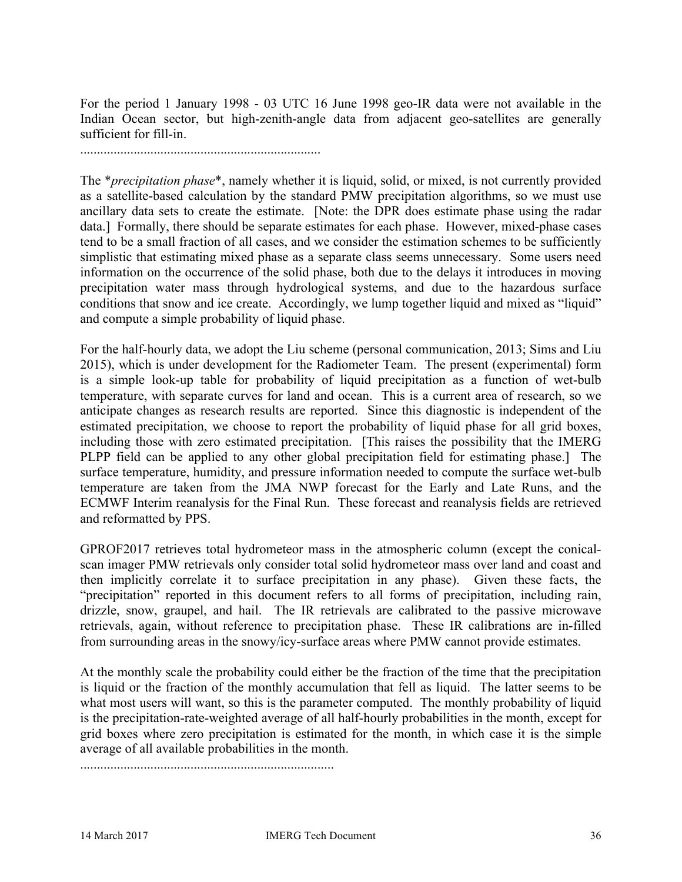For the period 1 January 1998 - 03 UTC 16 June 1998 geo-IR data were not available in the Indian Ocean sector, but high-zenith-angle data from adjacent geo-satellites are generally sufficient for fill-in.

........................................................................

The \**precipitation phase*\*, namely whether it is liquid, solid, or mixed, is not currently provided as a satellite-based calculation by the standard PMW precipitation algorithms, so we must use ancillary data sets to create the estimate. [Note: the DPR does estimate phase using the radar data.] Formally, there should be separate estimates for each phase. However, mixed-phase cases tend to be a small fraction of all cases, and we consider the estimation schemes to be sufficiently simplistic that estimating mixed phase as a separate class seems unnecessary. Some users need information on the occurrence of the solid phase, both due to the delays it introduces in moving precipitation water mass through hydrological systems, and due to the hazardous surface conditions that snow and ice create. Accordingly, we lump together liquid and mixed as "liquid" and compute a simple probability of liquid phase.

For the half-hourly data, we adopt the Liu scheme (personal communication, 2013; Sims and Liu 2015), which is under development for the Radiometer Team. The present (experimental) form is a simple look-up table for probability of liquid precipitation as a function of wet-bulb temperature, with separate curves for land and ocean. This is a current area of research, so we anticipate changes as research results are reported. Since this diagnostic is independent of the estimated precipitation, we choose to report the probability of liquid phase for all grid boxes, including those with zero estimated precipitation. [This raises the possibility that the IMERG PLPP field can be applied to any other global precipitation field for estimating phase.] The surface temperature, humidity, and pressure information needed to compute the surface wet-bulb temperature are taken from the JMA NWP forecast for the Early and Late Runs, and the ECMWF Interim reanalysis for the Final Run. These forecast and reanalysis fields are retrieved and reformatted by PPS.

GPROF2017 retrieves total hydrometeor mass in the atmospheric column (except the conicalscan imager PMW retrievals only consider total solid hydrometeor mass over land and coast and then implicitly correlate it to surface precipitation in any phase). Given these facts, the "precipitation" reported in this document refers to all forms of precipitation, including rain, drizzle, snow, graupel, and hail. The IR retrievals are calibrated to the passive microwave retrievals, again, without reference to precipitation phase. These IR calibrations are in-filled from surrounding areas in the snowy/icy-surface areas where PMW cannot provide estimates.

At the monthly scale the probability could either be the fraction of the time that the precipitation is liquid or the fraction of the monthly accumulation that fell as liquid. The latter seems to be what most users will want, so this is the parameter computed. The monthly probability of liquid is the precipitation-rate-weighted average of all half-hourly probabilities in the month, except for grid boxes where zero precipitation is estimated for the month, in which case it is the simple average of all available probabilities in the month.

............................................................................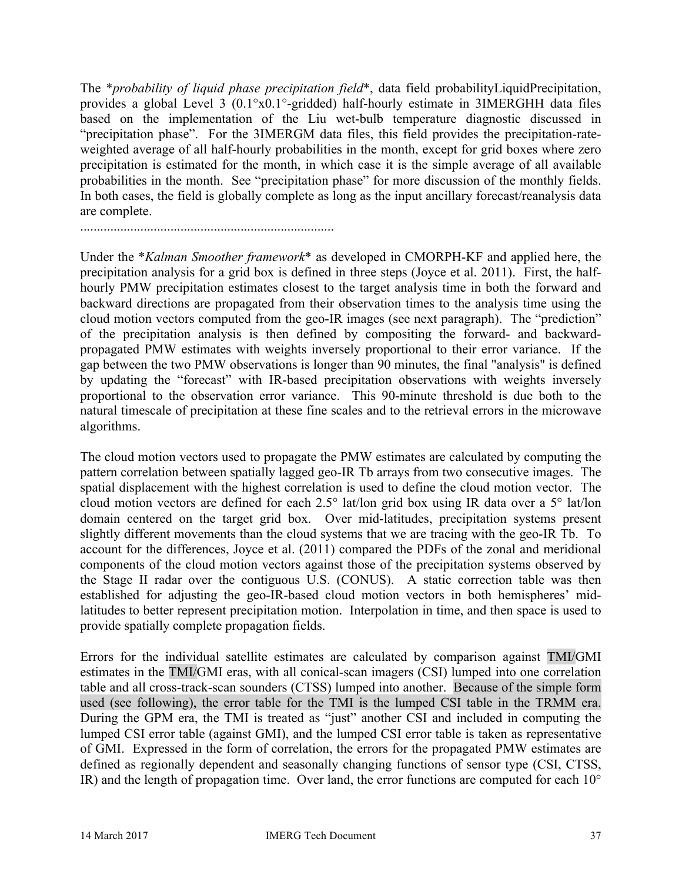The \**probability of liquid phase precipitation field*\*, data field probabilityLiquidPrecipitation, provides a global Level 3 (0.1°x0.1°-gridded) half-hourly estimate in 3IMERGHH data files based on the implementation of the Liu wet-bulb temperature diagnostic discussed in "precipitation phase". For the 3IMERGM data files, this field provides the precipitation-rateweighted average of all half-hourly probabilities in the month, except for grid boxes where zero precipitation is estimated for the month, in which case it is the simple average of all available probabilities in the month. See "precipitation phase" for more discussion of the monthly fields. In both cases, the field is globally complete as long as the input ancillary forecast/reanalysis data are complete.

............................................................................

Under the \**Kalman Smoother framework*\* as developed in CMORPH-KF and applied here, the precipitation analysis for a grid box is defined in three steps (Joyce et al. 2011). First, the halfhourly PMW precipitation estimates closest to the target analysis time in both the forward and backward directions are propagated from their observation times to the analysis time using the cloud motion vectors computed from the geo-IR images (see next paragraph). The "prediction" of the precipitation analysis is then defined by compositing the forward- and backwardpropagated PMW estimates with weights inversely proportional to their error variance. If the gap between the two PMW observations is longer than 90 minutes, the final "analysis" is defined by updating the "forecast" with IR-based precipitation observations with weights inversely proportional to the observation error variance. This 90-minute threshold is due both to the natural timescale of precipitation at these fine scales and to the retrieval errors in the microwave algorithms.

The cloud motion vectors used to propagate the PMW estimates are calculated by computing the pattern correlation between spatially lagged geo-IR Tb arrays from two consecutive images. The spatial displacement with the highest correlation is used to define the cloud motion vector. The cloud motion vectors are defined for each 2.5° lat/lon grid box using IR data over a 5° lat/lon domain centered on the target grid box. Over mid-latitudes, precipitation systems present slightly different movements than the cloud systems that we are tracing with the geo-IR Tb. To account for the differences, Joyce et al. (2011) compared the PDFs of the zonal and meridional components of the cloud motion vectors against those of the precipitation systems observed by the Stage II radar over the contiguous U.S. (CONUS). A static correction table was then established for adjusting the geo-IR-based cloud motion vectors in both hemispheres' midlatitudes to better represent precipitation motion. Interpolation in time, and then space is used to provide spatially complete propagation fields.

Errors for the individual satellite estimates are calculated by comparison against TMI/GMI estimates in the TMI/GMI eras, with all conical-scan imagers (CSI) lumped into one correlation table and all cross-track-scan sounders (CTSS) lumped into another. Because of the simple form used (see following), the error table for the TMI is the lumped CSI table in the TRMM era. During the GPM era, the TMI is treated as "just" another CSI and included in computing the lumped CSI error table (against GMI), and the lumped CSI error table is taken as representative of GMI. Expressed in the form of correlation, the errors for the propagated PMW estimates are defined as regionally dependent and seasonally changing functions of sensor type (CSI, CTSS, IR) and the length of propagation time. Over land, the error functions are computed for each 10°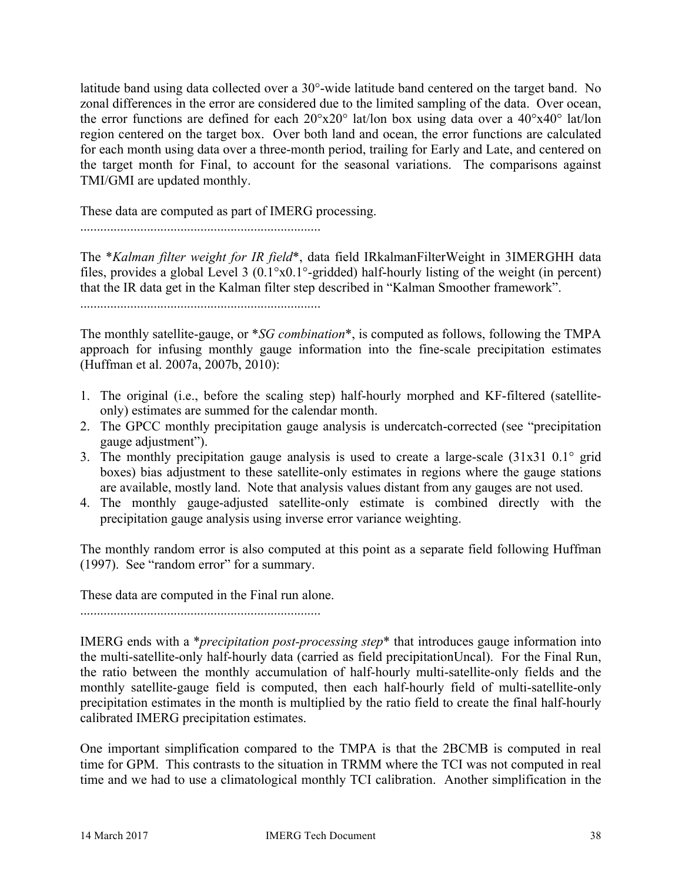latitude band using data collected over a 30°-wide latitude band centered on the target band. No zonal differences in the error are considered due to the limited sampling of the data. Over ocean, the error functions are defined for each 20°x20° lat/lon box using data over a 40°x40° lat/lon region centered on the target box. Over both land and ocean, the error functions are calculated for each month using data over a three-month period, trailing for Early and Late, and centered on the target month for Final, to account for the seasonal variations. The comparisons against TMI/GMI are updated monthly.

These data are computed as part of IMERG processing.

........................................................................

The \**Kalman filter weight for IR field*\*, data field IRkalmanFilterWeight in 3IMERGHH data files, provides a global Level 3 (0.1°x0.1°-gridded) half-hourly listing of the weight (in percent) that the IR data get in the Kalman filter step described in "Kalman Smoother framework".

........................................................................

The monthly satellite-gauge, or \**SG combination*\*, is computed as follows, following the TMPA approach for infusing monthly gauge information into the fine-scale precipitation estimates (Huffman et al. 2007a, 2007b, 2010):

- 1. The original (i.e., before the scaling step) half-hourly morphed and KF-filtered (satelliteonly) estimates are summed for the calendar month.
- 2. The GPCC monthly precipitation gauge analysis is undercatch-corrected (see "precipitation gauge adjustment").
- 3. The monthly precipitation gauge analysis is used to create a large-scale (31x31 0.1° grid boxes) bias adjustment to these satellite-only estimates in regions where the gauge stations are available, mostly land. Note that analysis values distant from any gauges are not used.
- 4. The monthly gauge-adjusted satellite-only estimate is combined directly with the precipitation gauge analysis using inverse error variance weighting.

The monthly random error is also computed at this point as a separate field following Huffman (1997). See "random error" for a summary.

These data are computed in the Final run alone.

........................................................................

IMERG ends with a \**precipitation post-processing step*\* that introduces gauge information into the multi-satellite-only half-hourly data (carried as field precipitationUncal). For the Final Run, the ratio between the monthly accumulation of half-hourly multi-satellite-only fields and the monthly satellite-gauge field is computed, then each half-hourly field of multi-satellite-only precipitation estimates in the month is multiplied by the ratio field to create the final half-hourly calibrated IMERG precipitation estimates.

One important simplification compared to the TMPA is that the 2BCMB is computed in real time for GPM. This contrasts to the situation in TRMM where the TCI was not computed in real time and we had to use a climatological monthly TCI calibration. Another simplification in the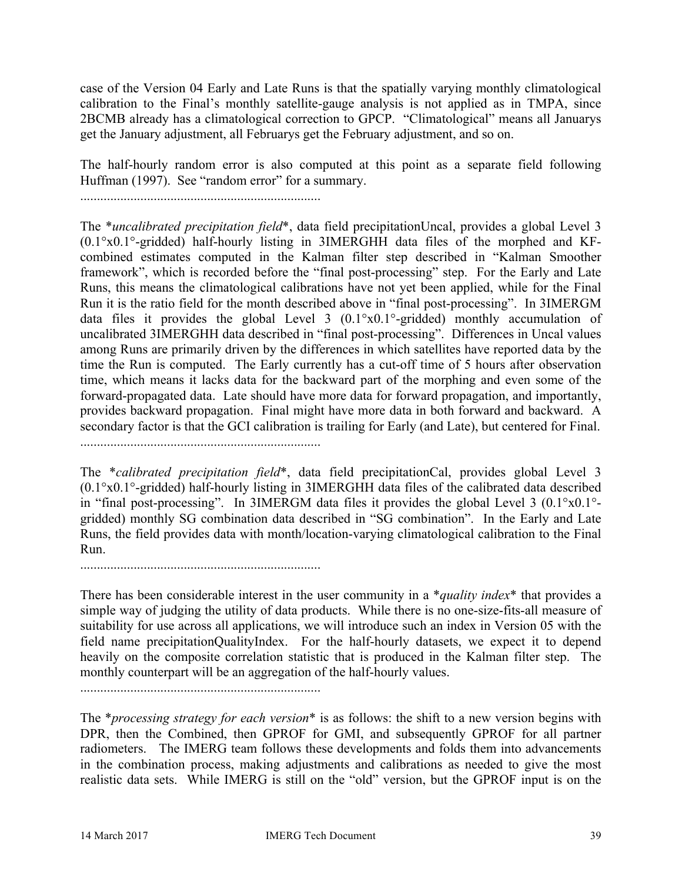case of the Version 04 Early and Late Runs is that the spatially varying monthly climatological calibration to the Final's monthly satellite-gauge analysis is not applied as in TMPA, since 2BCMB already has a climatological correction to GPCP. "Climatological" means all Januarys get the January adjustment, all Februarys get the February adjustment, and so on.

The half-hourly random error is also computed at this point as a separate field following Huffman (1997). See "random error" for a summary.

........................................................................

The \**uncalibrated precipitation field*\*, data field precipitationUncal, provides a global Level 3 (0.1°x0.1°-gridded) half-hourly listing in 3IMERGHH data files of the morphed and KFcombined estimates computed in the Kalman filter step described in "Kalman Smoother framework", which is recorded before the "final post-processing" step. For the Early and Late Runs, this means the climatological calibrations have not yet been applied, while for the Final Run it is the ratio field for the month described above in "final post-processing". In 3IMERGM data files it provides the global Level 3 (0.1°x0.1°-gridded) monthly accumulation of uncalibrated 3IMERGHH data described in "final post-processing". Differences in Uncal values among Runs are primarily driven by the differences in which satellites have reported data by the time the Run is computed. The Early currently has a cut-off time of 5 hours after observation time, which means it lacks data for the backward part of the morphing and even some of the forward-propagated data. Late should have more data for forward propagation, and importantly, provides backward propagation. Final might have more data in both forward and backward. A secondary factor is that the GCI calibration is trailing for Early (and Late), but centered for Final.

........................................................................

The \**calibrated precipitation field*\*, data field precipitationCal, provides global Level 3 (0.1°x0.1°-gridded) half-hourly listing in 3IMERGHH data files of the calibrated data described in "final post-processing". In 3IMERGM data files it provides the global Level 3 (0.1°x0.1° gridded) monthly SG combination data described in "SG combination". In the Early and Late Runs, the field provides data with month/location-varying climatological calibration to the Final Run.

There has been considerable interest in the user community in a \**quality index*\* that provides a simple way of judging the utility of data products. While there is no one-size-fits-all measure of suitability for use across all applications, we will introduce such an index in Version 05 with the field name precipitationQualityIndex. For the half-hourly datasets, we expect it to depend heavily on the composite correlation statistic that is produced in the Kalman filter step. The monthly counterpart will be an aggregation of the half-hourly values.

........................................................................

The \**processing strategy for each version*\* is as follows: the shift to a new version begins with DPR, then the Combined, then GPROF for GMI, and subsequently GPROF for all partner radiometers. The IMERG team follows these developments and folds them into advancements in the combination process, making adjustments and calibrations as needed to give the most realistic data sets. While IMERG is still on the "old" version, but the GPROF input is on the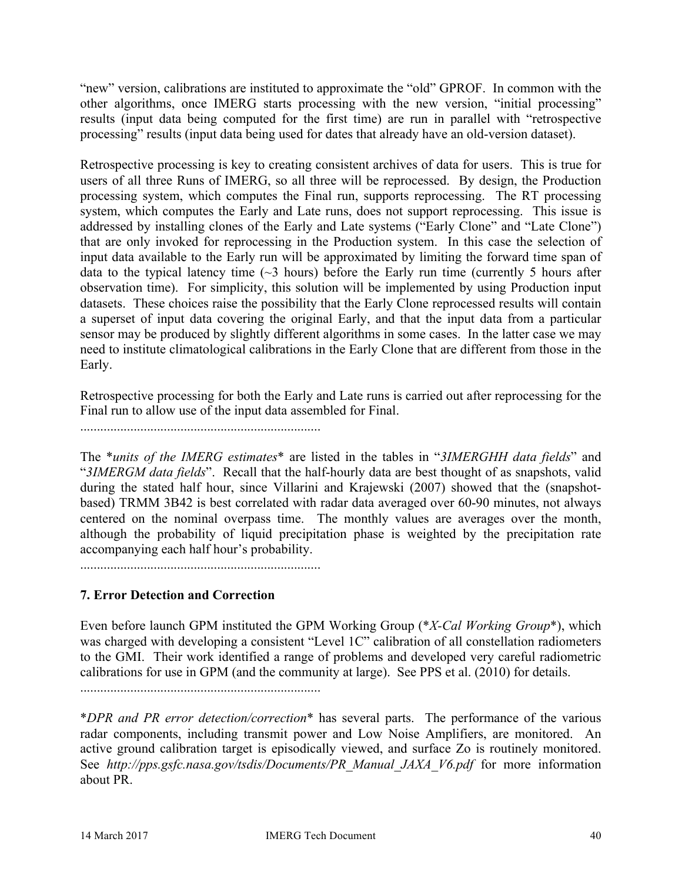"new" version, calibrations are instituted to approximate the "old" GPROF. In common with the other algorithms, once IMERG starts processing with the new version, "initial processing" results (input data being computed for the first time) are run in parallel with "retrospective processing" results (input data being used for dates that already have an old-version dataset).

Retrospective processing is key to creating consistent archives of data for users. This is true for users of all three Runs of IMERG, so all three will be reprocessed. By design, the Production processing system, which computes the Final run, supports reprocessing. The RT processing system, which computes the Early and Late runs, does not support reprocessing. This issue is addressed by installing clones of the Early and Late systems ("Early Clone" and "Late Clone") that are only invoked for reprocessing in the Production system. In this case the selection of input data available to the Early run will be approximated by limiting the forward time span of data to the typical latency time  $(\sim 3$  hours) before the Early run time (currently 5 hours after observation time). For simplicity, this solution will be implemented by using Production input datasets. These choices raise the possibility that the Early Clone reprocessed results will contain a superset of input data covering the original Early, and that the input data from a particular sensor may be produced by slightly different algorithms in some cases. In the latter case we may need to institute climatological calibrations in the Early Clone that are different from those in the Early.

Retrospective processing for both the Early and Late runs is carried out after reprocessing for the Final run to allow use of the input data assembled for Final.

........................................................................

The \**units of the IMERG estimates*\* are listed in the tables in "*3IMERGHH data fields*" and "*3IMERGM data fields*". Recall that the half-hourly data are best thought of as snapshots, valid during the stated half hour, since Villarini and Krajewski (2007) showed that the (snapshotbased) TRMM 3B42 is best correlated with radar data averaged over 60-90 minutes, not always centered on the nominal overpass time. The monthly values are averages over the month, although the probability of liquid precipitation phase is weighted by the precipitation rate accompanying each half hour's probability.

........................................................................

# **7. Error Detection and Correction**

Even before launch GPM instituted the GPM Working Group (\**X-Cal Working Group*\*), which was charged with developing a consistent "Level 1C" calibration of all constellation radiometers to the GMI. Their work identified a range of problems and developed very careful radiometric calibrations for use in GPM (and the community at large). See PPS et al. (2010) for details.

........................................................................

\**DPR and PR error detection/correction*\* has several parts. The performance of the various radar components, including transmit power and Low Noise Amplifiers, are monitored. An active ground calibration target is episodically viewed, and surface Zo is routinely monitored. See *http://pps.gsfc.nasa.gov/tsdis/Documents/PR\_Manual\_JAXA\_V6.pdf* for more information about PR.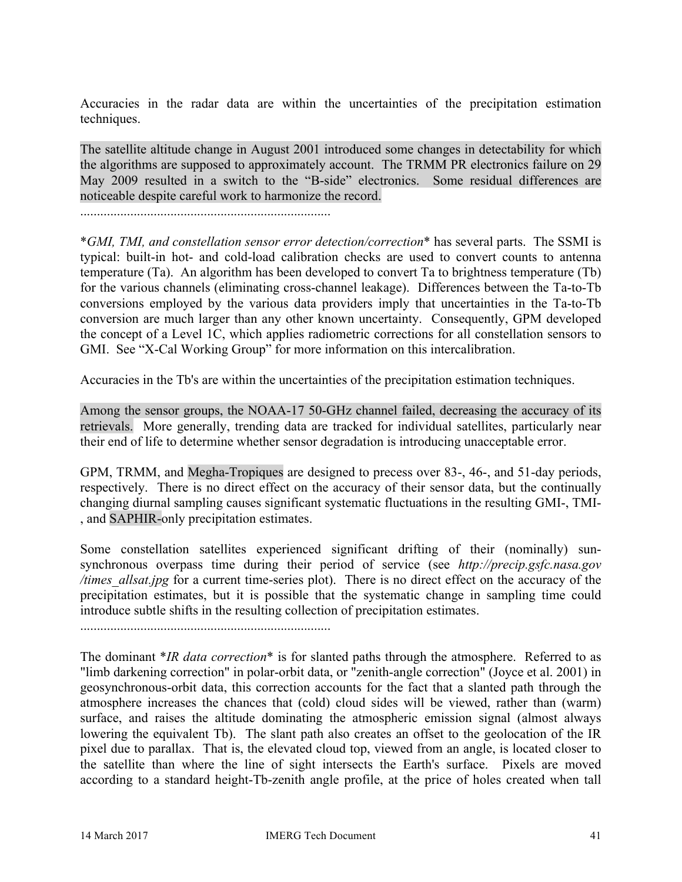Accuracies in the radar data are within the uncertainties of the precipitation estimation techniques.

The satellite altitude change in August 2001 introduced some changes in detectability for which the algorithms are supposed to approximately account. The TRMM PR electronics failure on 29 May 2009 resulted in a switch to the "B-side" electronics. Some residual differences are noticeable despite careful work to harmonize the record.

...........................................................................

\**GMI, TMI, and constellation sensor error detection/correction*\* has several parts. The SSMI is typical: built-in hot- and cold-load calibration checks are used to convert counts to antenna temperature (Ta). An algorithm has been developed to convert Ta to brightness temperature (Tb) for the various channels (eliminating cross-channel leakage). Differences between the Ta-to-Tb conversions employed by the various data providers imply that uncertainties in the Ta-to-Tb conversion are much larger than any other known uncertainty. Consequently, GPM developed the concept of a Level 1C, which applies radiometric corrections for all constellation sensors to GMI. See "X-Cal Working Group" for more information on this intercalibration.

Accuracies in the Tb's are within the uncertainties of the precipitation estimation techniques.

Among the sensor groups, the NOAA-17 50-GHz channel failed, decreasing the accuracy of its retrievals. More generally, trending data are tracked for individual satellites, particularly near their end of life to determine whether sensor degradation is introducing unacceptable error.

GPM, TRMM, and Megha-Tropiques are designed to precess over 83-, 46-, and 51-day periods, respectively. There is no direct effect on the accuracy of their sensor data, but the continually changing diurnal sampling causes significant systematic fluctuations in the resulting GMI-, TMI- , and SAPHIR-only precipitation estimates.

Some constellation satellites experienced significant drifting of their (nominally) sunsynchronous overpass time during their period of service (see *http://precip.gsfc.nasa.gov /times\_allsat.jpg* for a current time-series plot). There is no direct effect on the accuracy of the precipitation estimates, but it is possible that the systematic change in sampling time could introduce subtle shifts in the resulting collection of precipitation estimates.

...........................................................................

The dominant \**IR data correction*\* is for slanted paths through the atmosphere. Referred to as "limb darkening correction" in polar-orbit data, or "zenith-angle correction" (Joyce et al. 2001) in geosynchronous-orbit data, this correction accounts for the fact that a slanted path through the atmosphere increases the chances that (cold) cloud sides will be viewed, rather than (warm) surface, and raises the altitude dominating the atmospheric emission signal (almost always lowering the equivalent Tb). The slant path also creates an offset to the geolocation of the IR pixel due to parallax. That is, the elevated cloud top, viewed from an angle, is located closer to the satellite than where the line of sight intersects the Earth's surface. Pixels are moved according to a standard height-Tb-zenith angle profile, at the price of holes created when tall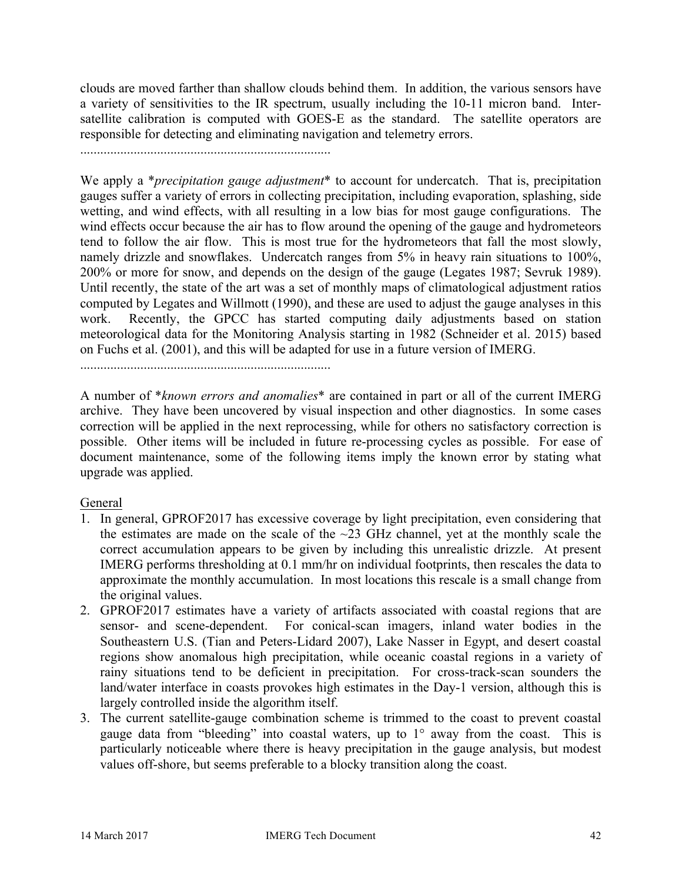clouds are moved farther than shallow clouds behind them. In addition, the various sensors have a variety of sensitivities to the IR spectrum, usually including the 10-11 micron band. Intersatellite calibration is computed with GOES-E as the standard. The satellite operators are responsible for detecting and eliminating navigation and telemetry errors.

...........................................................................

We apply a \**precipitation gauge adjustment*\* to account for undercatch. That is, precipitation gauges suffer a variety of errors in collecting precipitation, including evaporation, splashing, side wetting, and wind effects, with all resulting in a low bias for most gauge configurations. The wind effects occur because the air has to flow around the opening of the gauge and hydrometeors tend to follow the air flow. This is most true for the hydrometeors that fall the most slowly, namely drizzle and snowflakes. Undercatch ranges from 5% in heavy rain situations to 100%, 200% or more for snow, and depends on the design of the gauge (Legates 1987; Sevruk 1989). Until recently, the state of the art was a set of monthly maps of climatological adjustment ratios computed by Legates and Willmott (1990), and these are used to adjust the gauge analyses in this work. Recently, the GPCC has started computing daily adjustments based on station meteorological data for the Monitoring Analysis starting in 1982 (Schneider et al. 2015) based on Fuchs et al. (2001), and this will be adapted for use in a future version of IMERG.

...........................................................................

A number of \**known errors and anomalies*\* are contained in part or all of the current IMERG archive. They have been uncovered by visual inspection and other diagnostics. In some cases correction will be applied in the next reprocessing, while for others no satisfactory correction is possible. Other items will be included in future re-processing cycles as possible. For ease of document maintenance, some of the following items imply the known error by stating what upgrade was applied.

### General

- 1. In general, GPROF2017 has excessive coverage by light precipitation, even considering that the estimates are made on the scale of the  $\sim$ 23 GHz channel, yet at the monthly scale the correct accumulation appears to be given by including this unrealistic drizzle. At present IMERG performs thresholding at 0.1 mm/hr on individual footprints, then rescales the data to approximate the monthly accumulation. In most locations this rescale is a small change from the original values.
- 2. GPROF2017 estimates have a variety of artifacts associated with coastal regions that are sensor- and scene-dependent. For conical-scan imagers, inland water bodies in the Southeastern U.S. (Tian and Peters-Lidard 2007), Lake Nasser in Egypt, and desert coastal regions show anomalous high precipitation, while oceanic coastal regions in a variety of rainy situations tend to be deficient in precipitation. For cross-track-scan sounders the land/water interface in coasts provokes high estimates in the Day-1 version, although this is largely controlled inside the algorithm itself.
- 3. The current satellite-gauge combination scheme is trimmed to the coast to prevent coastal gauge data from "bleeding" into coastal waters, up to 1° away from the coast. This is particularly noticeable where there is heavy precipitation in the gauge analysis, but modest values off-shore, but seems preferable to a blocky transition along the coast.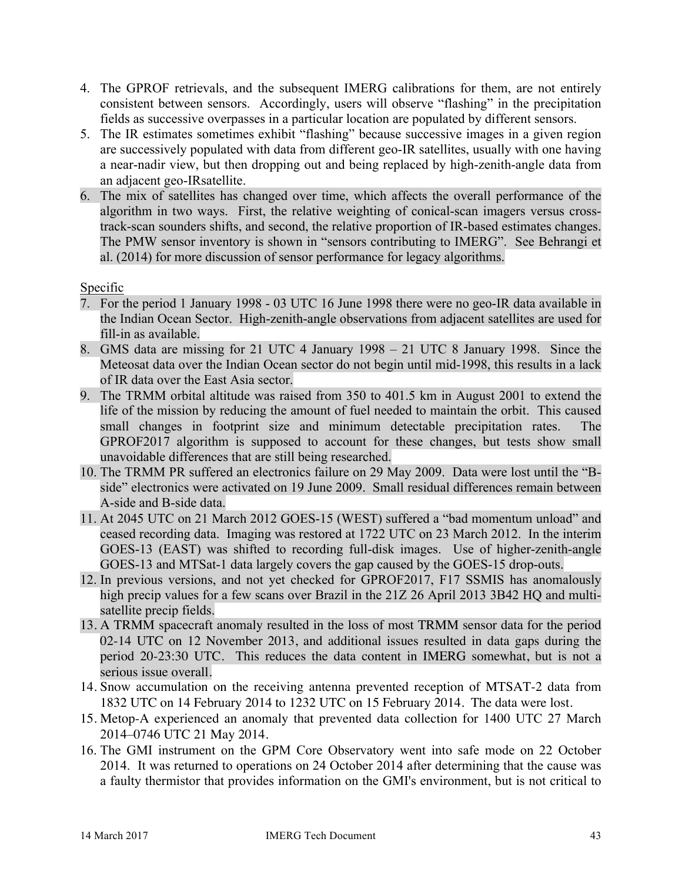- 4. The GPROF retrievals, and the subsequent IMERG calibrations for them, are not entirely consistent between sensors. Accordingly, users will observe "flashing" in the precipitation fields as successive overpasses in a particular location are populated by different sensors.
- 5. The IR estimates sometimes exhibit "flashing" because successive images in a given region are successively populated with data from different geo-IR satellites, usually with one having a near-nadir view, but then dropping out and being replaced by high-zenith-angle data from an adjacent geo-IRsatellite.
- 6. The mix of satellites has changed over time, which affects the overall performance of the algorithm in two ways. First, the relative weighting of conical-scan imagers versus crosstrack-scan sounders shifts, and second, the relative proportion of IR-based estimates changes. The PMW sensor inventory is shown in "sensors contributing to IMERG". See Behrangi et al. (2014) for more discussion of sensor performance for legacy algorithms.

## Specific

- 7. For the period 1 January 1998 03 UTC 16 June 1998 there were no geo-IR data available in the Indian Ocean Sector. High-zenith-angle observations from adjacent satellites are used for fill-in as available.
- 8. GMS data are missing for 21 UTC 4 January 1998 21 UTC 8 January 1998. Since the Meteosat data over the Indian Ocean sector do not begin until mid-1998, this results in a lack of IR data over the East Asia sector.
- 9. The TRMM orbital altitude was raised from 350 to 401.5 km in August 2001 to extend the life of the mission by reducing the amount of fuel needed to maintain the orbit. This caused small changes in footprint size and minimum detectable precipitation rates. The GPROF2017 algorithm is supposed to account for these changes, but tests show small unavoidable differences that are still being researched.
- 10. The TRMM PR suffered an electronics failure on 29 May 2009. Data were lost until the "Bside" electronics were activated on 19 June 2009. Small residual differences remain between A-side and B-side data.
- 11. At 2045 UTC on 21 March 2012 GOES-15 (WEST) suffered a "bad momentum unload" and ceased recording data. Imaging was restored at 1722 UTC on 23 March 2012. In the interim GOES-13 (EAST) was shifted to recording full-disk images. Use of higher-zenith-angle GOES-13 and MTSat-1 data largely covers the gap caused by the GOES-15 drop-outs.
- 12. In previous versions, and not yet checked for GPROF2017, F17 SSMIS has anomalously high precip values for a few scans over Brazil in the 21Z 26 April 2013 3B42 HQ and multisatellite precip fields.
- 13. A TRMM spacecraft anomaly resulted in the loss of most TRMM sensor data for the period 02-14 UTC on 12 November 2013, and additional issues resulted in data gaps during the period 20-23:30 UTC. This reduces the data content in IMERG somewhat, but is not a serious issue overall.
- 14. Snow accumulation on the receiving antenna prevented reception of MTSAT-2 data from 1832 UTC on 14 February 2014 to 1232 UTC on 15 February 2014. The data were lost.
- 15. Metop-A experienced an anomaly that prevented data collection for 1400 UTC 27 March 2014–0746 UTC 21 May 2014.
- 16. The GMI instrument on the GPM Core Observatory went into safe mode on 22 October 2014. It was returned to operations on 24 October 2014 after determining that the cause was a faulty thermistor that provides information on the GMI's environment, but is not critical to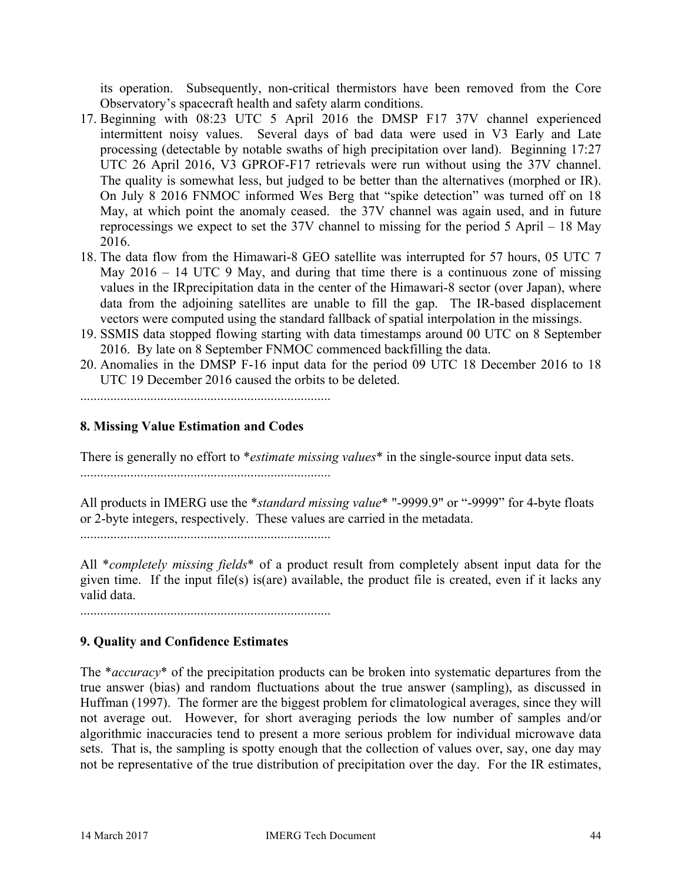its operation. Subsequently, non-critical thermistors have been removed from the Core Observatory's spacecraft health and safety alarm conditions.

- 17. Beginning with 08:23 UTC 5 April 2016 the DMSP F17 37V channel experienced intermittent noisy values. Several days of bad data were used in V3 Early and Late processing (detectable by notable swaths of high precipitation over land). Beginning 17:27 UTC 26 April 2016, V3 GPROF-F17 retrievals were run without using the 37V channel. The quality is somewhat less, but judged to be better than the alternatives (morphed or IR). On July 8 2016 FNMOC informed Wes Berg that "spike detection" was turned off on 18 May, at which point the anomaly ceased. the 37V channel was again used, and in future reprocessings we expect to set the 37V channel to missing for the period 5 April – 18 May 2016.
- 18. The data flow from the Himawari-8 GEO satellite was interrupted for 57 hours, 05 UTC 7 May 2016 – 14 UTC 9 May, and during that time there is a continuous zone of missing values in the IRprecipitation data in the center of the Himawari-8 sector (over Japan), where data from the adjoining satellites are unable to fill the gap. The IR-based displacement vectors were computed using the standard fallback of spatial interpolation in the missings.
- 19. SSMIS data stopped flowing starting with data timestamps around 00 UTC on 8 September 2016. By late on 8 September FNMOC commenced backfilling the data.
- 20. Anomalies in the DMSP F-16 input data for the period 09 UTC 18 December 2016 to 18 UTC 19 December 2016 caused the orbits to be deleted.

...........................................................................

# **8. Missing Value Estimation and Codes**

There is generally no effort to \**estimate missing values*\* in the single-source input data sets.

...........................................................................

All products in IMERG use the \**standard missing value*\* "-9999.9" or "-9999" for 4-byte floats or 2-byte integers, respectively. These values are carried in the metadata.

...........................................................................

All \**completely missing fields*\* of a product result from completely absent input data for the given time. If the input file(s) is(are) available, the product file is created, even if it lacks any valid data.

# **9. Quality and Confidence Estimates**

The \**accuracy*\* of the precipitation products can be broken into systematic departures from the true answer (bias) and random fluctuations about the true answer (sampling), as discussed in Huffman (1997). The former are the biggest problem for climatological averages, since they will not average out. However, for short averaging periods the low number of samples and/or algorithmic inaccuracies tend to present a more serious problem for individual microwave data sets. That is, the sampling is spotty enough that the collection of values over, say, one day may not be representative of the true distribution of precipitation over the day. For the IR estimates,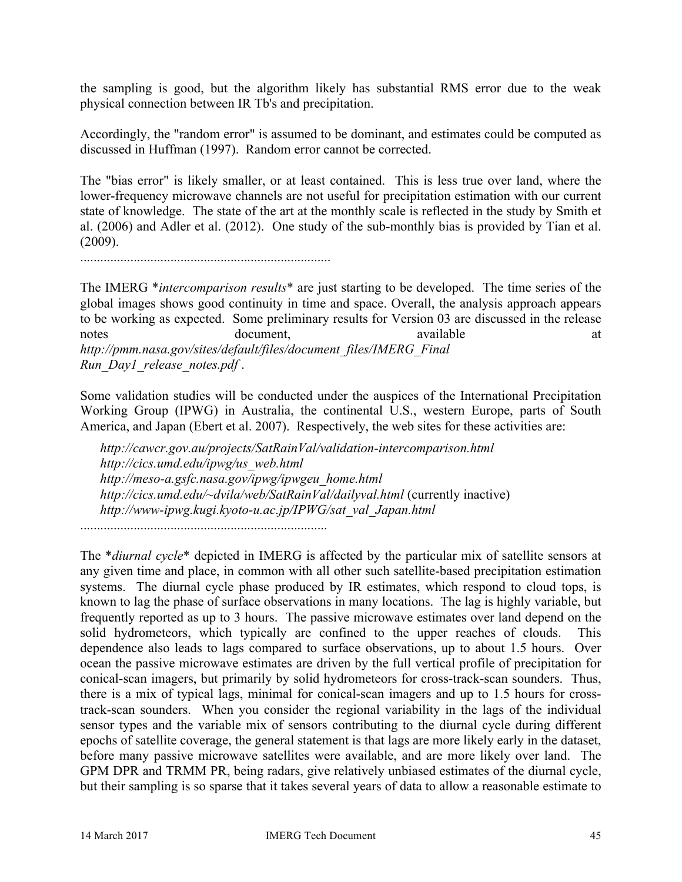the sampling is good, but the algorithm likely has substantial RMS error due to the weak physical connection between IR Tb's and precipitation.

Accordingly, the "random error" is assumed to be dominant, and estimates could be computed as discussed in Huffman (1997). Random error cannot be corrected.

The "bias error" is likely smaller, or at least contained. This is less true over land, where the lower-frequency microwave channels are not useful for precipitation estimation with our current state of knowledge. The state of the art at the monthly scale is reflected in the study by Smith et al. (2006) and Adler et al. (2012). One study of the sub-monthly bias is provided by Tian et al. (2009).

...........................................................................

The IMERG \**intercomparison results*\* are just starting to be developed. The time series of the global images shows good continuity in time and space. Overall, the analysis approach appears to be working as expected. Some preliminary results for Version 03 are discussed in the release notes document, available at at *http://pmm.nasa.gov/sites/default/files/document\_files/IMERG\_Final Run\_Day1\_release\_notes.pdf* .

Some validation studies will be conducted under the auspices of the International Precipitation Working Group (IPWG) in Australia, the continental U.S., western Europe, parts of South America, and Japan (Ebert et al. 2007). Respectively, the web sites for these activities are:

*http://cawcr.gov.au/projects/SatRainVal/validation-intercomparison.html http://cics.umd.edu/ipwg/us\_web.html http://meso-a.gsfc.nasa.gov/ipwg/ipwgeu\_home.html http://cics.umd.edu/~dvila/web/SatRainVal/dailyval.html* (currently inactive) *http://www-ipwg.kugi.kyoto-u.ac.jp/IPWG/sat\_val\_Japan.html*

..........................................................................

The \**diurnal cycle*\* depicted in IMERG is affected by the particular mix of satellite sensors at any given time and place, in common with all other such satellite-based precipitation estimation systems. The diurnal cycle phase produced by IR estimates, which respond to cloud tops, is known to lag the phase of surface observations in many locations. The lag is highly variable, but frequently reported as up to 3 hours. The passive microwave estimates over land depend on the solid hydrometeors, which typically are confined to the upper reaches of clouds. This dependence also leads to lags compared to surface observations, up to about 1.5 hours. Over ocean the passive microwave estimates are driven by the full vertical profile of precipitation for conical-scan imagers, but primarily by solid hydrometeors for cross-track-scan sounders. Thus, there is a mix of typical lags, minimal for conical-scan imagers and up to 1.5 hours for crosstrack-scan sounders. When you consider the regional variability in the lags of the individual sensor types and the variable mix of sensors contributing to the diurnal cycle during different epochs of satellite coverage, the general statement is that lags are more likely early in the dataset, before many passive microwave satellites were available, and are more likely over land. The GPM DPR and TRMM PR, being radars, give relatively unbiased estimates of the diurnal cycle, but their sampling is so sparse that it takes several years of data to allow a reasonable estimate to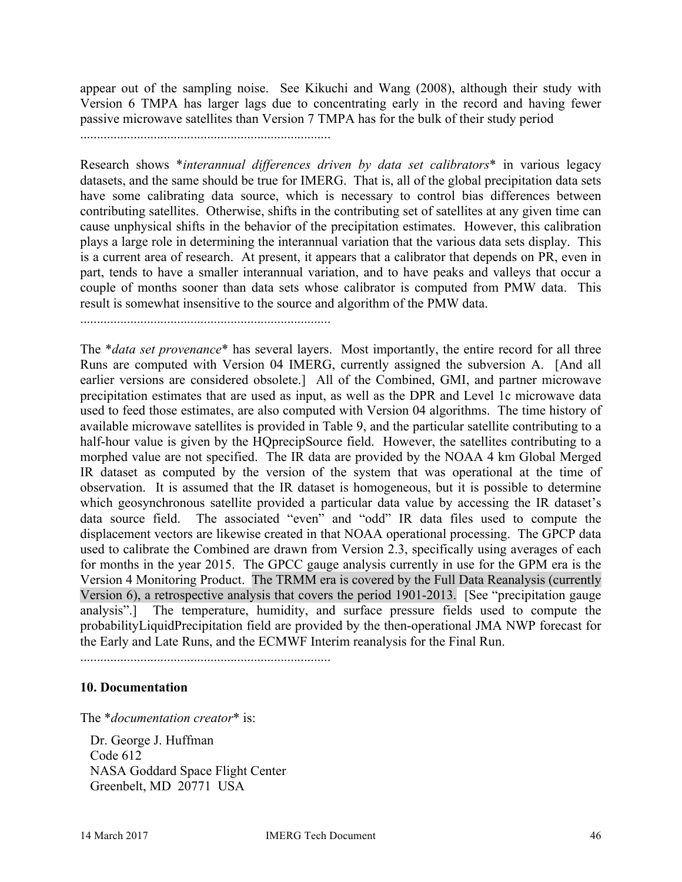appear out of the sampling noise. See Kikuchi and Wang (2008), although their study with Version 6 TMPA has larger lags due to concentrating early in the record and having fewer passive microwave satellites than Version 7 TMPA has for the bulk of their study period

...........................................................................

Research shows \**interannual differences driven by data set calibrators*\* in various legacy datasets, and the same should be true for IMERG. That is, all of the global precipitation data sets have some calibrating data source, which is necessary to control bias differences between contributing satellites. Otherwise, shifts in the contributing set of satellites at any given time can cause unphysical shifts in the behavior of the precipitation estimates. However, this calibration plays a large role in determining the interannual variation that the various data sets display. This is a current area of research. At present, it appears that a calibrator that depends on PR, even in part, tends to have a smaller interannual variation, and to have peaks and valleys that occur a couple of months sooner than data sets whose calibrator is computed from PMW data. This result is somewhat insensitive to the source and algorithm of the PMW data.

...........................................................................

The \**data set provenance*\* has several layers. Most importantly, the entire record for all three Runs are computed with Version 04 IMERG, currently assigned the subversion A. [And all earlier versions are considered obsolete.] All of the Combined, GMI, and partner microwave precipitation estimates that are used as input, as well as the DPR and Level 1c microwave data used to feed those estimates, are also computed with Version 04 algorithms. The time history of available microwave satellites is provided in Table 9, and the particular satellite contributing to a half-hour value is given by the HQprecipSource field. However, the satellites contributing to a morphed value are not specified. The IR data are provided by the NOAA 4 km Global Merged IR dataset as computed by the version of the system that was operational at the time of observation. It is assumed that the IR dataset is homogeneous, but it is possible to determine which geosynchronous satellite provided a particular data value by accessing the IR dataset's data source field. The associated "even" and "odd" IR data files used to compute the displacement vectors are likewise created in that NOAA operational processing. The GPCP data used to calibrate the Combined are drawn from Version 2.3, specifically using averages of each for months in the year 2015. The GPCC gauge analysis currently in use for the GPM era is the Version 4 Monitoring Product. The TRMM era is covered by the Full Data Reanalysis (currently Version 6), a retrospective analysis that covers the period 1901-2013. [See "precipitation gauge analysis".] The temperature, humidity, and surface pressure fields used to compute the probabilityLiquidPrecipitation field are provided by the then-operational JMA NWP forecast for the Early and Late Runs, and the ECMWF Interim reanalysis for the Final Run.

...........................................................................

### **10. Documentation**

The \**documentation creator*\* is:

 Dr. George J. Huffman Code 612 NASA Goddard Space Flight Center Greenbelt, MD 20771 USA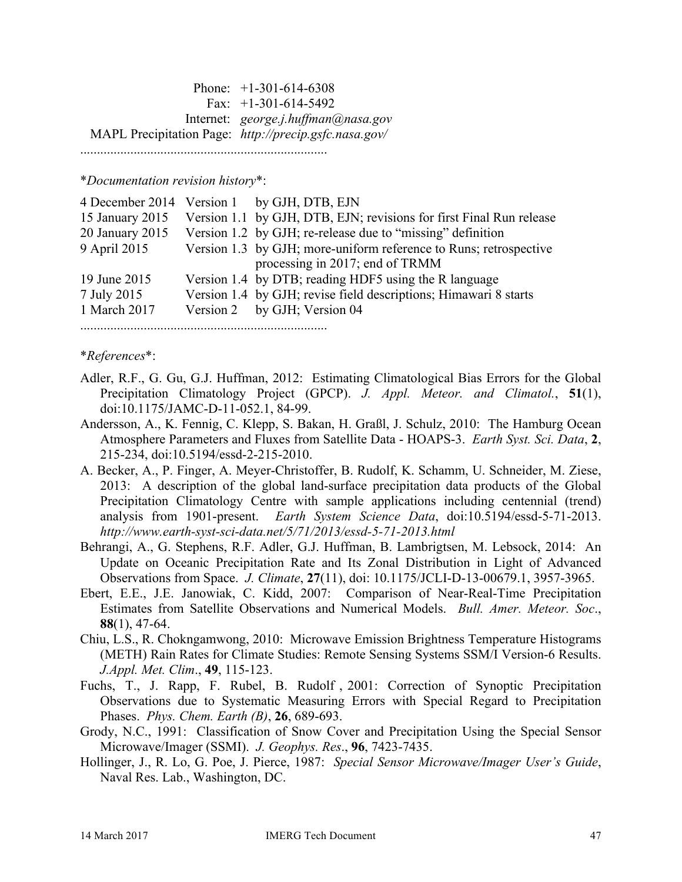Phone: +1-301-614-6308 Fax:  $+1-301-614-5492$  Internet: *george.j.huffman@nasa.gov* MAPL Precipitation Page: *http://precip.gsfc.nasa.gov/* ..........................................................................

\**Documentation revision history*\*:

|                 | 4 December 2014 Version 1 by GJH, DTB, EJN                          |
|-----------------|---------------------------------------------------------------------|
| 15 January 2015 | Version 1.1 by GJH, DTB, EJN; revisions for first Final Run release |
| 20 January 2015 | Version 1.2 by GJH; re-release due to "missing" definition          |
| 9 April 2015    | Version 1.3 by GJH; more-uniform reference to Runs; retrospective   |
|                 | processing in 2017; end of TRMM                                     |
| 19 June 2015    | Version 1.4 by DTB; reading HDF5 using the R language               |
| 7 July 2015     | Version 1.4 by GJH; revise field descriptions; Himawari 8 starts    |
| 1 March 2017    | Version 2 by GJH; Version 04                                        |
|                 |                                                                     |

#### \**References*\*:

- Adler, R.F., G. Gu, G.J. Huffman, 2012: Estimating Climatological Bias Errors for the Global Precipitation Climatology Project (GPCP). *J. Appl. Meteor. and Climatol.*, **51**(1), doi:10.1175/JAMC-D-11-052.1, 84-99.
- Andersson, A., K. Fennig, C. Klepp, S. Bakan, H. Graßl, J. Schulz, 2010: The Hamburg Ocean Atmosphere Parameters and Fluxes from Satellite Data - HOAPS-3. *Earth Syst. Sci. Data*, **2**, 215-234, doi:10.5194/essd-2-215-2010.
- A. Becker, A., P. Finger, A. Meyer-Christoffer, B. Rudolf, K. Schamm, U. Schneider, M. Ziese, 2013: A description of the global land-surface precipitation data products of the Global Precipitation Climatology Centre with sample applications including centennial (trend) analysis from 1901-present. *Earth System Science Data*, doi:10.5194/essd-5-71-2013. *http://www.earth-syst-sci-data.net/5/71/2013/essd-5-71-2013.html*
- Behrangi, A., G. Stephens, R.F. Adler, G.J. Huffman, B. Lambrigtsen, M. Lebsock, 2014: An Update on Oceanic Precipitation Rate and Its Zonal Distribution in Light of Advanced Observations from Space. *J. Climate*, **27**(11), doi: 10.1175/JCLI-D-13-00679.1, 3957-3965.
- Ebert, E.E., J.E. Janowiak, C. Kidd, 2007: Comparison of Near-Real-Time Precipitation Estimates from Satellite Observations and Numerical Models. *Bull. Amer. Meteor. Soc*., **88**(1), 47-64.
- Chiu, L.S., R. Chokngamwong, 2010: Microwave Emission Brightness Temperature Histograms (METH) Rain Rates for Climate Studies: Remote Sensing Systems SSM/I Version-6 Results. *J.Appl. Met. Clim*., **49**, 115-123.
- Fuchs, T., J. Rapp, F. Rubel, B. Rudolf , 2001: Correction of Synoptic Precipitation Observations due to Systematic Measuring Errors with Special Regard to Precipitation Phases. *Phys. Chem. Earth (B)*, **26**, 689-693.
- Grody, N.C., 1991: Classification of Snow Cover and Precipitation Using the Special Sensor Microwave/Imager (SSMI). *J. Geophys. Res*., **96**, 7423-7435.
- Hollinger, J., R. Lo, G. Poe, J. Pierce, 1987: *Special Sensor Microwave/Imager User's Guide*, Naval Res. Lab., Washington, DC.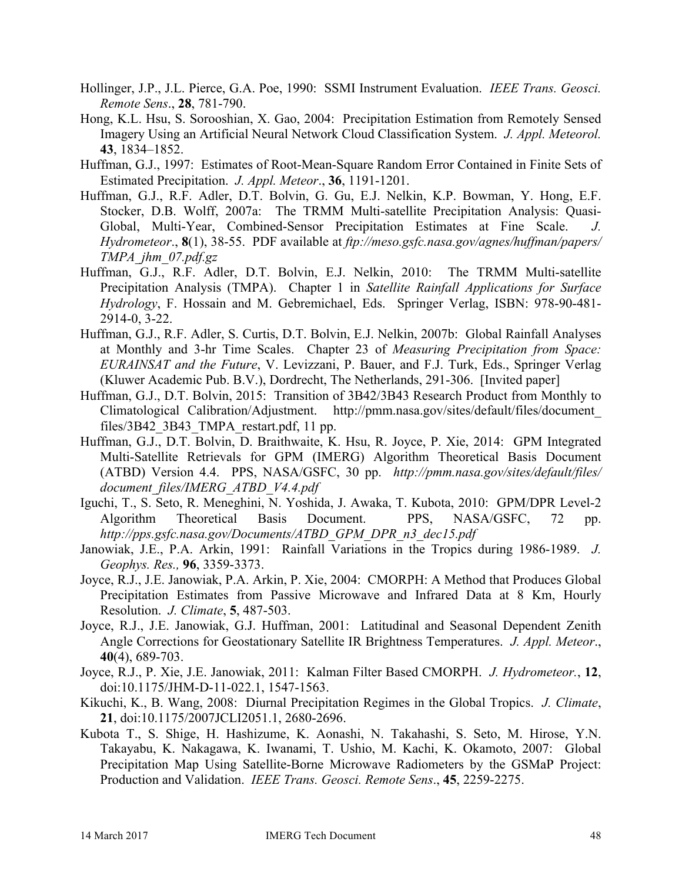- Hollinger, J.P., J.L. Pierce, G.A. Poe, 1990: SSMI Instrument Evaluation. *IEEE Trans. Geosci. Remote Sens*., **28**, 781-790.
- Hong, K.L. Hsu, S. Sorooshian, X. Gao, 2004: Precipitation Estimation from Remotely Sensed Imagery Using an Artificial Neural Network Cloud Classification System. *J. Appl. Meteorol.* **43**, 1834–1852.
- Huffman, G.J., 1997: Estimates of Root-Mean-Square Random Error Contained in Finite Sets of Estimated Precipitation. *J. Appl. Meteor*., **36**, 1191-1201.
- Huffman, G.J., R.F. Adler, D.T. Bolvin, G. Gu, E.J. Nelkin, K.P. Bowman, Y. Hong, E.F. Stocker, D.B. Wolff, 2007a: The TRMM Multi-satellite Precipitation Analysis: Quasi-Global, Multi-Year, Combined-Sensor Precipitation Estimates at Fine Scale. *J. Hydrometeor*., **8**(1), 38-55. PDF available at *ftp://meso.gsfc.nasa.gov/agnes/huffman/papers/ TMPA\_jhm\_07.pdf.gz*
- Huffman, G.J., R.F. Adler, D.T. Bolvin, E.J. Nelkin, 2010: The TRMM Multi-satellite Precipitation Analysis (TMPA). Chapter 1 in *Satellite Rainfall Applications for Surface Hydrology*, F. Hossain and M. Gebremichael, Eds. Springer Verlag, ISBN: 978-90-481- 2914-0, 3-22.
- Huffman, G.J., R.F. Adler, S. Curtis, D.T. Bolvin, E.J. Nelkin, 2007b: Global Rainfall Analyses at Monthly and 3-hr Time Scales. Chapter 23 of *Measuring Precipitation from Space: EURAINSAT and the Future*, V. Levizzani, P. Bauer, and F.J. Turk, Eds., Springer Verlag (Kluwer Academic Pub. B.V.), Dordrecht, The Netherlands, 291-306. [Invited paper]
- Huffman, G.J., D.T. Bolvin, 2015: Transition of 3B42/3B43 Research Product from Monthly to Climatological Calibration/Adjustment. http://pmm.nasa.gov/sites/default/files/document\_ files/3B42\_3B43\_TMPA\_restart.pdf, 11 pp.
- Huffman, G.J., D.T. Bolvin, D. Braithwaite, K. Hsu, R. Joyce, P. Xie, 2014: GPM Integrated Multi-Satellite Retrievals for GPM (IMERG) Algorithm Theoretical Basis Document (ATBD) Version 4.4. PPS, NASA/GSFC, 30 pp. *http://pmm.nasa.gov/sites/default/files/ document\_files/IMERG\_ATBD\_V4.4.pdf*
- Iguchi, T., S. Seto, R. Meneghini, N. Yoshida, J. Awaka, T. Kubota, 2010: GPM/DPR Level-2 Algorithm Theoretical Basis Document. PPS, NASA/GSFC, 72 pp. *http://pps.gsfc.nasa.gov/Documents/ATBD\_GPM\_DPR\_n3\_dec15.pdf*
- Janowiak, J.E., P.A. Arkin, 1991: Rainfall Variations in the Tropics during 1986-1989. *J. Geophys. Res.,* **96**, 3359-3373.
- Joyce, R.J., J.E. Janowiak, P.A. Arkin, P. Xie, 2004: CMORPH: A Method that Produces Global Precipitation Estimates from Passive Microwave and Infrared Data at 8 Km, Hourly Resolution. *J. Climate*, **5**, 487-503.
- Joyce, R.J., J.E. Janowiak, G.J. Huffman, 2001: Latitudinal and Seasonal Dependent Zenith Angle Corrections for Geostationary Satellite IR Brightness Temperatures. *J. Appl. Meteor*., **40**(4), 689-703.
- Joyce, R.J., P. Xie, J.E. Janowiak, 2011: Kalman Filter Based CMORPH. *J. Hydrometeor.*, **12**, doi:10.1175/JHM-D-11-022.1, 1547-1563.
- Kikuchi, K., B. Wang, 2008: Diurnal Precipitation Regimes in the Global Tropics. *J. Climate*, **21**, doi:10.1175/2007JCLI2051.1, 2680-2696.
- Kubota T., S. Shige, H. Hashizume, K. Aonashi, N. Takahashi, S. Seto, M. Hirose, Y.N. Takayabu, K. Nakagawa, K. Iwanami, T. Ushio, M. Kachi, K. Okamoto, 2007: Global Precipitation Map Using Satellite-Borne Microwave Radiometers by the GSMaP Project: Production and Validation. *IEEE Trans. Geosci. Remote Sens*., **45**, 2259-2275.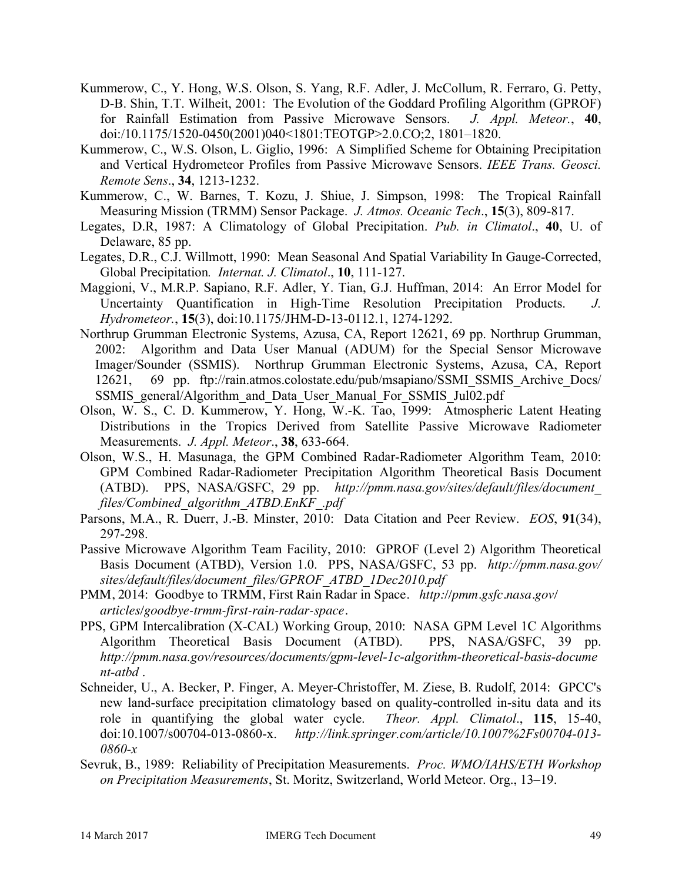- Kummerow, C., Y. Hong, W.S. Olson, S. Yang, R.F. Adler, J. McCollum, R. Ferraro, G. Petty, D-B. Shin, T.T. Wilheit, 2001: The Evolution of the Goddard Profiling Algorithm (GPROF) for Rainfall Estimation from Passive Microwave Sensors. *J. Appl. Meteor.*, **40**, doi:/10.1175/1520-0450(2001)040<1801:TEOTGP>2.0.CO;2, 1801–1820.
- Kummerow, C., W.S. Olson, L. Giglio, 1996: A Simplified Scheme for Obtaining Precipitation and Vertical Hydrometeor Profiles from Passive Microwave Sensors. *IEEE Trans. Geosci. Remote Sens*., **34**, 1213-1232.
- Kummerow, C., W. Barnes, T. Kozu, J. Shiue, J. Simpson, 1998: The Tropical Rainfall Measuring Mission (TRMM) Sensor Package. *J. Atmos. Oceanic Tech*., **15**(3), 809-817.
- Legates, D.R, 1987: A Climatology of Global Precipitation. *Pub. in Climatol*., **40**, U. of Delaware, 85 pp.
- Legates, D.R., C.J. Willmott, 1990: Mean Seasonal And Spatial Variability In Gauge-Corrected, Global Precipitation*. Internat. J. Climatol*., **10**, 111-127.
- Maggioni, V., M.R.P. Sapiano, R.F. Adler, Y. Tian, G.J. Huffman, 2014: An Error Model for Uncertainty Quantification in High-Time Resolution Precipitation Products. *J. Hydrometeor.*, **15**(3), doi:10.1175/JHM-D-13-0112.1, 1274-1292.
- Northrup Grumman Electronic Systems, Azusa, CA, Report 12621, 69 pp. Northrup Grumman, 2002: Algorithm and Data User Manual (ADUM) for the Special Sensor Microwave Imager/Sounder (SSMIS). Northrup Grumman Electronic Systems, Azusa, CA, Report 12621, 69 pp. ftp://rain.atmos.colostate.edu/pub/msapiano/SSMI\_SSMIS\_Archive\_Docs/ SSMIS\_general/Algorithm\_and\_Data\_User\_Manual\_For\_SSMIS\_Jul02.pdf
- Olson, W. S., C. D. Kummerow, Y. Hong, W.-K. Tao, 1999: Atmospheric Latent Heating Distributions in the Tropics Derived from Satellite Passive Microwave Radiometer Measurements. *J. Appl. Meteor*., **38**, 633-664.
- Olson, W.S., H. Masunaga, the GPM Combined Radar-Radiometer Algorithm Team, 2010: GPM Combined Radar-Radiometer Precipitation Algorithm Theoretical Basis Document (ATBD). PPS, NASA/GSFC, 29 pp. *http://pmm.nasa.gov/sites/default/files/document\_ files/Combined\_algorithm\_ATBD.EnKF\_.pdf*
- Parsons, M.A., R. Duerr, J.-B. Minster, 2010: Data Citation and Peer Review. *EOS*, **91**(34), 297-298.

Passive Microwave Algorithm Team Facility, 2010: GPROF (Level 2) Algorithm Theoretical Basis Document (ATBD), Version 1.0. PPS, NASA/GSFC, 53 pp. *http://pmm.nasa.gov/ sites/default/files/document\_files/GPROF\_ATBD\_1Dec2010.pdf*

- PMM, 2014: Goodbye to TRMM, First Rain Radar in Space. *http://pmm.gsfc.nasa.gov/ articles/goodbye-trmm-first-rain-radar-space*.
- PPS, GPM Intercalibration (X-CAL) Working Group, 2010: NASA GPM Level 1C Algorithms Algorithm Theoretical Basis Document (ATBD). PPS, NASA/GSFC, 39 pp. *http://pmm.nasa.gov/resources/documents/gpm-level-1c-algorithm-theoretical-basis-docume nt-atbd* .
- Schneider, U., A. Becker, P. Finger, A. Meyer-Christoffer, M. Ziese, B. Rudolf, 2014: GPCC's new land-surface precipitation climatology based on quality-controlled in-situ data and its role in quantifying the global water cycle. *Theor. Appl. Climatol*., **115**, 15-40, doi:10.1007/s00704-013-0860-x. *http://link.springer.com/article/10.1007%2Fs00704-013- 0860-x*
- Sevruk, B., 1989: Reliability of Precipitation Measurements. *Proc. WMO/IAHS/ETH Workshop on Precipitation Measurements*, St. Moritz, Switzerland, World Meteor. Org., 13–19.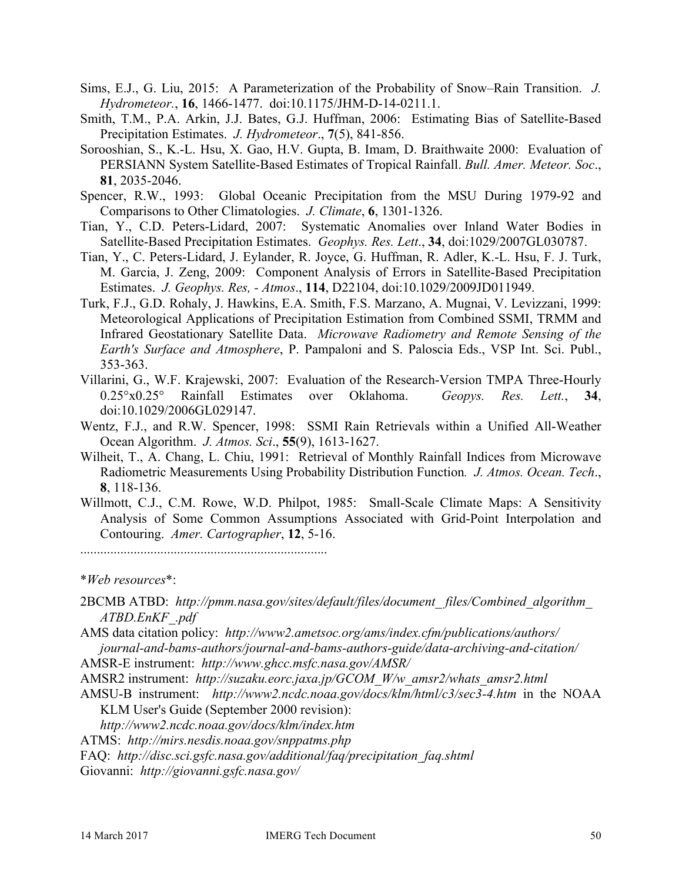- Sims, E.J., G. Liu, 2015: A Parameterization of the Probability of Snow–Rain Transition. *J. Hydrometeor.*, **16**, 1466-1477. doi:10.1175/JHM-D-14-0211.1.
- Smith, T.M., P.A. Arkin, J.J. Bates, G.J. Huffman, 2006: Estimating Bias of Satellite-Based Precipitation Estimates. *J. Hydrometeor*., **7**(5), 841-856.
- Sorooshian, S., K.-L. Hsu, X. Gao, H.V. Gupta, B. Imam, D. Braithwaite 2000: Evaluation of PERSIANN System Satellite-Based Estimates of Tropical Rainfall. *Bull. Amer. Meteor. Soc*., **81**, 2035-2046.
- Spencer, R.W., 1993: Global Oceanic Precipitation from the MSU During 1979-92 and Comparisons to Other Climatologies. *J. Climate*, **6**, 1301-1326.
- Tian, Y., C.D. Peters-Lidard, 2007: Systematic Anomalies over Inland Water Bodies in Satellite-Based Precipitation Estimates. *Geophys. Res. Lett*., **34**, doi:1029/2007GL030787.
- Tian, Y., C. Peters-Lidard, J. Eylander, R. Joyce, G. Huffman, R. Adler, K.-L. Hsu, F. J. Turk, M. Garcia, J. Zeng, 2009: Component Analysis of Errors in Satellite-Based Precipitation Estimates. *J. Geophys. Res, - Atmos*., **114**, D22104, doi:10.1029/2009JD011949.
- Turk, F.J., G.D. Rohaly, J. Hawkins, E.A. Smith, F.S. Marzano, A. Mugnai, V. Levizzani, 1999: Meteorological Applications of Precipitation Estimation from Combined SSMI, TRMM and Infrared Geostationary Satellite Data. *Microwave Radiometry and Remote Sensing of the Earth's Surface and Atmosphere*, P. Pampaloni and S. Paloscia Eds., VSP Int. Sci. Publ., 353-363.
- Villarini, G., W.F. Krajewski, 2007: Evaluation of the Research-Version TMPA Three-Hourly 0.25°x0.25° Rainfall Estimates over Oklahoma. *Geopys. Res. Lett.*, **34**, doi:10.1029/2006GL029147.
- Wentz, F.J., and R.W. Spencer, 1998: SSMI Rain Retrievals within a Unified All-Weather Ocean Algorithm. *J. Atmos. Sci*., **55**(9), 1613-1627.
- Wilheit, T., A. Chang, L. Chiu, 1991: Retrieval of Monthly Rainfall Indices from Microwave Radiometric Measurements Using Probability Distribution Function*. J. Atmos. Ocean. Tech*., **8**, 118-136.
- Willmott, C.J., C.M. Rowe, W.D. Philpot, 1985: Small-Scale Climate Maps: A Sensitivity Analysis of Some Common Assumptions Associated with Grid-Point Interpolation and Contouring. *Amer. Cartographer*, **12**, 5-16.

..........................................................................

\**Web resources*\*:

2BCMB ATBD: *http://pmm.nasa.gov/sites/default/files/document\_ files/Combined\_algorithm\_ ATBD.EnKF\_.pdf*

AMS data citation policy: *http://www2.ametsoc.org/ams/index.cfm/publications/authors/ journal-and-bams-authors/journal-and-bams-authors-guide/data-archiving-and-citation/*

AMSR-E instrument: *http://www.ghcc.msfc.nasa.gov/AMSR/*

AMSR2 instrument: *http://suzaku.eorc.jaxa.jp/GCOM\_W/w\_amsr2/whats\_amsr2.html*

AMSU-B instrument: *http://www2.ncdc.noaa.gov/docs/klm/html/c3/sec3-4.htm* in the NOAA KLM User's Guide (September 2000 revision):

*http://www2.ncdc.noaa.gov/docs/klm/index.htm*

ATMS: *http://mirs.nesdis.noaa.gov/snppatms.php*

FAQ: *http://disc.sci.gsfc.nasa.gov/additional/faq/precipitation\_faq.shtml*

Giovanni: *http://giovanni.gsfc.nasa.gov/*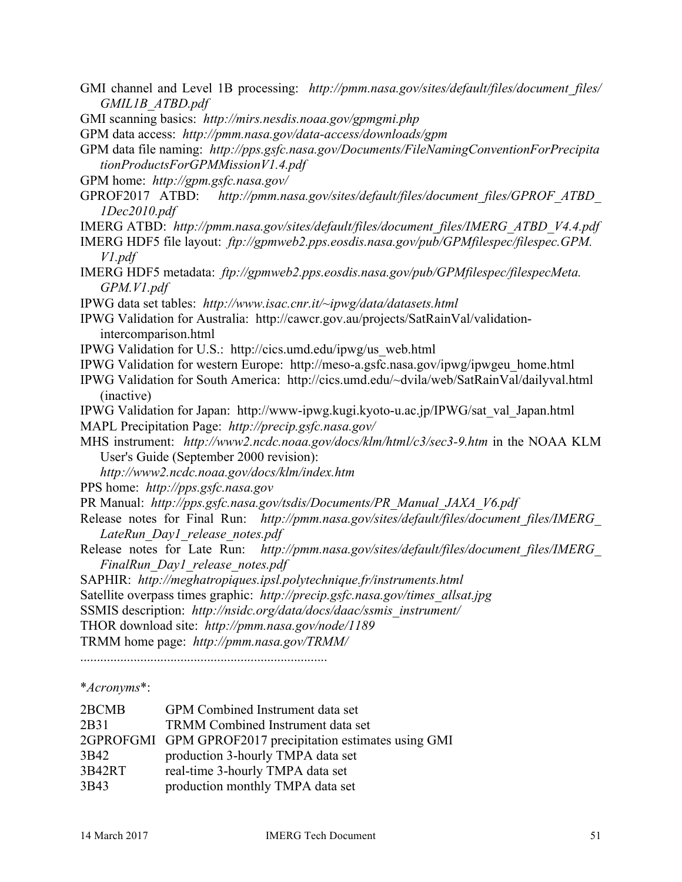- GMI channel and Level 1B processing: *http://pmm.nasa.gov/sites/default/files/document\_files/ GMIL1B\_ATBD.pdf*
- GMI scanning basics: *http://mirs.nesdis.noaa.gov/gpmgmi.php*

GPM data access: *http://pmm.nasa.gov/data-access/downloads/gpm*

GPM data file naming: *http://pps.gsfc.nasa.gov/Documents/FileNamingConventionForPrecipita tionProductsForGPMMissionV1.4.pdf*

- GPM home: *http://gpm.gsfc.nasa.gov/*
- GPROF2017 ATBD: *http://pmm.nasa.gov/sites/default/files/document\_files/GPROF\_ATBD\_ 1Dec2010.pdf*
- IMERG ATBD: *http://pmm.nasa.gov/sites/default/files/document\_files/IMERG\_ATBD\_V4.4.pdf*
- IMERG HDF5 file layout: *ftp://gpmweb2.pps.eosdis.nasa.gov/pub/GPMfilespec/filespec.GPM. V1.pdf*
- IMERG HDF5 metadata: *ftp://gpmweb2.pps.eosdis.nasa.gov/pub/GPMfilespec/filespecMeta. GPM.V1.pdf*

IPWG data set tables: *http://www.isac.cnr.it/~ipwg/data/datasets.html*

IPWG Validation for Australia: http://cawcr.gov.au/projects/SatRainVal/validationintercomparison.html

- IPWG Validation for U.S.: http://cics.umd.edu/ipwg/us\_web.html
- IPWG Validation for western Europe: http://meso-a.gsfc.nasa.gov/ipwg/ipwgeu\_home.html
- IPWG Validation for South America: http://cics.umd.edu/~dvila/web/SatRainVal/dailyval.html (inactive)
- IPWG Validation for Japan: http://www-ipwg.kugi.kyoto-u.ac.jp/IPWG/sat\_val\_Japan.html
- MAPL Precipitation Page: *http://precip.gsfc.nasa.gov/*

MHS instrument: *http://www2.ncdc.noaa.gov/docs/klm/html/c3/sec3-9.htm* in the NOAA KLM User's Guide (September 2000 revision):

*http://www2.ncdc.noaa.gov/docs/klm/index.htm*

PPS home: *http://pps.gsfc.nasa.gov*

- PR Manual: *http://pps.gsfc.nasa.gov/tsdis/Documents/PR\_Manual\_JAXA\_V6.pdf*
- Release notes for Final Run: *http://pmm.nasa.gov/sites/default/files/document\_files/IMERG LateRun\_Day1\_release\_notes.pdf*
- Release notes for Late Run: *http://pmm.nasa.gov/sites/default/files/document\_files/IMERG\_ FinalRun\_Day1\_release\_notes.pdf*

SAPHIR: *http://meghatropiques.ipsl.polytechnique.fr/instruments.html*

Satellite overpass times graphic: *http://precip.gsfc.nasa.gov/times\_allsat.jpg*

SSMIS description: *http://nsidc.org/data/docs/daac/ssmis\_instrument/*

THOR download site: *http://pmm.nasa.gov/node/1189*

TRMM home page: *http://pmm.nasa.gov/TRMM/*

..........................................................................

### \**Acronyms*\*:

| 2BCMB  | GPM Combined Instrument data set                          |
|--------|-----------------------------------------------------------|
| 2B31   | TRMM Combined Instrument data set                         |
|        | 2GPROFGMI GPM GPROF2017 precipitation estimates using GMI |
| 3B42   | production 3-hourly TMPA data set                         |
| 3B42RT | real-time 3-hourly TMPA data set                          |
| 3B43   | production monthly TMPA data set                          |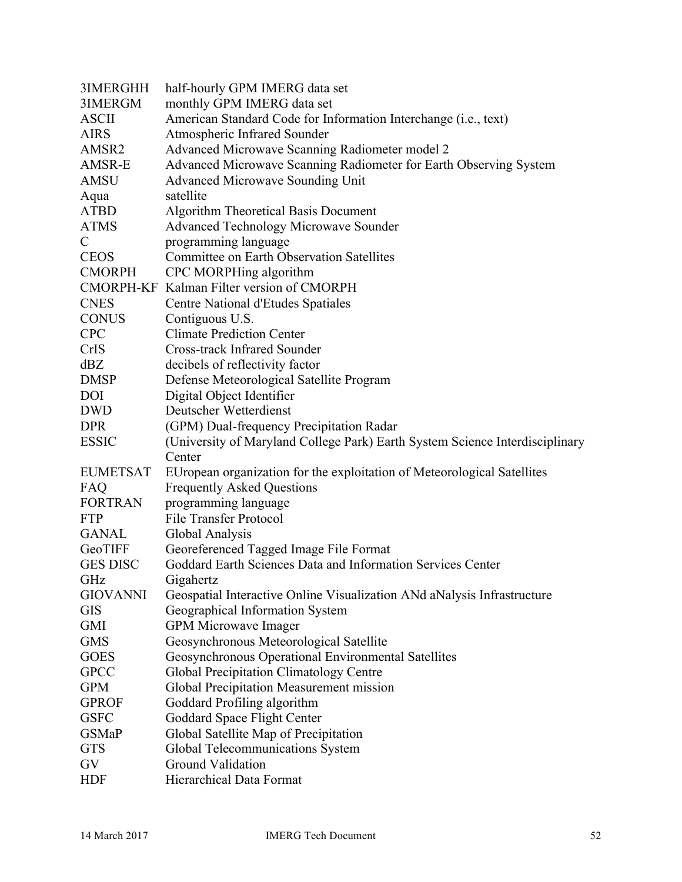| 3IMERGHH        | half-hourly GPM IMERG data set                                               |
|-----------------|------------------------------------------------------------------------------|
| 3IMERGM         | monthly GPM IMERG data set                                                   |
| <b>ASCII</b>    | American Standard Code for Information Interchange (i.e., text)              |
| <b>AIRS</b>     | Atmospheric Infrared Sounder                                                 |
| AMSR2           | Advanced Microwave Scanning Radiometer model 2                               |
| AMSR-E          | Advanced Microwave Scanning Radiometer for Earth Observing System            |
| <b>AMSU</b>     | <b>Advanced Microwave Sounding Unit</b>                                      |
| Aqua            | satellite                                                                    |
| <b>ATBD</b>     | <b>Algorithm Theoretical Basis Document</b>                                  |
| <b>ATMS</b>     | <b>Advanced Technology Microwave Sounder</b>                                 |
| $\mathcal{C}$   | programming language                                                         |
| <b>CEOS</b>     | <b>Committee on Earth Observation Satellites</b>                             |
| <b>CMORPH</b>   | CPC MORPHing algorithm                                                       |
|                 | CMORPH-KF Kalman Filter version of CMORPH                                    |
| <b>CNES</b>     | Centre National d'Etudes Spatiales                                           |
| <b>CONUS</b>    | Contiguous U.S.                                                              |
| <b>CPC</b>      | <b>Climate Prediction Center</b>                                             |
| <b>CrIS</b>     | <b>Cross-track Infrared Sounder</b>                                          |
| dBZ             | decibels of reflectivity factor                                              |
| <b>DMSP</b>     | Defense Meteorological Satellite Program                                     |
| <b>DOI</b>      | Digital Object Identifier                                                    |
| <b>DWD</b>      | Deutscher Wetterdienst                                                       |
| <b>DPR</b>      | (GPM) Dual-frequency Precipitation Radar                                     |
| <b>ESSIC</b>    | (University of Maryland College Park) Earth System Science Interdisciplinary |
|                 | Center                                                                       |
| <b>EUMETSAT</b> | EUropean organization for the exploitation of Meteorological Satellites      |
| FAQ             | <b>Frequently Asked Questions</b>                                            |
| <b>FORTRAN</b>  | programming language                                                         |
| <b>FTP</b>      | <b>File Transfer Protocol</b>                                                |
| <b>GANAL</b>    | Global Analysis                                                              |
| GeoTIFF         | Georeferenced Tagged Image File Format                                       |
| <b>GES DISC</b> | Goddard Earth Sciences Data and Information Services Center                  |
| GHz             | Gigahertz                                                                    |
| <b>GIOVANNI</b> | Geospatial Interactive Online Visualization ANd aNalysis Infrastructure      |
| <b>GIS</b>      | Geographical Information System                                              |
| <b>GMI</b>      | <b>GPM Microwave Imager</b>                                                  |
| <b>GMS</b>      | Geosynchronous Meteorological Satellite                                      |
| <b>GOES</b>     | Geosynchronous Operational Environmental Satellites                          |
| <b>GPCC</b>     | Global Precipitation Climatology Centre                                      |
| <b>GPM</b>      | Global Precipitation Measurement mission                                     |
| <b>GPROF</b>    | Goddard Profiling algorithm                                                  |
| <b>GSFC</b>     | Goddard Space Flight Center                                                  |
| <b>GSMaP</b>    | Global Satellite Map of Precipitation                                        |
| <b>GTS</b>      | Global Telecommunications System                                             |
| GV              | <b>Ground Validation</b>                                                     |
| <b>HDF</b>      | Hierarchical Data Format                                                     |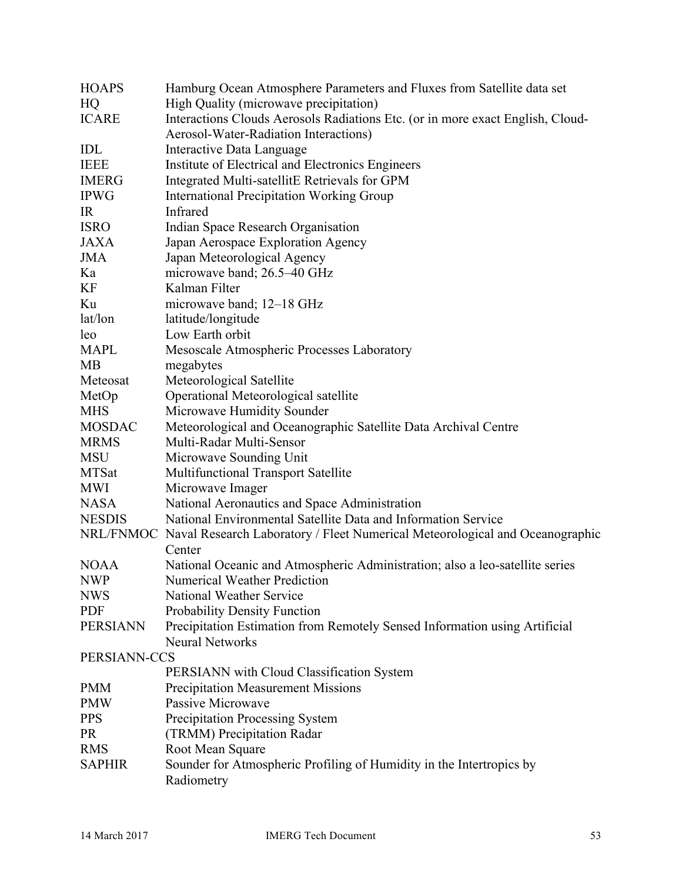| <b>HOAPS</b>    | Hamburg Ocean Atmosphere Parameters and Fluxes from Satellite data set                 |
|-----------------|----------------------------------------------------------------------------------------|
| HQ              | High Quality (microwave precipitation)                                                 |
| <b>ICARE</b>    | Interactions Clouds Aerosols Radiations Etc. (or in more exact English, Cloud-         |
|                 | Aerosol-Water-Radiation Interactions)                                                  |
| IDL             | Interactive Data Language                                                              |
| <b>IEEE</b>     | Institute of Electrical and Electronics Engineers                                      |
| <b>IMERG</b>    | Integrated Multi-satellitE Retrievals for GPM                                          |
| <b>IPWG</b>     | <b>International Precipitation Working Group</b>                                       |
| IR              | Infrared                                                                               |
| <b>ISRO</b>     | Indian Space Research Organisation                                                     |
| <b>JAXA</b>     | Japan Aerospace Exploration Agency                                                     |
| <b>JMA</b>      | Japan Meteorological Agency                                                            |
| Ka              | microwave band; 26.5-40 GHz                                                            |
| KF              | Kalman Filter                                                                          |
| Ku              | microwave band; 12–18 GHz                                                              |
| lat/lon         | latitude/longitude                                                                     |
| leo             | Low Earth orbit                                                                        |
| <b>MAPL</b>     | Mesoscale Atmospheric Processes Laboratory                                             |
| <b>MB</b>       | megabytes                                                                              |
| Meteosat        | Meteorological Satellite                                                               |
| MetOp           | Operational Meteorological satellite                                                   |
| <b>MHS</b>      | Microwave Humidity Sounder                                                             |
| <b>MOSDAC</b>   | Meteorological and Oceanographic Satellite Data Archival Centre                        |
| <b>MRMS</b>     | Multi-Radar Multi-Sensor                                                               |
| <b>MSU</b>      | Microwave Sounding Unit                                                                |
| <b>MTSat</b>    | Multifunctional Transport Satellite                                                    |
| <b>MWI</b>      | Microwave Imager                                                                       |
| <b>NASA</b>     | National Aeronautics and Space Administration                                          |
| <b>NESDIS</b>   | National Environmental Satellite Data and Information Service                          |
|                 | NRL/FNMOC Naval Research Laboratory / Fleet Numerical Meteorological and Oceanographic |
|                 | Center                                                                                 |
| <b>NOAA</b>     | National Oceanic and Atmospheric Administration; also a leo-satellite series           |
| <b>NWP</b>      | <b>Numerical Weather Prediction</b>                                                    |
| <b>NWS</b>      | National Weather Service                                                               |
| <b>PDF</b>      | Probability Density Function                                                           |
| <b>PERSIANN</b> | Precipitation Estimation from Remotely Sensed Information using Artificial             |
|                 | <b>Neural Networks</b>                                                                 |
| PERSIANN-CCS    |                                                                                        |
|                 | PERSIANN with Cloud Classification System                                              |
| <b>PMM</b>      | <b>Precipitation Measurement Missions</b>                                              |
| <b>PMW</b>      | Passive Microwave                                                                      |
| <b>PPS</b>      | Precipitation Processing System                                                        |
| <b>PR</b>       | (TRMM) Precipitation Radar                                                             |
| <b>RMS</b>      | Root Mean Square                                                                       |
| <b>SAPHIR</b>   | Sounder for Atmospheric Profiling of Humidity in the Intertropics by                   |
|                 | Radiometry                                                                             |